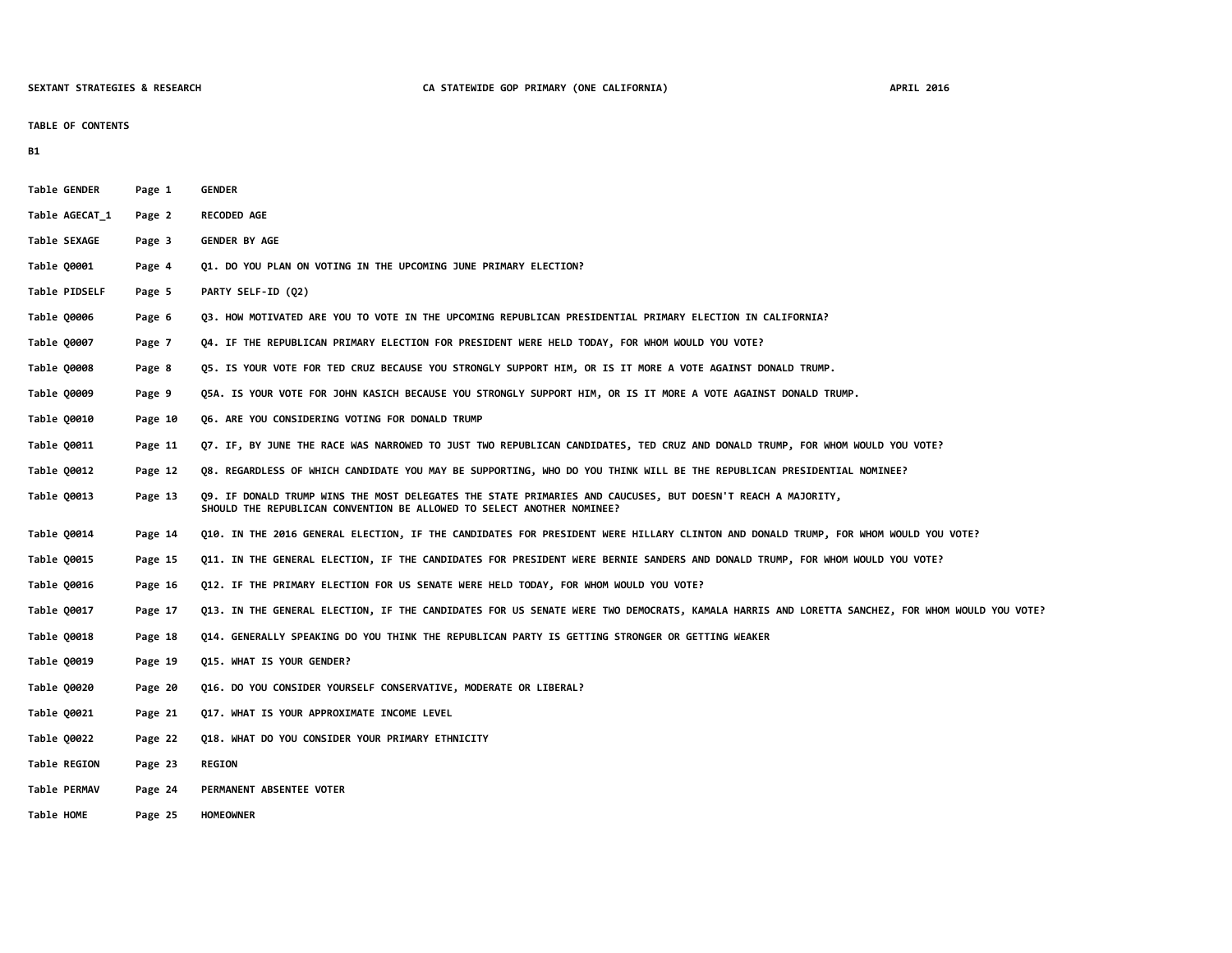### **TABLE OF CONTENTS**

**B1**

| Table GENDER   | Page 1  | <b>GENDER</b>                                                                                                                                                                         |
|----------------|---------|---------------------------------------------------------------------------------------------------------------------------------------------------------------------------------------|
| Table AGECAT 1 | Page 2  | <b>RECODED AGE</b>                                                                                                                                                                    |
| Table SEXAGE   | Page 3  | <b>GENDER BY AGE</b>                                                                                                                                                                  |
| Table Q0001    | Page 4  | 01. DO YOU PLAN ON VOTING IN THE UPCOMING JUNE PRIMARY ELECTION?                                                                                                                      |
| Table PIDSELF  | Page 5  | PARTY SELF-ID (02)                                                                                                                                                                    |
| Table Q0006    | Page 6  | Q3. HOW MOTIVATED ARE YOU TO VOTE IN THE UPCOMING REPUBLICAN PRESIDENTIAL PRIMARY ELECTION IN CALIFORNIA?                                                                             |
| Table 00007    | Page 7  | Q4. IF THE REPUBLICAN PRIMARY ELECTION FOR PRESIDENT WERE HELD TODAY, FOR WHOM WOULD YOU VOTE?                                                                                        |
| Table Q0008    | Page 8  | Q5. IS YOUR VOTE FOR TED CRUZ BECAUSE YOU STRONGLY SUPPORT HIM, OR IS IT MORE A VOTE AGAINST DONALD TRUMP.                                                                            |
| Table 00009    | Page 9  | Q5A. IS YOUR VOTE FOR JOHN KASICH BECAUSE YOU STRONGLY SUPPORT HIM, OR IS IT MORE A VOTE AGAINST DONALD TRUMP.                                                                        |
| Table Q0010    | Page 10 | Q6. ARE YOU CONSIDERING VOTING FOR DONALD TRUMP                                                                                                                                       |
| Table 00011    | Page 11 | Q7. IF, BY JUNE THE RACE WAS NARROWED TO JUST TWO REPUBLICAN CANDIDATES, TED CRUZ AND DONALD TRUMP, FOR WHOM WOULD YOU VOTE?                                                          |
| Table Q0012    | Page 12 | Q8. REGARDLESS OF WHICH CANDIDATE YOU MAY BE SUPPORTING, WHO DO YOU THINK WILL BE THE REPUBLICAN PRESIDENTIAL NOMINEE?                                                                |
| Table Q0013    | Page 13 | Q9. IF DONALD TRUMP WINS THE MOST DELEGATES THE STATE PRIMARIES AND CAUCUSES, BUT DOESN'T REACH A MAJORITY,<br>SHOULD THE REPUBLICAN CONVENTION BE ALLOWED TO SELECT ANOTHER NOMINEE? |
| Table 00014    | Page 14 | Q10. IN THE 2016 GENERAL ELECTION, IF THE CANDIDATES FOR PRESIDENT WERE HILLARY CLINTON AND DONALD TRUMP, FOR WHOM WOULD YOU VOTE?                                                    |
| Table Q0015    | Page 15 | Q11. IN THE GENERAL ELECTION, IF THE CANDIDATES FOR PRESIDENT WERE BERNIE SANDERS AND DONALD TRUMP, FOR WHOM WOULD YOU VOTE?                                                          |
| Table Q0016    | Page 16 | Q12. IF THE PRIMARY ELECTION FOR US SENATE WERE HELD TODAY, FOR WHOM WOULD YOU VOTE?                                                                                                  |
| Table Q0017    | Page 17 | Q13. IN THE GENERAL ELECTION, IF THE CANDIDATES FOR US SENATE WERE TWO DEMOCRATS, KAMALA HARRIS AND LORETTA SANCHEZ, FOR WHOM WOULD YOU VOTE?                                         |
| Table 00018    | Page 18 | Q14. GENERALLY SPEAKING DO YOU THINK THE REPUBLICAN PARTY IS GETTING STRONGER OR GETTING WEAKER                                                                                       |
| Table Q0019    | Page 19 | Q15. WHAT IS YOUR GENDER?                                                                                                                                                             |
| Table 00020    | Page 20 | Q16. DO YOU CONSIDER YOURSELF CONSERVATIVE, MODERATE OR LIBERAL?                                                                                                                      |
| Table Q0021    | Page 21 | Q17. WHAT IS YOUR APPROXIMATE INCOME LEVEL                                                                                                                                            |
| Table Q0022    | Page 22 | Q18. WHAT DO YOU CONSIDER YOUR PRIMARY ETHNICITY                                                                                                                                      |
| Table REGION   | Page 23 | <b>REGION</b>                                                                                                                                                                         |
| Table PERMAV   | Page 24 | PERMANENT ABSENTEE VOTER                                                                                                                                                              |
| Table HOME     | Page 25 | <b>HOMEOWNER</b>                                                                                                                                                                      |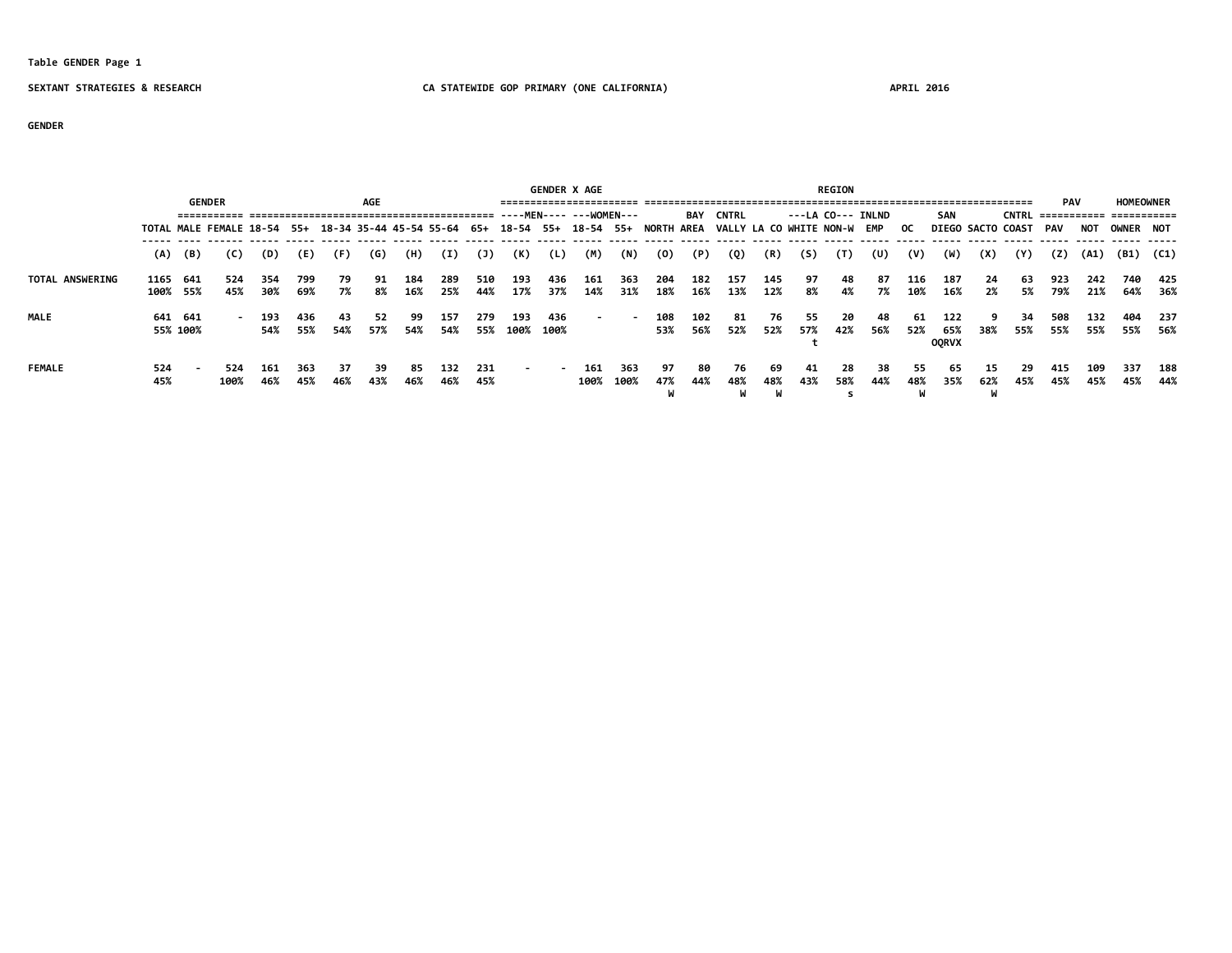### **Table GENDER Page 1**

### **SEXTANT STRATEGIES & RESEARCH CA STATEWIDE GOP PRIMARY (ONE CALIFORNIA) APRIL 2016**

**GENDER**

|                        |                  |                     |                                                                                                                       |            |            |           |            |            |            |            |                 |              | <b>GENDER X AGE</b> |             |            |            |                |            |                   | <b>REGION</b> |            |             |                            |            |            |                                             |            |                  |                |
|------------------------|------------------|---------------------|-----------------------------------------------------------------------------------------------------------------------|------------|------------|-----------|------------|------------|------------|------------|-----------------|--------------|---------------------|-------------|------------|------------|----------------|------------|-------------------|---------------|------------|-------------|----------------------------|------------|------------|---------------------------------------------|------------|------------------|----------------|
|                        |                  |                     | <b>GENDER</b>                                                                                                         |            |            |           | <b>AGE</b> |            |            |            |                 |              |                     |             |            | BAY        | CNTRL          |            | ---LA CO--- INLND |               |            |             | SAN                        |            |            | <b>PAV</b><br>CNTRL =========== =========== |            | <b>HOMEOWNER</b> |                |
|                        |                  |                     | TOTAL MALE FEMALE 18-54 55+ 18-34 35-44 45-54 55-64 65+ 18-54 55+ 18-54 55+ NORTH AREA VALLY LA CO WHITE NON-W EMP OC |            |            |           |            |            |            |            |                 |              |                     |             |            |            |                |            |                   |               |            |             | <b>DIEGO SACTO COAST</b>   |            |            | PAV                                         | NOT        | OWNER NOT        |                |
|                        |                  | $(A)$ $(B)$         | (C)                                                                                                                   | (D)        | (E)        | (F)       | (G)        | (H)        | (I)        | (1)        | (K)             | (L)          | (M)                 | (N)         | (0)        | (P)        | (Q)            | (R)        | (S)               | (T)           | (U)        | (V)         | (W)                        | (X)        | (Y)        | (Z)                                         | (A1)       |                  | (B1) (C1)      |
| <b>TOTAL ANSWERING</b> | 1165<br>100% 55% | 641                 | 524<br>45%                                                                                                            | 354<br>30% | 799<br>69% | 79<br>7%  | 91<br>8%   | 184<br>16% | 289<br>25% | 510<br>44% | 193<br>17%      | 436<br>37%   | 161<br>14%          | 363<br>31%  | 204<br>18% | 182<br>16% | 157<br>13%     | 145<br>12% | 97<br>8%          | 48<br>4%      | 87<br>7%   | 116<br>10%  | 187<br>16%                 | -24<br>2%  | -63<br>5%  | 923<br>79%                                  | 242<br>21% | 740<br>64%       | 425<br>36%     |
| <b>MALE</b>            |                  | 641 641<br>55% 100% |                                                                                                                       | 193<br>54% | 436<br>55% | 43<br>54% | -52<br>57% | 99<br>54%  | 157<br>54% | 279        | 193<br>55% 100% | -436<br>100% | $\sim$              | $\sim$      | 108<br>53% | 102<br>56% | 81<br>52%      | 76<br>52%  | -55<br>57%        | -20<br>42%    | 48<br>56%  | -61<br>52%  | 122<br>65%<br><b>OORVX</b> | 38%        | 34<br>55%  | 508<br>55%                                  | 132<br>55% | 404              | 237<br>55% 56% |
| <b>FEMALE</b>          | 524<br>45%       |                     | 524<br>100%                                                                                                           | 161<br>46% | 363<br>45% | 37<br>46% | -39<br>43% | 85<br>46%  | 132<br>46% | 231<br>45% | $\sim$          |              | 161<br>100%         | 363<br>100% | 97<br>47%  | 80<br>44%  | 76<br>48%<br>W | -69<br>48% | -41<br>43%        | 28<br>58%     | -38<br>44% | - 55<br>48% | 65<br>35%                  | -15<br>62% | -29<br>45% | 415<br>45%                                  | 109<br>45% | 337<br>45%       | 188<br>44%     |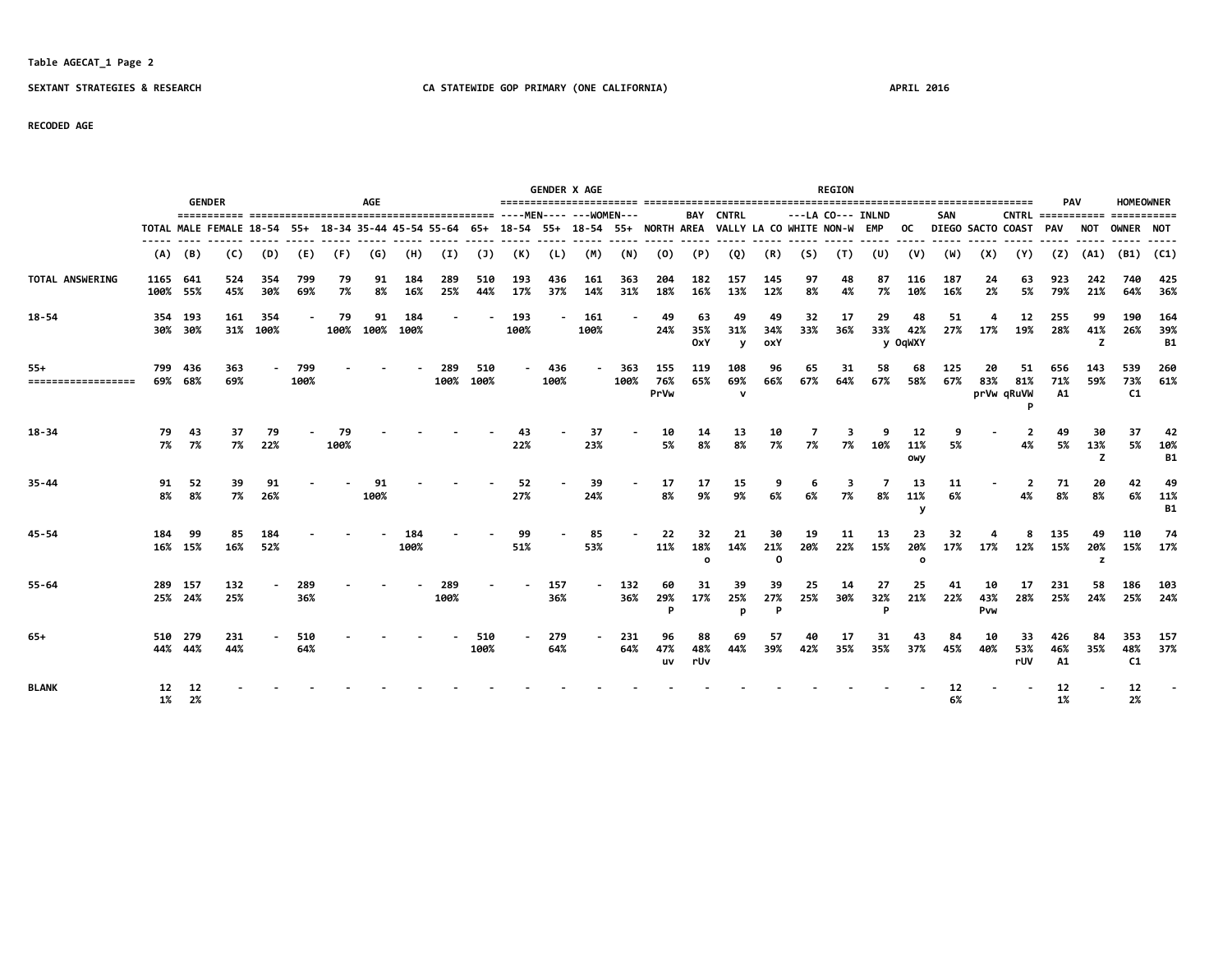## **Table AGECAT\_1 Page 2**

### **SEXTANT STRATEGIES & RESEARCH CA STATEWIDE GOP PRIMARY (ONE CALIFORNIA) APRIL 2016**

### **RECODED AGE**

|                             |                      |                    | <b>GENDER</b>                                                                          |                 |             |            | AGE        |             |             |                |             |             | <b>GENDER X AGE</b> |             |                    |                       |                             |                       |           | <b>REGION</b>     |                |                          |            |                   |                              | <b>PAV</b>              |                | <b>HOMEOWNER</b>             |                         |
|-----------------------------|----------------------|--------------------|----------------------------------------------------------------------------------------|-----------------|-------------|------------|------------|-------------|-------------|----------------|-------------|-------------|---------------------|-------------|--------------------|-----------------------|-----------------------------|-----------------------|-----------|-------------------|----------------|--------------------------|------------|-------------------|------------------------------|-------------------------|----------------|------------------------------|-------------------------|
|                             |                      |                    |                                                                                        |                 |             |            |            |             |             |                |             |             |                     |             |                    | BAY                   | <b>CNTRL</b>                |                       |           | ---LA CO--- INLND |                |                          | SAN        |                   | $CNTRL$ ===========          |                         |                | ===========                  |                         |
|                             |                      |                    | TOTAL MALE FEMALE 18-54 55+ 18-34 35-44 45-54 55-64 65+ 18-54 55+ 18-54 55+ NORTH AREA |                 |             |            |            |             |             |                |             |             |                     |             |                    |                       | VALLY LA CO WHITE NON-W EMP |                       |           |                   |                | 0C                       |            | DIEGO SACTO COAST |                              | PAV                     | NOT            | <b>OWNER NOT</b>             |                         |
|                             | (A)                  | (B)                | (C)                                                                                    | (D)             | (E)         | (F)        | (G)        | (H)         | (I)         | $(\mathsf{J})$ | (K)         | (L)         | (M)                 | (N)         | (0)                | (P)                   | (Q)                         | (R)                   | (S)       | (T)               | (U)            | (V)                      | (W)        | (X)               | (Y)                          | (Z)                     | (A1)           | (B1)                         | (C1)                    |
| TOTAL ANSWERING             | 1165 641<br>100% 55% |                    | 524<br>45%                                                                             | 354<br>30%      | 799<br>69%  | 79<br>7%   | 91<br>8%   | 184<br>16%  | 289<br>25%  | 510<br>44%     | 193<br>17%  | 436<br>37%  | 161<br>14%          | 363<br>31%  | 204<br>18%         | 182<br>16%            | 157<br>13%                  | 145<br>12%            | 97<br>8%  | 48<br>4%          | 87<br>7%       | 116<br>10%               | 187<br>16% | 24<br>2%          | 63<br>5%                     | 923<br>79%              | 242<br>21%     | 740<br>64%                   | 425<br>36%              |
| $18 - 54$                   |                      | 354 193<br>30% 30% | 161                                                                                    | 354<br>31% 100% |             | 79<br>100% | 91<br>100% | 184<br>100% |             |                | 193<br>100% |             | 161<br>100%         |             | 49<br>24%          | 63<br>35%<br>0xY      | 49<br>31%<br>y              | 49<br>34%<br>oxY      | 32<br>33% | 17<br>36%         | 29<br>33%      | 48<br>42%<br>y OqWXY     | 51<br>27%  | 17%               | 12<br>19%                    | 255<br>28%              | 99<br>41%<br>z | 190<br>26%                   | 164<br>39%<br><b>B1</b> |
| $55+$<br>================== |                      | 799 436<br>69% 68% | 363<br>69%                                                                             |                 | 799<br>100% |            |            |             | 289<br>100% | 510<br>100%    |             | 436<br>100% |                     | 363<br>100% | 155<br>76%<br>PrVw | 119<br>65%            | 108<br>69%<br>$\mathbf v$   | 96<br>66%             | 65<br>67% | 31<br>64%         | 58<br>67%      | 68<br>58%                | 125<br>67% | 20<br>83%         | 51<br>81%<br>prVw qRuVW<br>D | 656<br>71%<br><b>A1</b> | 143<br>59%     | 539<br>73%<br>C1             | 260<br>61%              |
| $18 - 34$                   | 79<br>7%             | 43<br>7%           | 37<br>7%                                                                               | 79<br>22%       |             | 79<br>100% |            |             |             |                | 43<br>22%   |             | 37<br>23%           |             | 10<br>5%           | 14<br>8%              | 13<br>8%                    | 10<br>7%              | 7<br>7%   | 7%                | 10%            | 12<br>11%<br>OWV         | 9<br>5%    |                   | $\overline{2}$<br>4%         | 49<br>5%                | 30<br>13%<br>7 | 37<br>5%                     | 42<br>10%<br><b>B1</b>  |
| $35 - 44$                   | 91<br>8%             | 8%                 | 52<br>39<br>7%                                                                         | 91<br>26%       |             |            | 91<br>100% |             |             |                | 52<br>27%   |             | 39<br>24%           |             | 17<br>8%           | 17<br>9%              | 15<br>9%                    | 6%                    | 6<br>6%   | 3<br>7%           | 8%             | 13<br>11%<br>$\mathbf v$ | 11<br>6%   |                   | $\overline{2}$<br>4%         | 71<br>8%                | 20<br>8%       | 42<br>6%                     | 49<br>11%<br><b>B1</b>  |
| $45 - 54$                   | 184                  | 99<br>16% 15%      | 16%                                                                                    | 184<br>52%      |             |            |            | 184<br>100% |             |                | 51%         |             | 85<br>53%           |             | 22<br>11%          | 32<br>18%<br>$\Omega$ | 21<br>14%                   | 30<br>21%<br>$\Omega$ | 19<br>20% | 11<br>22%         | 13<br>15%      | 23<br>20%<br>$\circ$     | 32<br>17%  | 17%               | 12%                          | 135<br>15%              | 49<br>20%<br>z | 110<br>15%                   | -74<br>17%              |
| $55 - 64$                   | 25% 24%              | 289 157            | 132<br>25%                                                                             |                 | 289<br>36%  |            |            |             | 289<br>100% |                |             | 157<br>36%  |                     | 132<br>36%  | 60<br>29%<br>Þ     | 31<br>17%             | 39<br>25%<br>n              | 39<br>27%<br>Ð        | 25<br>25% | 14<br>30%         | 27<br>32%<br>D | 25<br>21%                | 41<br>22%  | 10<br>43%<br>Pvw  | 17<br>28%                    | 231<br>25%              | 58<br>24%      | 186<br>25%                   | 103<br>24%              |
| $65+$                       |                      | 510 279<br>44% 44% | 231<br>44%                                                                             |                 | 510<br>64%  |            |            |             |             | 510<br>100%    |             | 279<br>64%  |                     | 231<br>64%  | 96<br>47%<br>uv    | 88<br>48%<br>rUv      | 69<br>44%                   | 57<br>39%             | 40<br>42% | 17<br>35%         | 31<br>35%      | 43<br>37%                | 84<br>45%  | 10<br>40%         | 33<br>53%<br>rUV             | 426<br>46%<br>A1        | 84<br>35%      | 353<br>48%<br>C <sub>1</sub> | 157<br>37%              |
| <b>BLANK</b>                | 12                   | 12<br>1% 2%        |                                                                                        |                 |             |            |            |             |             |                |             |             |                     |             |                    |                       |                             |                       |           |                   |                |                          | 6%         |                   |                              | 12<br>1%                |                | 12<br>2%                     |                         |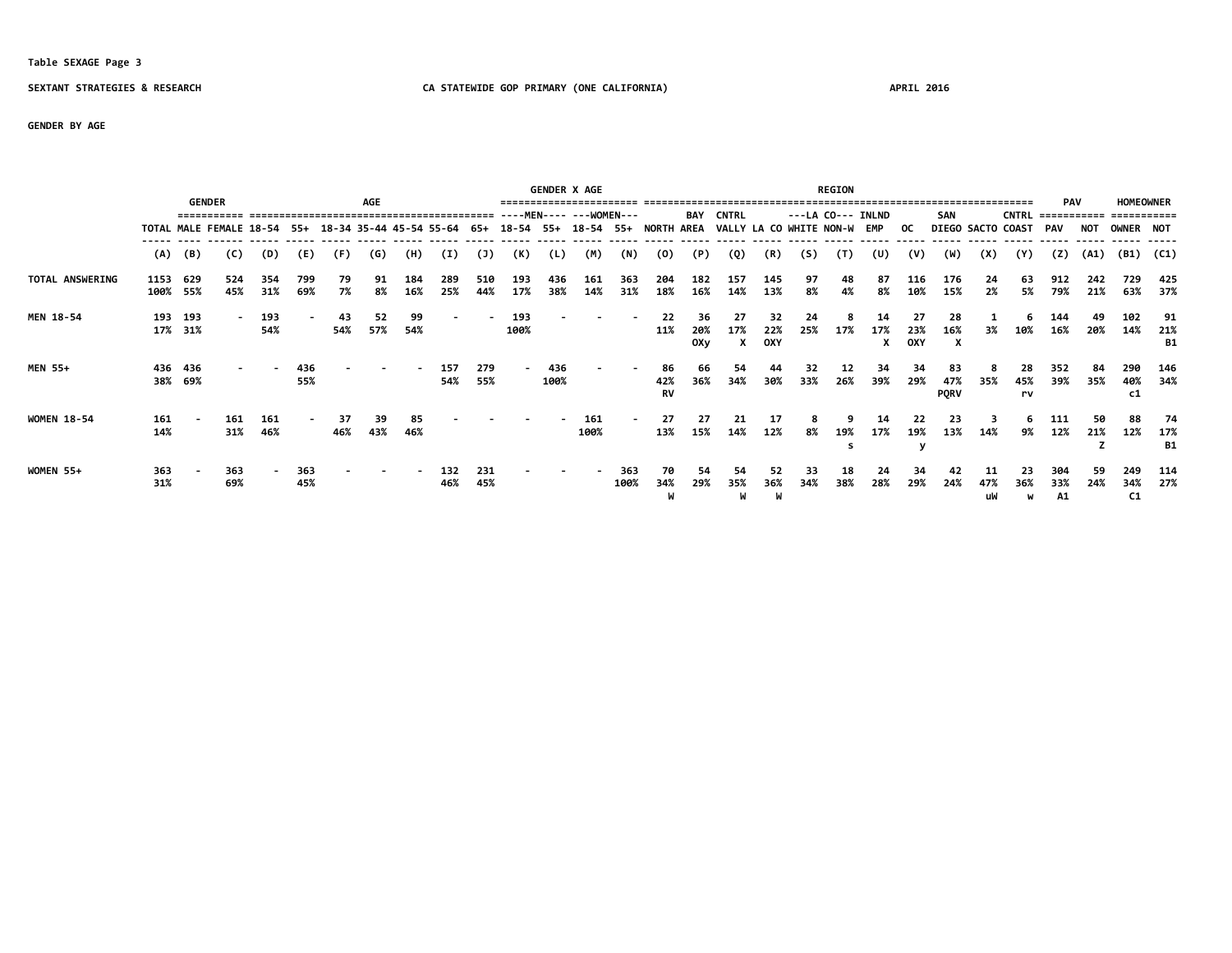### **Table SEXAGE Page 3**

### **SEXTANT STRATEGIES & RESEARCH CA STATEWIDE GOP PRIMARY (ONE CALIFORNIA) APRIL 2016**

**GENDER BY AGE**

|                    |            | <b>GENDER</b>      |                         |            |                |           | AGE       |                         |            |            |                | <b>GENDER X AGE</b> |             |             |                                |                  |                             |                         |           | <b>REGION</b> |                   |                  |                          |                   |                 | <b>PAV</b>       |            | <b>HOMEOWNER</b> |                        |
|--------------------|------------|--------------------|-------------------------|------------|----------------|-----------|-----------|-------------------------|------------|------------|----------------|---------------------|-------------|-------------|--------------------------------|------------------|-----------------------------|-------------------------|-----------|---------------|-------------------|------------------|--------------------------|-------------------|-----------------|------------------|------------|------------------|------------------------|
|                    |            |                    |                         |            |                |           |           |                         |            |            |                | -MEN----            | ---WOMEN--- |             |                                | BAY              | <b>CNTRL</b>                |                         |           |               | ---LA CO--- INLND |                  | <b>SAN</b>               |                   | <b>CNTRL</b>    | ==========       |            |                  |                        |
|                    |            |                    | TOTAL MALE FEMALE 18-54 |            | -55+           |           |           | 18-34 35-44 45-54 55-64 |            | 65+        |                |                     |             |             | 18-54 55+ 18-54 55+ NORTH AREA |                  | VALLY LA CO WHITE NON-W EMP |                         |           |               |                   | OC.              |                          | DIEGO SACTO COAST |                 | <b>PAV</b>       | <b>NOT</b> | OWNER NOT        |                        |
|                    | (A)        | (B)                | (C)                     | (D)        | (E)            | (F)       | (G)       | (H)                     | (I)        | (1)        | (K)            | (L)                 | (M)         | (N)         | (0)                            | (P)              | (Q)                         | (R)                     | (S)       | (T)           | (U)               | (V)              | (W)                      | (X)               | (Y)             | (2)              | (A1)       | (B1)             | (C1)                   |
| TOTAL ANSWERING    | 1153       | 629<br>100% 55%    | 524<br>45%              | 354<br>31% | 799<br>69%     | 79<br>7%  | 91<br>8%  | 184<br>16%              | 289<br>25% | 510<br>44% | 193<br>17%     | 436<br>38%          | 161<br>14%  | 363<br>31%  | 204<br>18%                     | 182<br>16%       | 157<br>14%                  | 145<br>13%              | 97<br>8%  | 48<br>4%      | 87<br>8%          | 116<br>10%       | 176<br>15%               | 24<br>2%          | 63<br>5%        | 912<br>79%       | 242<br>21% | 729<br>63%       | 425<br>37%             |
| MEN 18-54          | 193        | 193<br>17% 31%     |                         | 193<br>54% | $\blacksquare$ | 43<br>54% | 52<br>57% | 99<br>54%               |            |            | 193<br>100%    |                     |             |             | 22<br>11%                      | 36<br>20%<br>0Xy | 27<br>17%<br>x              | 32<br>22%<br><b>OXY</b> | 24<br>25% | 8<br>17%      | 14<br>17%<br>x    | 27<br>23%<br>OXY | 28<br>16%<br>X           | 3%                | 6<br>10%        | 144<br>16%       | 49<br>20%  | 102<br>14%       | 91<br>21%<br><b>B1</b> |
| <b>MEN 55+</b>     |            | 436 436<br>38% 69% |                         |            | 436<br>55%     |           |           |                         | 157<br>54% | 279<br>55% | $\blacksquare$ | 436<br>100%         |             |             | 86<br>42%<br><b>RV</b>         | 66<br>36%        | 54<br>34%                   | 44<br>30%               | 32<br>33% | 12<br>26%     | 34<br>39%         | 34<br>29%        | 83<br>47%<br><b>PQRV</b> | 35%               | 28<br>45%<br>rv | 352<br>39%       | 84<br>35%  | 290<br>40%<br>C1 | 146<br>34%             |
| <b>WOMEN 18-54</b> | 161<br>14% |                    | 161<br>31%              | 161<br>46% | $\blacksquare$ | 37<br>46% | 39<br>43% | 85<br>46%               |            |            |                |                     | 161<br>100% |             | 27<br>13%                      | 27<br>15%        | 21<br>14%                   | -17<br>12%              | 8<br>8%   | 9<br>19%<br>s | 14<br>17%         | 22<br>19%        | 23<br>13%                | 14%               | 6<br>9%         | 111<br>12%       | 50<br>21%  | 88<br>12%        | 74<br>17%<br><b>B1</b> |
| WOMEN 55+          | 363<br>31% |                    | 363<br>69%              |            | 363<br>45%     |           |           |                         | 132<br>46% | 231<br>45% |                |                     |             | 363<br>100% | 70<br>34%                      | 54<br>29%        | 54<br>35%<br>W              | 52<br>36%               | 33<br>34% | 18<br>38%     | 24<br>28%         | 34<br>29%        | 42<br>24%                | 47%<br>uW         | 23<br>36%<br>W  | 304<br>33%<br>A1 | 59<br>24%  | 249<br>34%<br>C1 | 114<br>27%             |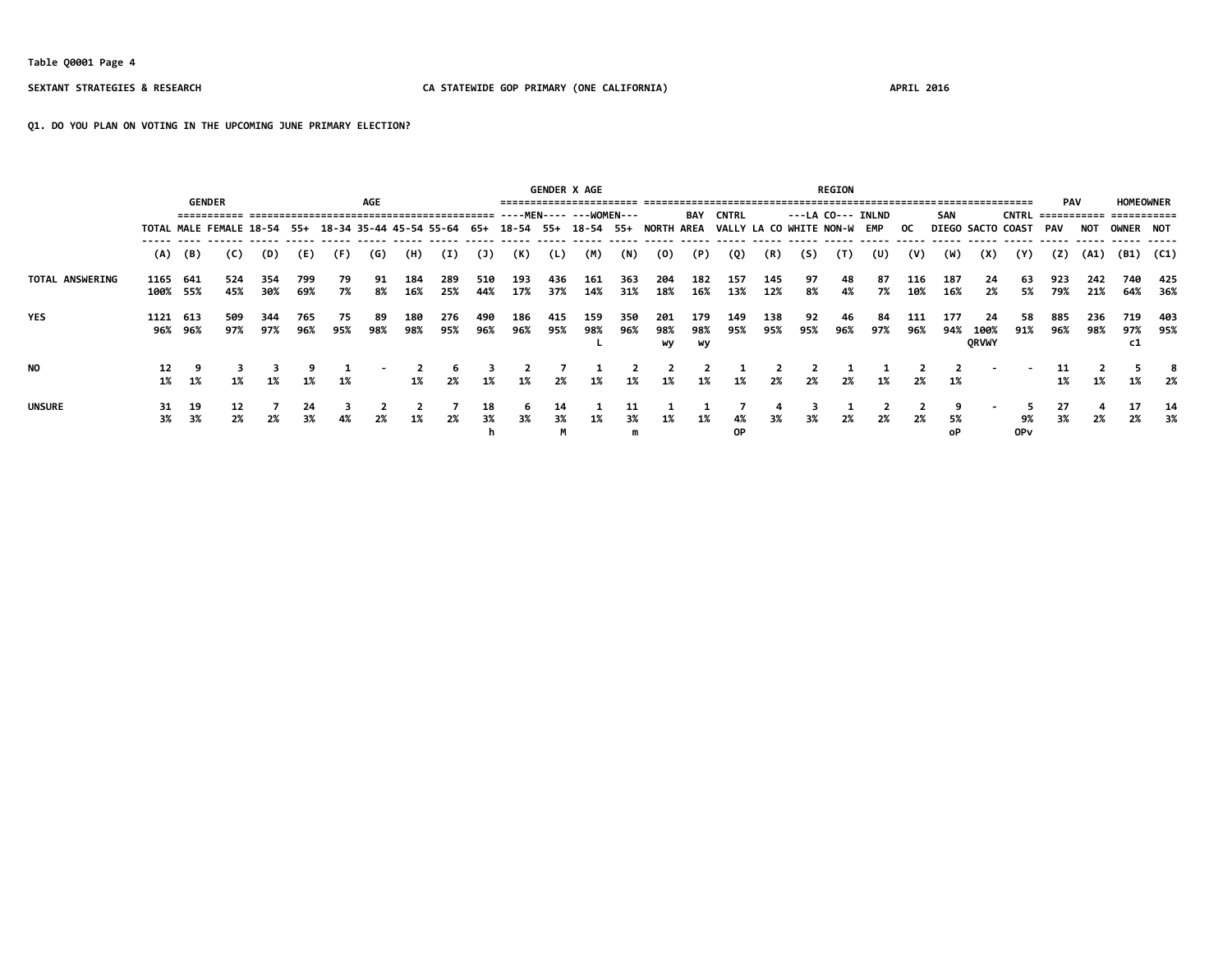**Table Q0001 Page 4**

### **SEXTANT STRATEGIES & RESEARCH CA STATEWIDE GOP PRIMARY (ONE CALIFORNIA) APRIL 2016**

**Q1. DO YOU PLAN ON VOTING IN THE UPCOMING JUNE PRIMARY ELECTION?**

|                        |          |                 |                                                                                        |            |            |           |            |            |            |            |            |            | <b>GENDER X AGE</b> |               |                  |                  |                             |            |           | <b>REGION</b>     |           |            |                   |                            |              |                           |            |                                 |               |
|------------------------|----------|-----------------|----------------------------------------------------------------------------------------|------------|------------|-----------|------------|------------|------------|------------|------------|------------|---------------------|---------------|------------------|------------------|-----------------------------|------------|-----------|-------------------|-----------|------------|-------------------|----------------------------|--------------|---------------------------|------------|---------------------------------|---------------|
|                        |          |                 | <b>GENDER</b>                                                                          |            |            |           | <b>AGE</b> |            |            |            |            |            |                     |               |                  | BAY              | <b>CNTRL</b>                |            |           | ---LA CO--- INLND |           |            | SAN               |                            | <b>CNTRL</b> | <b>PAV</b><br>=========== |            | <b>HOMEOWNER</b><br>=========== |               |
|                        |          |                 | TOTAL MALE FEMALE 18-54 55+ 18-34 35-44 45-54 55-64 65+ 18-54 55+ 18-54 55+ NORTH AREA |            |            |           |            |            |            |            |            |            |                     |               |                  |                  | VALLY LA CO WHITE NON-W EMP |            |           |                   |           | OC.        | DIEGO SACTO COAST |                            |              | PAV                       | <b>NOT</b> | OWNER NOT                       |               |
|                        | (A)      | (B)             | (C)                                                                                    | (D)        | (E)        | (F)       | (G)        | (H)        | (I)        | (1)        | (K)        | (L)        | (M)                 | (N)           | (0)              | (P)              | (Q)                         | (R)        | (S)       | (T)               | (U)       | (V)        | (W)               | (X)                        | (Y)          | (Z)                       | (A1)       |                                 | $(B1)$ $(C1)$ |
| <b>TOTAL ANSWERING</b> | 1165     | 641<br>100% 55% | 524<br>45%                                                                             | 354<br>30% | 799<br>69% | -79<br>7% | 91<br>8%   | 184<br>16% | 289<br>25% | 510<br>44% | 193<br>17% | 436<br>37% | 161<br>14%          | 363<br>31%    | 204<br>18%       | 182<br>16%       | 157<br>13%                  | 145<br>12% | 97<br>8%  | 48<br>4%          | 87<br>7%  | 116<br>10% | 187<br>16%        | -24<br>2%                  | 63<br>5%     | 923<br>79%                | 242<br>21% | 740<br>64%                      | 425<br>- 36%  |
| <b>YES</b>             | 1121     | 613<br>96% 96%  | 509<br>97%                                                                             | 344<br>97% | 765<br>96% | 75<br>95% | 89<br>98%  | 180<br>98% | 276<br>95% | 490<br>96% | 186<br>96% | 415<br>95% | 159<br>98%          | 350<br>96%    | 201<br>98%<br>wy | 179<br>98%<br>wy | 149<br>95%                  | 138<br>95% | 92<br>95% | 46<br>96%         | 84<br>97% | 111<br>96% | 177<br>94%        | 24<br>100%<br><b>ORVWY</b> | 58<br>91%    | 885<br>96%                | 236<br>98% | 719<br>97%<br>c1                | 403<br>95%    |
| <b>NO</b>              | 12<br>1% | 1%              | 1%                                                                                     | 1%         | 1%         | 1%        |            | 1%         | 2%         | 1%         | 1%         | 2%         | 1%                  | 1%            | 1%               | 1%               | 1%                          | 2%         | 2%        | 2%                | 1%        | 2%         | 1%                |                            |              | 11<br>1%                  | 1%         | 1%                              | 2%            |
| <b>UNSURE</b>          | 31<br>3% | 19<br>3%        | 12<br>2%                                                                               | 2%         | 24<br>3%   | 4%        | 2%         | 1%         | 2%         | 18<br>3%   | -6<br>3%   | 14<br>3%   | 1%                  | 11<br>3%<br>m | 1%               | 1%               | 4%<br>0P                    | 3%         | 3%        | 2%                | 2%        | 2%         | 5%<br>οP          |                            | 9%<br>0Pv    | 27<br>3%                  |            | 17<br>2%                        | 14<br>- 3%    |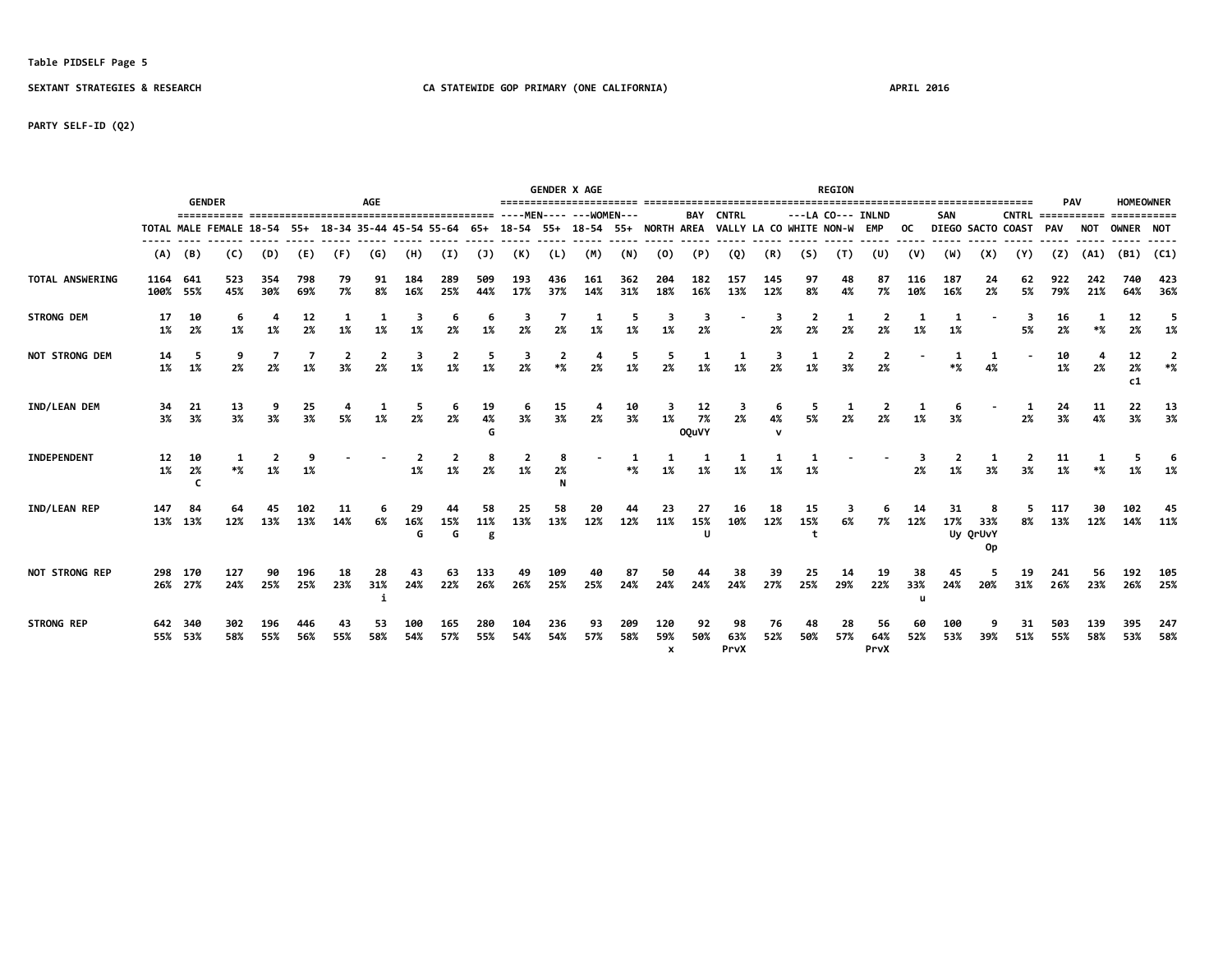### **Table PIDSELF Page 5**

**SEXTANT STRATEGIES & RESEARCH CA STATEWIDE GOP PRIMARY (ONE CALIFORNIA) APRIL 2016**

**PARTY SELF-ID (Q2)**

|                       |                  | <b>GENDER</b>      |                         |            |            |           | AGE       |                         |            |                |            |            | <b>GENDER X AGE</b><br>==================================== |            |                            |                          |                         |            |           | <b>REGION</b>     |                   |            |            |                       |                      | <b>PAV</b> |            |                | <b>HOMEOWNER</b> |
|-----------------------|------------------|--------------------|-------------------------|------------|------------|-----------|-----------|-------------------------|------------|----------------|------------|------------|-------------------------------------------------------------|------------|----------------------------|--------------------------|-------------------------|------------|-----------|-------------------|-------------------|------------|------------|-----------------------|----------------------|------------|------------|----------------|------------------|
|                       |                  |                    | ===========             |            |            |           |           |                         |            |                |            |            |                                                             |            |                            | <b>BAY</b>               | <b>CNTRL</b>            |            |           | ---LA CO--- INLND |                   |            | <b>SAN</b> |                       | $CNTRL$ ============ |            |            | ===========    |                  |
|                       |                  |                    | TOTAL MALE FEMALE 18-54 |            | 55+        |           |           | 18-34 35-44 45-54 55-64 |            | 65+            |            |            | 18-54 55+ 18-54 55+ NORTH AREA                              |            |                            |                          | VALLY LA CO WHITE NON-W |            |           |                   | EMP               | OC.        |            |                       | DIEGO SACTO COAST    | <b>PAV</b> | NOT        | OWNER NOT      |                  |
|                       | (A)              | (B)                | (C)                     | (D)        | (E)        | (F)       | (G)       | (H)                     | (I)        | (1)            | (K)        | (L)        | (M)                                                         | (N)        | (0)                        | (P)                      | (Q)                     | (R)        | (S)       | (T)               | (U)               | (V)        | (W)        | (X)                   | (Y)                  | (7)        | (A1)       | (B1)           | (C1)             |
| TOTAL ANSWERING       | 1164<br>100% 55% | 641                | 523<br>45%              | 354<br>30% | 798<br>69% | 79<br>7%  | 91<br>8%  | 184<br>16%              | 289<br>25% | 509<br>44%     | 193<br>17% | 436<br>37% | 161<br>14%                                                  | 362<br>31% | 204<br>18%                 | 182<br>16%               | 157<br>13%              | 145<br>12% | 97<br>8%  | 48<br>4%          | 87<br>7%          | 116<br>10% | 187<br>16% | 24<br>2%              | 62<br>5%             | 922<br>79% | 242<br>21% | 740<br>64%     | 423<br>36%       |
| STRONG DEM            | 17<br>1%         | 10<br>2%           | 1%                      | 1%         | 12<br>2%   | 1%        | 1%        |                         | 2%         | 6<br>1%        | з<br>2%    | 2%         | 1%                                                          | 5          | 1%                         | -3<br>2%                 |                         | 2%         | 2<br>2%   | 2%                | 2%                | 1%         | 1%         |                       | 3<br>5%              | 16<br>2%   | $*%$       | 12<br>2%       | 5<br>1%          |
| NOT STRONG DEM        | 14<br>1%         | 5<br>1%            | 2%                      | 7<br>2%    | 1%         | 3%        | 2%        | 3<br>1%                 | 1%         | 5<br>1%        | 3<br>2%    | $*$ %      | 2%                                                          | 5<br>1%    | 2%                         | 1%                       | 1%                      | 2%         | 1%        | 3%                | 2%                |            | $*%$       | 4%                    |                      | 10<br>1%   | 2%         | 12<br>2%<br>c1 | $*$ %            |
| IND/LEAN DEM          | 34<br>3%         | 21<br>3%           | 13<br>3%                | 3%         | 25<br>3%   | 5%        | 1%        | 5<br>2%                 | 2%         | 19<br>4%       | 6<br>3%    | 15<br>3%   | 2%                                                          | 10<br>3%   | 1%                         | 12<br>7%<br><b>OQuVY</b> | з<br>2%                 | 4%         | 5<br>5%   |                   |                   | 1%         |            |                       | 2%                   | 24<br>3%   | 11<br>4%   | 22<br>3%       | 13<br>3%         |
| INDEPENDENT           | 12<br>1%         | 10<br>2%           |                         | 1%         |            |           |           | 1%                      | 1%         | 8<br>2%        | 1%         | 2%         |                                                             | $*$ %      | 1%                         | 1%                       |                         |            | 1%        |                   |                   | 2%         |            |                       | 3%                   | 11<br>1%   |            | 5              |                  |
| IND/LEAN REP          | 147              | 84<br>13% 13%      | 12%                     | 13%        | 13%        | 14%       | 6%        | 29<br>16%<br>G          | 15%<br>G   | 58<br>11%<br>g | 25<br>13%  | 58<br>13%  | 20<br>12%                                                   | 12%        | 23<br>11%                  | 27<br>15%<br>U           | 16<br>10%               | 18<br>12%  | 15<br>15% | 6%                | 7%                | 12%        | 31<br>17%  | 33%<br>Uy QrUvY<br>0p | 5<br>8%              | 117<br>13% | 12%        | 14%            | 45<br>11%        |
| <b>NOT STRONG REP</b> |                  | 298 170<br>26% 27% | 127<br>24%              | 25%        | 196<br>25% | 18<br>23% | 28<br>31% | 43<br>24%               | 63<br>22%  | 133<br>26%     | 49<br>26%  | 109<br>25% | 25%                                                         | 87<br>24%  | 24%                        | 24%                      | 24%                     | 27%        | 25%       | 29%               | 19<br>22%         | 33%<br>u   | 45<br>24%  | 20%                   | 19<br>31%            | 241<br>26% | 23%        | 26%            | 105<br>25%       |
| <b>STRONG REP</b>     |                  | 642 340<br>55% 53% | 302<br>58%              | 196<br>55% | 446<br>56% | 43<br>55% | 53<br>58% | 54%                     | 165<br>57% | 280<br>55%     | 104<br>54% | 236<br>54% | 93<br>57%                                                   | 209<br>58% | 120<br>59%<br>$\mathbf{x}$ | 92<br>50%                | 98<br>63%<br>PrvX       | 76<br>52%  | 48<br>50% | 28<br>57%         | 56<br>64%<br>PrvX | 60<br>52%  | 100<br>53% | 39%                   | 31<br>51%            | 503<br>55% | 139<br>58% | 53%            | 247<br>58%       |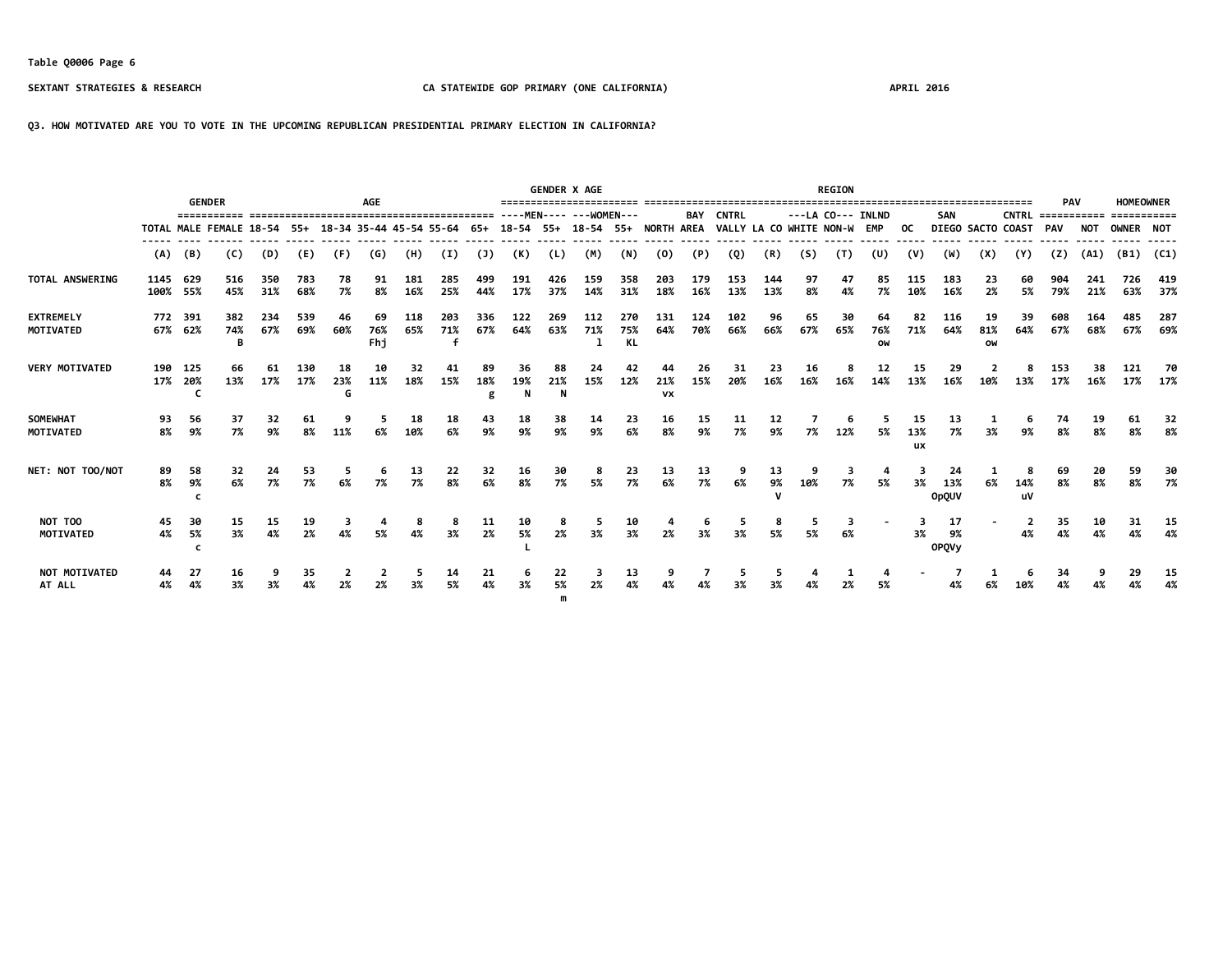### **Q3. HOW MOTIVATED ARE YOU TO VOTE IN THE UPCOMING REPUBLICAN PRESIDENTIAL PRIMARY ELECTION IN CALIFORNIA?**

|                               |          |                    |                                                                                        |            |            |           | <b>AGE</b>       |            |            |                |                |            | <b>GENDER X AGE</b> |                   |                  |            |                             |            |           | <b>REGION</b> | ================================== |                        |                           |                 |                          | <b>PAV</b> |            | <b>HOMEOWNER</b> |               |
|-------------------------------|----------|--------------------|----------------------------------------------------------------------------------------|------------|------------|-----------|------------------|------------|------------|----------------|----------------|------------|---------------------|-------------------|------------------|------------|-----------------------------|------------|-----------|---------------|------------------------------------|------------------------|---------------------------|-----------------|--------------------------|------------|------------|------------------|---------------|
| <b>GENDER</b>                 |          |                    |                                                                                        |            |            |           |                  |            |            |                |                |            |                     |                   |                  | BAY        | <b>CNTRL</b>                |            |           |               | ---LA CO--- INLND                  |                        | <b>SAN</b>                |                 | $CNTRL$ ============     |            |            | ===========      |               |
|                               |          |                    | TOTAL MALE FEMALE 18-54 55+ 18-34 35-44 45-54 55-64 65+ 18-54 55+ 18-54 55+ NORTH AREA |            |            |           |                  |            |            |                |                |            |                     |                   |                  |            | VALLY LA CO WHITE NON-W EMP |            |           |               |                                    | OC.                    |                           |                 | <b>DIEGO SACTO COAST</b> | <b>PAV</b> | <b>NOT</b> | <b>OWNER NOT</b> |               |
|                               | (A)      | (B)                | (C)                                                                                    | (D)        | (E)        | (F)       | (G)              | (H)        | (I)        | (1)            | (K)            | (L)        | (M)                 | (N)               | (0)              | (P)        | (Q)                         | (R)        | (S)       | (T)           | (U)                                | (V)                    | (W)                       | (X)             | (Y)                      | (Z)        | (A1)       |                  | $(B1)$ $(C1)$ |
| TOTAL ANSWERING               | 1145 629 | 100% 55%           | 516<br>45%                                                                             | 350<br>31% | 783<br>68% | 78<br>7%  | 91<br>8%         | 181<br>16% | 285<br>25% | 499<br>44%     | 191<br>17%     | 426<br>37% | 159<br>14%          | 358<br>31%        | 203<br>18%       | 179<br>16% | 153<br>13%                  | 144<br>13% | 97<br>8%  | 47<br>4%      | 85<br>7%                           | 115<br>10%             | 183<br>16%                | 23<br>2%        | 5%                       | 79%        | 21%        | 726<br>63%       | 419<br>37%    |
| <b>EXTREMELY</b><br>MOTIVATED |          | 772 391<br>67% 62% | 382<br>74%<br>в                                                                        | 234<br>67% | 539<br>69% | 46<br>60% | 69<br>76%<br>Fhi | 118<br>65% | 203<br>71% | 336<br>67%     | 122<br>64%     | 269<br>63% | 112<br>71%          | 270<br>75%<br>KL. | 131<br>64%       | 124<br>70% | 102<br>66%                  | 96<br>66%  | 65<br>67% | 30<br>65%     | 64<br>76%<br>OW                    | 82<br>71%              | 116<br>64%                | 19<br>81%<br>OW | 39<br>64%                | 608<br>67% | 164<br>68% | 485<br>67%       | 287<br>69%    |
| <b>VERY MOTIVATED</b>         |          | 190 125<br>17% 20% | 66<br>13%                                                                              | 61<br>17%  | 130<br>17% | 18<br>23% | 10<br>11%        | 32<br>18%  | 15%        | 89<br>18%<br>g | 36<br>19%<br>N | 88<br>21%  | 24<br>15%           | 42<br>12%         | 21%<br><b>VX</b> | 26<br>15%  | 31<br>20%                   | 23<br>16%  | 16<br>16% | 16%           | 12<br>14%                          | 15<br>13%              | 29<br>16%                 | 10%             | 13%                      | 153<br>17% | 38<br>16%  | 121<br>17%       | -70<br>17%    |
| SOMEWHAT<br><b>MOTIVATED</b>  | 93<br>8% | 56<br>9%           | 37<br>7%                                                                               | 32<br>9%   | 61<br>8%   | 11%       | 6%               | 18<br>10%  | 18<br>6%   | 43<br>9%       | 18<br>9%       | 38<br>9%   | 14<br>9%            | 23<br>6%          | 16<br>8%         | 15<br>9%   | 11<br>7%                    | 9%         | 7%        | 12%           | 5%                                 | 15<br>13%<br><b>ux</b> | 13<br>7%                  | 3%              | 9%                       | 74<br>8%   | 19<br>8%   | 61<br>8%         | 32<br>8%      |
| NET: NOT TOO/NOT              | 89<br>8% | 58<br>9%           | 32<br>6%                                                                               | 24<br>7%   | 53<br>7%   | 6%        | 6<br>7%          | 13<br>7%   | 22<br>8%   | 32<br>6%       | 16<br>8%       | 30<br>7%   | 8<br>5%             | 23<br>7%          | 13<br>6%         | 13<br>7%   | 9<br>6%                     | 13<br>9%   | 10%       | 5<br>7%       | 5%                                 | 3%                     | 24<br>13%<br><b>OpQUV</b> | 6%              | 8<br>14%<br>uV           | 69<br>8%   | 20<br>8%   | 59<br>8%         | 30<br>7%      |
| NOT TOO<br><b>MOTIVATED</b>   | 45<br>4% | 30<br>5%           | 15<br>3%                                                                               | 15<br>4%   | 19<br>2%   |           | 5%               | 8<br>4%    | 3%         | 11<br>2%       | 10<br>5%       | 2%         | 3%                  | 10<br>3%          | 2%               | 3%         | 3%                          | 5%         | 5%        | 6%            |                                    | 3%                     | 17<br>9%<br><b>OPQVy</b>  |                 | 2<br>4%                  | 35<br>4%   | 10<br>4%   | 31<br>4%         | 15<br>4%      |
| NOT MOTIVATED<br>AT ALL       | 44<br>4% | 4%                 | 16<br>3%                                                                               |            | 35         |           |                  |            | 14<br>5%   | 21<br>4%       | 6<br>3%        | 22<br>5%   | 2%                  | 13<br>4%          |                  |            | כ                           |            |           |               |                                    |                        |                           |                 |                          | 34         |            | 29               | 15<br>4%      |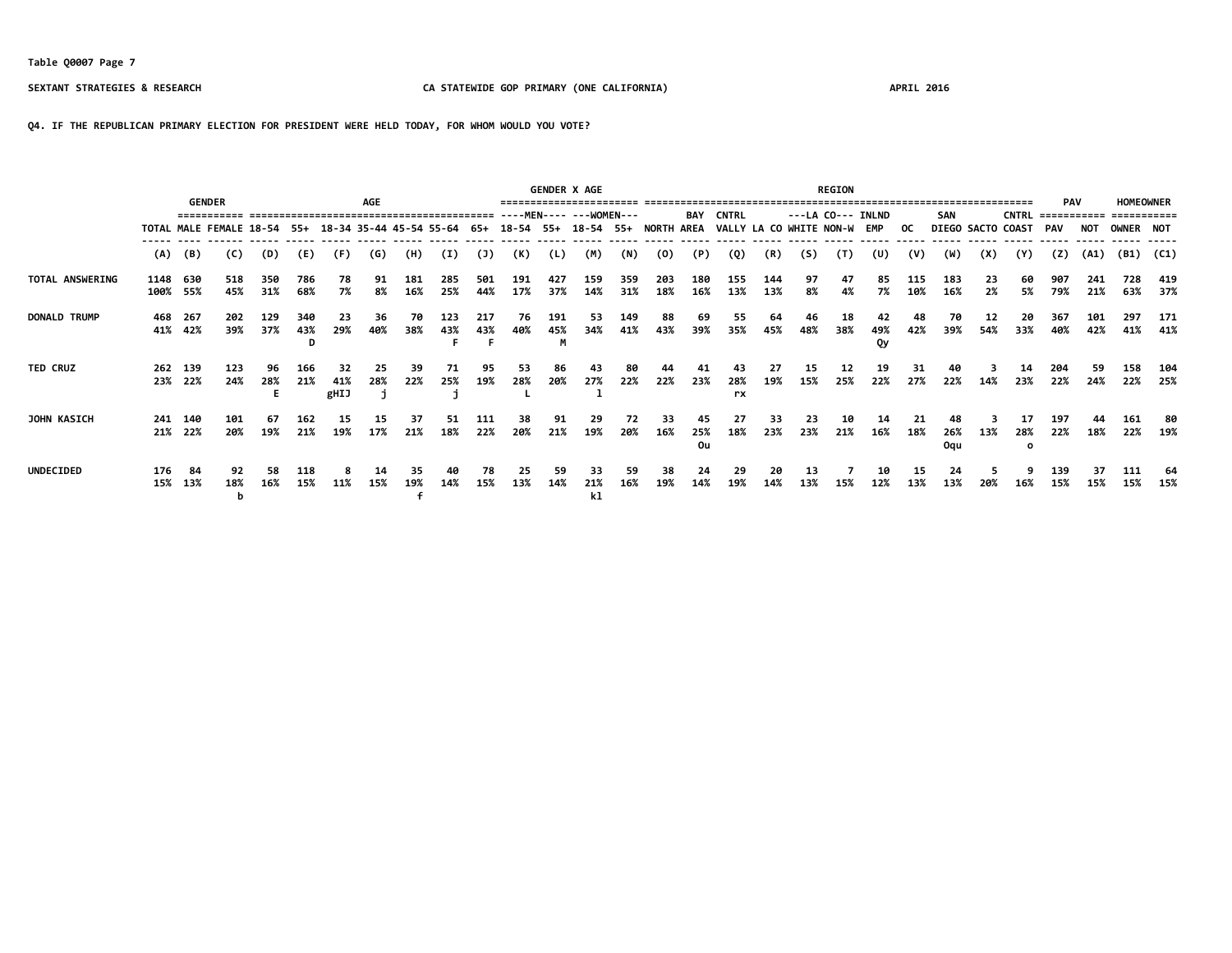## **Q4. IF THE REPUBLICAN PRIMARY ELECTION FOR PRESIDENT WERE HELD TODAY, FOR WHOM WOULD YOU VOTE?**

|                     |                  |                    |                                                     |                |            |                          | <b>AGE</b> |                                   |            |            |                                | <b>GENDER X AGE</b> |                          |            |            |                 |                             |            |           | <b>REGION</b> |                   |            |                         |                   |                           | <b>PAV</b>   |            | <b>HOMEOWNER</b> |            |
|---------------------|------------------|--------------------|-----------------------------------------------------|----------------|------------|--------------------------|------------|-----------------------------------|------------|------------|--------------------------------|---------------------|--------------------------|------------|------------|-----------------|-----------------------------|------------|-----------|---------------|-------------------|------------|-------------------------|-------------------|---------------------------|--------------|------------|------------------|------------|
|                     |                  | <b>GENDER</b>      |                                                     |                |            |                          |            | --------------------------------- |            |            |                                |                     | ----MEN---- --- WOMEN--- |            |            | BAY             | <b>CNTRL</b>                |            |           |               | ---LA CO--- INLND |            | SAN                     |                   | <b>CNTRL</b>              | ------------ |            | ===========      |            |
|                     |                  |                    | TOTAL MALE FEMALE 18-54 55+ 18-34 35-44 45-54 55-64 |                |            |                          |            |                                   |            | 65+        | 18-54 55+ 18-54 55+ NORTH AREA |                     |                          |            |            |                 | VALLY LA CO WHITE NON-W EMP |            |           |               |                   | OC.        |                         | DIEGO SACTO COAST |                           | PAV          | NOT        | <b>OWNER NOT</b> |            |
|                     | (A)              | (B)                | (C)                                                 | (D)            | (E)        | (F)                      | (G)        | (H)                               | (I)        | (1)        | (K)                            | (L)                 | (M)                      | (N)        | (0)        | (P)             | (Q)                         | (R)        | (S)       | (T)           | (U)               | (V)        | (W)                     | (X)               | (Y)                       | (2)          | (A1)       | (B1)             | (C1)       |
| TOTAL ANSWERING     | 1148 630<br>100% | 55%                | 518<br>45%                                          | 350<br>31%     | 786<br>68% | 78<br>7%                 | 91<br>8%   | 181<br>16%                        | 285<br>25% | 501<br>44% | 191<br>17%                     | 427<br>37%          | 159<br>14%               | 359<br>31% | 203<br>18% | 180<br>16%      | 155<br>13%                  | 144<br>13% | 97<br>8%  | 47<br>4%      | 85<br>7%          | 115<br>10% | 183<br>16%              | 23<br>2%          | 60<br>5%                  | 907<br>79%   | 241<br>21% | 728<br>63%       | 419<br>37% |
| <b>DONALD TRUMP</b> | 468              | - 267<br>41% 42%   | 202<br>39%                                          | 129<br>37%     | 340<br>43% | 23<br>29%                | 36<br>40%  | 70<br>38%                         | 123<br>43% | 217<br>43% | 76<br>40%                      | 191<br>45%<br>M     | 53<br>34%                | 149<br>41% | 88<br>43%  | 69<br>39%       | 55<br>35%                   | 64<br>45%  | 46<br>48% | 18<br>38%     | 42<br>49%<br>Qy   | 48<br>42%  | 70<br>39%               | 12<br>54%         | 20<br>33%                 | 367<br>40%   | 101<br>42% | 297<br>41%       | 171<br>41% |
| <b>TED CRUZ</b>     |                  | 262 139<br>23% 22% | 123<br>24%                                          | 96<br>28%<br>Е | 166<br>21% | 32<br>41%<br><b>gHIJ</b> | 25<br>28%  | 39<br>22%                         | 71<br>25%  | 95<br>19%  | 53<br>28%                      | 86<br>20%           | 43<br>27%                | 80<br>22%  | 44<br>22%  | 41<br>23%       | 43<br>28%<br>rx             | 27<br>19%  | 15<br>15% | 12<br>25%     | 19<br>22%         | 31<br>27%  | 40<br>22%               | 14%               | 14<br>23%                 | 204<br>22%   | 59<br>24%  | 158<br>22%       | 104<br>25% |
| <b>JOHN KASICH</b>  |                  | 241 140<br>21% 22% | 101<br>20%                                          | 67<br>19%      | 162<br>21% | 15<br>19%                | 15<br>17%  | 37<br>21%                         | 51<br>18%  | 111<br>22% | 38<br>20%                      | 91<br>21%           | 29<br>19%                | 72<br>20%  | 33<br>16%  | 45<br>25%<br>Ou | 27<br>18%                   | 33<br>23%  | 23<br>23% | 10<br>21%     | 14<br>16%         | 21<br>18%  | 48<br>26%<br><b>Ogu</b> | 13%               | 17<br>28%<br>$\mathbf{o}$ | 197<br>22%   | 18%        | 161<br>22%       | 80<br>19%  |
| <b>UNDECIDED</b>    | 176              | -84<br>15% 13%     | 92<br>18%<br>b                                      | 58<br>16%      | 118<br>15% | 11%                      | 14<br>15%  | 35<br>19%                         | 40<br>14%  | 78<br>15%  | 25<br>13%                      | 59<br>14%           | 33<br>21%<br>k1          | 59<br>16%  | 38<br>19%  | 24<br>14%       | 29<br>19%                   | 20<br>14%  | 13<br>13% | 15%           | 10<br>12%         | 15<br>13%  | 24<br>13%               | 20%               | 16%                       | 139<br>15%   | 37<br>15%  | 111<br>15%       | 64<br>15%  |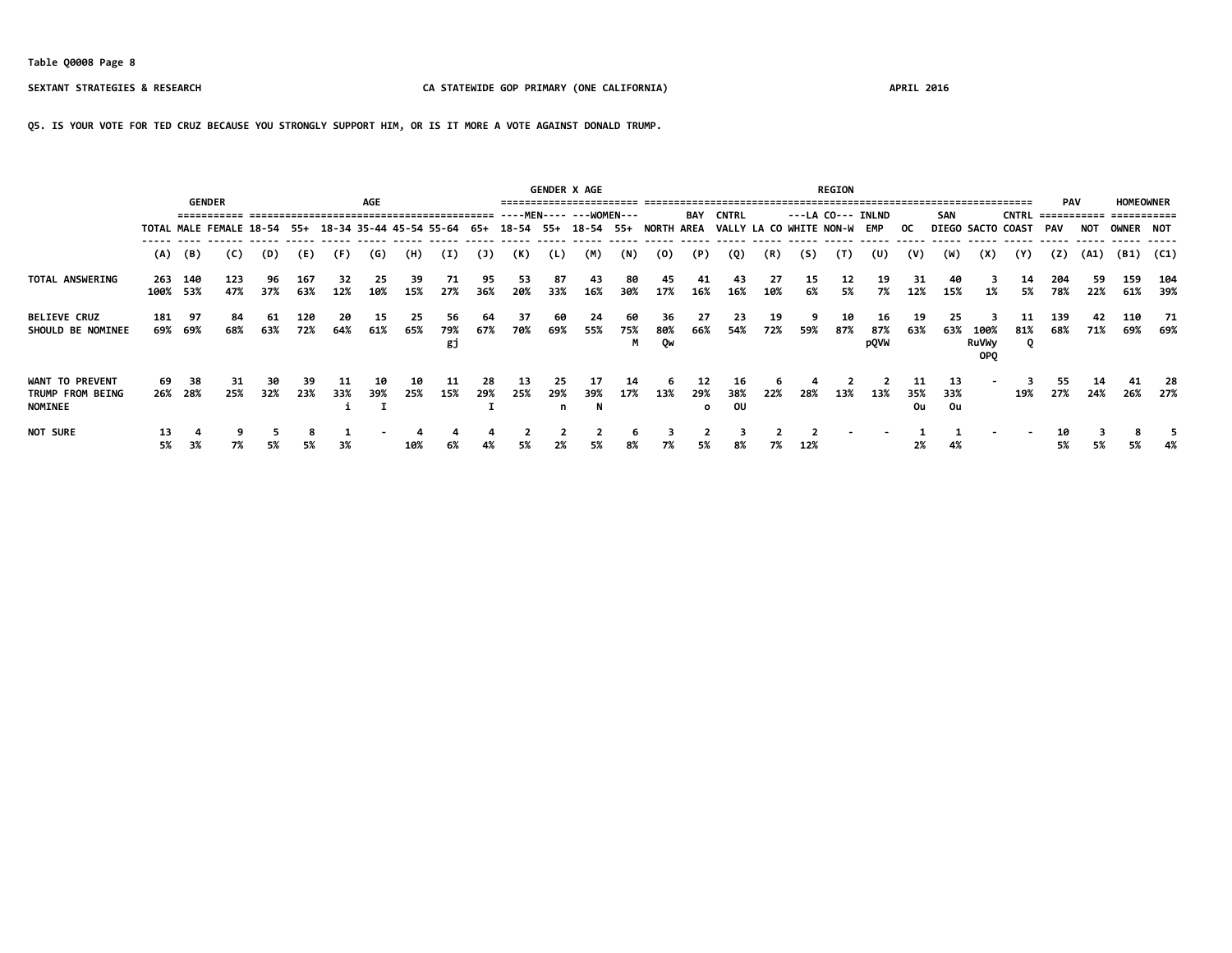**Q5. IS YOUR VOTE FOR TED CRUZ BECAUSE YOU STRONGLY SUPPORT HIM, OR IS IT MORE A VOTE AGAINST DONALD TRUMP.**

|                                                              |          |                 | <b>GENDER</b>                                           |           |            |           | AGE       |           |                 |           |            |                | <b>GENDER X AGE</b>     |                 |                                |                      |                             |           |          | <b>REGION</b> |                   |           |                 |                                    |                   | <b>PAV</b>               |            | <b>HOMEOWNER</b> |            |
|--------------------------------------------------------------|----------|-----------------|---------------------------------------------------------|-----------|------------|-----------|-----------|-----------|-----------------|-----------|------------|----------------|-------------------------|-----------------|--------------------------------|----------------------|-----------------------------|-----------|----------|---------------|-------------------|-----------|-----------------|------------------------------------|-------------------|--------------------------|------------|------------------|------------|
|                                                              |          |                 |                                                         |           |            |           |           |           |                 |           |            |                | ----MEN---- ---WOMEN--- |                 |                                | <b>BAY</b>           | <b>CNTRL</b>                |           |          |               | ---LA CO--- INLND |           | SAN             |                                    | <b>CNTRL</b>      | ============ =========== |            |                  |            |
|                                                              |          |                 | TOTAL MALE FEMALE 18-54 55+ 18-34 35-44 45-54 55-64 65+ |           |            |           |           |           |                 |           |            |                |                         |                 | 18-54 55+ 18-54 55+ NORTH AREA |                      | VALLY LA CO WHITE NON-W EMP |           |          |               |                   | OC.       |                 |                                    | DIEGO SACTO COAST | PAV                      | <b>NOT</b> | OWNER NOT        |            |
|                                                              | (A)      | (B)             | (C)                                                     | (D)       | (E)        | (F)       | (G)       | (H)       | (I)             | (3)       | (K)        | (L)            | (M)                     | (N)             | (0)                            | (P)                  | (Q)                         | (R)       | (S)      | (T)           | (U)               | (V)       | (W)             | (X)                                | (Y)               | (Z)                      | (A1)       | (B1)             | (C1)       |
| TOTAL ANSWERING                                              | 263      | 140<br>100% 53% | 123<br>47%                                              | 96<br>37% | 167<br>63% | 32<br>12% | 25<br>10% | 39<br>15% | 71<br>27%       | 95<br>36% | 53<br>20%  | 87<br>33%      | 43<br>16%               | 80<br>30%       | 45<br>17%                      | 41<br>16%            | 43<br>16%                   | 27<br>10% | 15<br>6% | 12<br>5%      | 19<br>7%          | 31<br>12% | 40<br>15%       | 1%                                 | 14<br>5%          | 204<br>78%               | 59<br>22%  | 159<br>61%       | 104<br>39% |
| <b>BELIEVE CRUZ</b><br>SHOULD BE NOMINEE                     | 181      | 97<br>69% 69%   | 84<br>68%                                               | 61<br>63% | 120<br>72% | 20<br>64% | 15<br>61% | 25<br>65% | 56<br>79%<br>gj | 64<br>67% | -37<br>70% | 60<br>69%      | 24<br>55%               | -60<br>75%<br>M | 36<br>80%<br>Qw                | 27<br>66%            | 23<br>54%                   | 19<br>72% | 59%      | 10<br>87%     | 16<br>87%<br>pQVW | 19<br>63% | 25<br>63%       | 100%<br><b>RuVWy</b><br><b>OPO</b> | 11<br>81%<br>o    | 139<br>68%               | 42<br>71%  | 110<br>69%       | 71<br>69%  |
| <b>WANT TO PREVENT</b><br>TRUMP FROM BEING<br><b>NOMINEE</b> | 69       | 38<br>26% 28%   | 31<br>25%                                               | 30<br>32% | -39<br>23% | 33%       | 10<br>39% | 10<br>25% | 15%             | 28<br>29% | -13<br>25% | 25<br>29%<br>n | 17<br>39%<br>N          | 14<br>17%       | 13%                            | 12<br>29%<br>$\circ$ | 16<br>38%<br>OU             | 22%       | 28%      | 13%           | 13%               | 35%<br>0u | 13<br>33%<br>0u |                                    | 19%               | 55<br>27%                | 24%        | 41<br>26%        | -28<br>27% |
| <b>NOT SURE</b>                                              | 13<br>5% | 3%              | 7%                                                      | 5%        | 5%         | 3%        |           | 10%       | 6%              | 4%        | 5%         | 2%             | 5%                      | 8%              | 7%                             | 5%                   | 8%                          | 7%        | 12%      |               |                   | 2%        | 4%              |                                    |                   | 10<br>5%                 |            | 5%               | 4%         |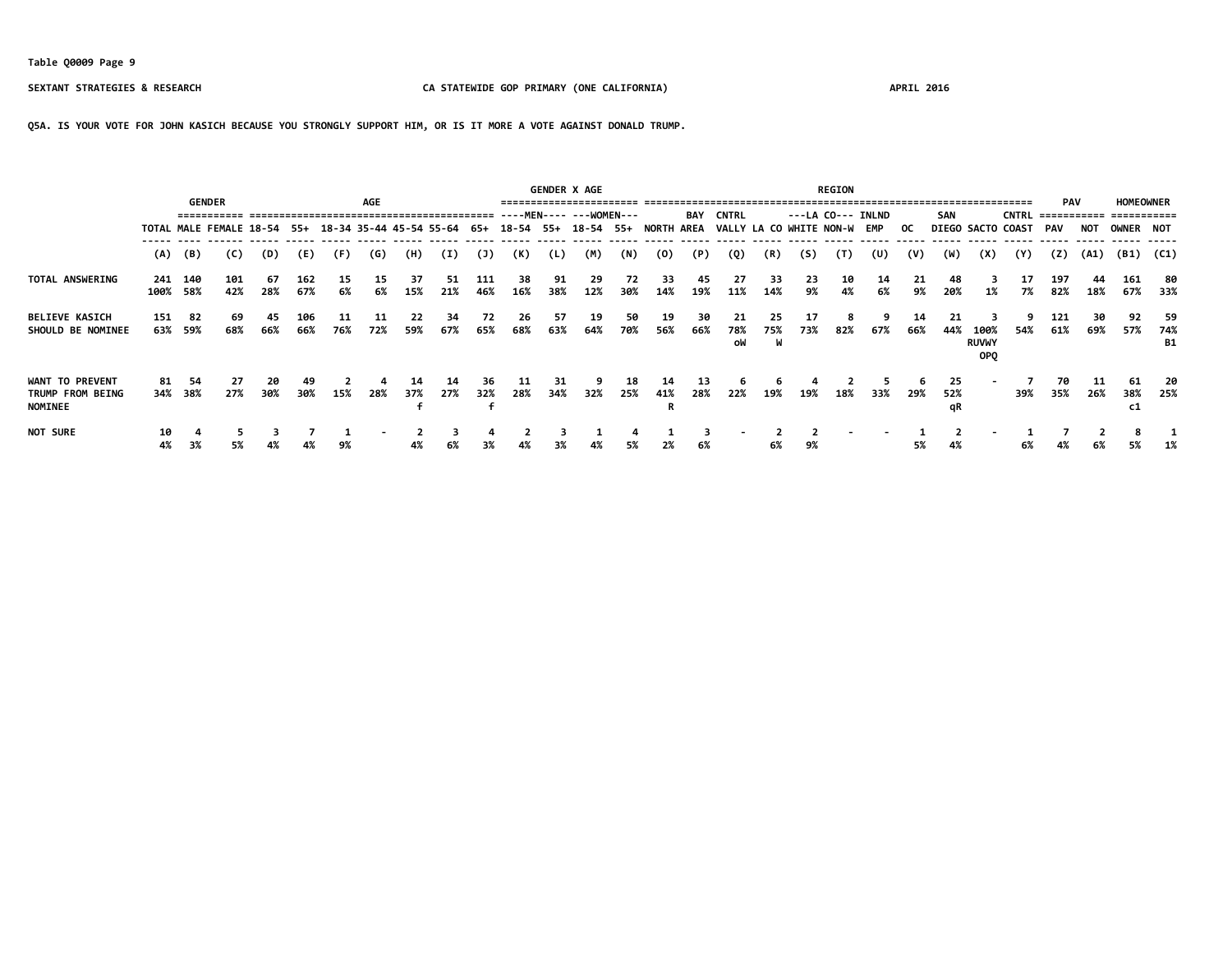**Q5A. IS YOUR VOTE FOR JOHN KASICH BECAUSE YOU STRONGLY SUPPORT HIM, OR IS IT MORE A VOTE AGAINST DONALD TRUMP.**

|                                                       |            |                 |                                                         |           |            |           |           |           |           |              |            |            | <b>GENDER X AGE</b>      |           |                   |            |                             |                |           | <b>REGION</b> |                   |           |                 |                                    |                   |            |            |                                              |                         |
|-------------------------------------------------------|------------|-----------------|---------------------------------------------------------|-----------|------------|-----------|-----------|-----------|-----------|--------------|------------|------------|--------------------------|-----------|-------------------|------------|-----------------------------|----------------|-----------|---------------|-------------------|-----------|-----------------|------------------------------------|-------------------|------------|------------|----------------------------------------------|-------------------------|
|                                                       |            |                 | <b>GENDER</b>                                           |           |            |           | AGE       |           |           |              |            |            | ----MEN---- --- WOMEN--- |           |                   | <b>BAY</b> | <b>CNTRL</b>                |                |           |               | ---LA CO--- INLND |           | <b>SAN</b>      |                                    | <b>CNTRL</b>      | <b>PAV</b> |            | <b>HOMEOWNER</b><br>============ =========== |                         |
|                                                       |            |                 | TOTAL MALE FEMALE 18-54 55+ 18-34 35-44 45-54 55-64 65+ |           |            |           |           |           |           |              |            |            | 18-54 55+ 18-54 55+      |           | <b>NORTH AREA</b> |            | VALLY LA CO WHITE NON-W EMP |                |           |               |                   | OC.       |                 |                                    | DIEGO SACTO COAST | PAV        | <b>NOT</b> | <b>OWNER NOT</b>                             |                         |
|                                                       | (A)        | (B)             | (C)                                                     | (D)       | (E)        | (F)       | (G)       | (H)       | (I)       | $\mathsf{U}$ | (K)        | (L)        | (M)                      | (N)       | (0)               | (P)        | (Q)                         | (R)            | (S)       | (T)           | (U)               | (V)       | (W)             | (X)                                | (Y)               | (Z)        | (A1)       | (B1)                                         | (C1)                    |
| TOTAL ANSWERING                                       | 241        | 140<br>100% 58% | 101<br>42%                                              | 67<br>28% | 162<br>67% | 15<br>6%  | 15<br>6%  | 37<br>15% | 51<br>21% | 111<br>46%   | 38<br>16%  | 91.<br>38% | 29<br>12%                | 72<br>30% | 33<br>14%         | 45<br>19%  | 27<br>11%                   | 33<br>14%      | 23<br>9%  | 10<br>4%      | 14<br>6%          | 21<br>9%  | 48<br>20%       | 1%                                 | 17<br>7%          | 197<br>82% | 44<br>18%  | 161<br>67%                                   | 80<br>33%               |
| <b>BELIEVE KASICH</b><br>SHOULD BE NOMINEE            | 151<br>63% | 82<br>59%       | 69<br>68%                                               | 45<br>66% | 106<br>66% | 11<br>76% | 11<br>72% | 22<br>59% | 34<br>67% | 72<br>65%    | 26<br>68%  | 57<br>63%  | 19<br>64%                | 50<br>70% | 19<br>56%         | 30<br>66%  | 21<br>78%<br>oW             | 25<br>75%<br>W | 17<br>73% | 82%           | 67%               | 14<br>66% | 21<br>44%       | 100%<br><b>RUVWY</b><br><b>OPO</b> | 9<br>54%          | 121<br>61% | 30<br>69%  | 92<br>57%                                    | -59<br>74%<br><b>B1</b> |
| WANT TO PREVENT<br>TRUMP FROM BEING<br><b>NOMINEE</b> | 81         | 54<br>34% 38%   | 27<br>27%                                               | 20<br>30% | 49<br>30%  | 15%       | 28%       | 14<br>37% | 14<br>27% | 36.<br>32%   | -11<br>28% | 31<br>34%  | 32%                      | 18<br>25% | 14<br>41%         | 13<br>28%  | 22%                         | 19%            | 19%       | 18%           | 33%               | 29%       | 25<br>52%<br>qR |                                    | 39%               | 70<br>35%  | 26%        | 61<br>38%<br>c1                              | -20<br>25%              |
| <b>NOT SURE</b>                                       | 10<br>4%   | 3%              | 5%                                                      | 4%        | 4%         | 9%        |           | 4%        | 6%        | 3%           | 4%         | 3%         |                          | 5%        | 2%                | 6%         |                             | 6%             | 9%        |               |                   | 5%        | 4%              |                                    | 6%                | 4%         |            | 5%                                           |                         |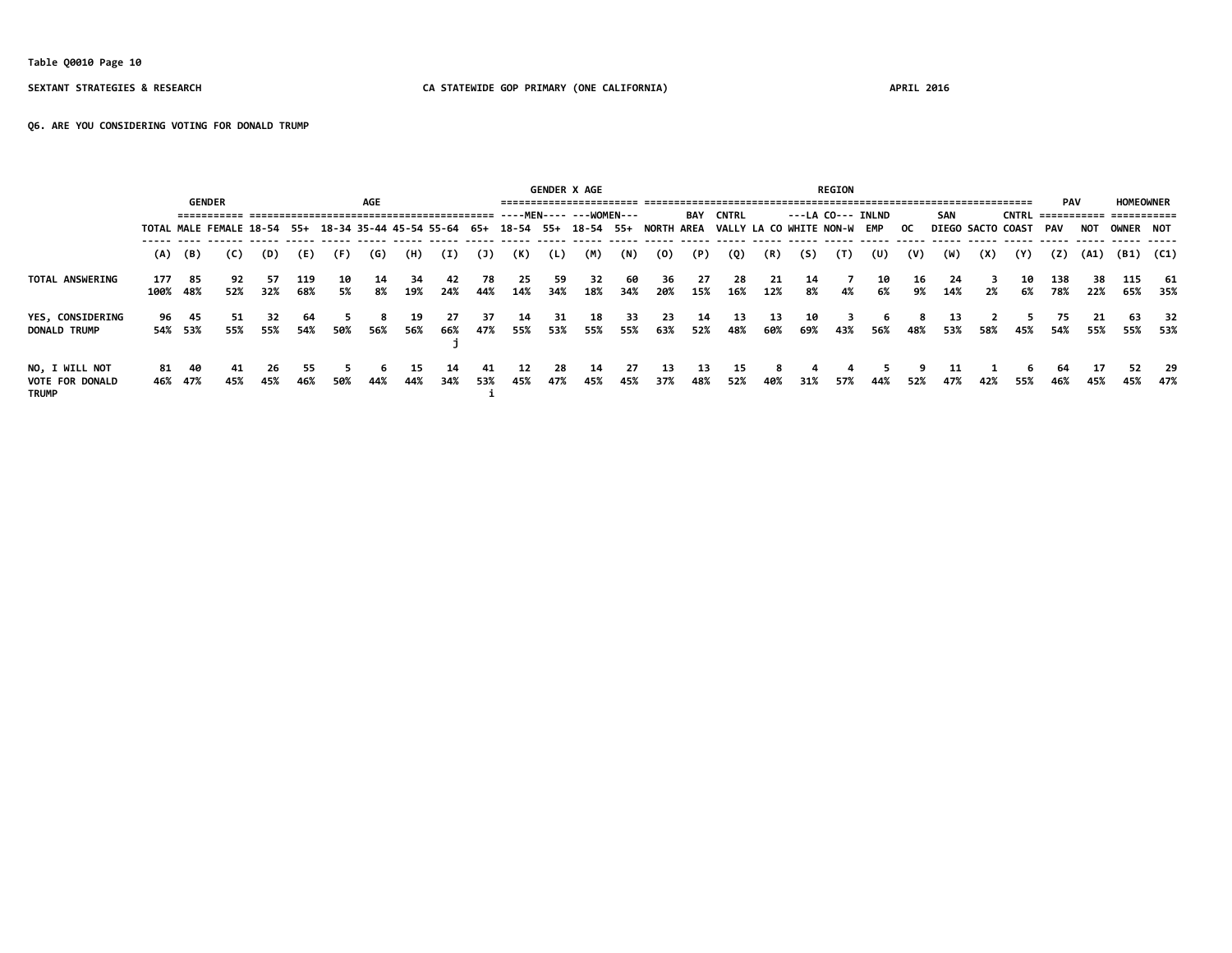# **Table Q0010 Page 10**

### **SEXTANT STRATEGIES & RESEARCH CA STATEWIDE GOP PRIMARY (ONE CALIFORNIA) APRIL 2016**

**Q6. ARE YOU CONSIDERING VOTING FOR DONALD TRUMP**

|                                                          |     |                  |                                                                                        |            |            |          |          |            |            |           |            |           | <b>GENDER X AGE</b> |            |            |             |              |            |                             | <b>REGION</b>      |          |          |            |     |                          |            |            |                  |            |
|----------------------------------------------------------|-----|------------------|----------------------------------------------------------------------------------------|------------|------------|----------|----------|------------|------------|-----------|------------|-----------|---------------------|------------|------------|-------------|--------------|------------|-----------------------------|--------------------|----------|----------|------------|-----|--------------------------|------------|------------|------------------|------------|
|                                                          |     |                  | <b>GENDER</b>                                                                          |            |            |          | AGE      |            |            |           |            |           |                     |            |            | BAY         | <b>CNTRL</b> |            |                             | $---LA CO---INLND$ |          |          | <b>SAN</b> |     |                          | <b>PAV</b> |            | <b>HOMEOWNER</b> |            |
|                                                          |     |                  | TOTAL MALE FEMALE 18-54 55+ 18-34 35-44 45-54 55-64 65+ 18-54 55+ 18-54 55+ NORTH AREA |            |            |          |          |            |            |           |            |           |                     |            |            |             |              |            | VALLY LA CO WHITE NON-W EMP |                    |          | - OC     |            |     | <b>DIEGO SACTO COAST</b> | PAV        | <b>NOT</b> | OWNER NOT        |            |
|                                                          |     | (A) (B)          | (C)                                                                                    | (D)        | (E)        | (F)      | (G)      | (H)        | (I)        | (J)       | (K)        | (L)       | (M)                 | (N)        | (0)        | (P)         | (Q)          | (R)        | (S)                         | (T)                | (U)      | (V)      | (W)        | (X) | (Y)                      | (Z)        | (A1)       | (B1) (C1)        |            |
| TOTAL ANSWERING                                          | 177 | 85<br>100% 48%   | 92<br>52%                                                                              | 57<br>32%  | 119<br>68% | 10<br>5% | 14<br>8% | 34<br>19%  | -42<br>24% | 78<br>44% | -25<br>14% | 59<br>34% | 32<br>18%           | -60<br>34% | 36<br>20%  | - 27<br>15% | -28<br>16%   | -21<br>12% | 14<br>8%                    | 4%                 | 10<br>6% | 16<br>9% | -24<br>14% | 2%  | 10<br>6%                 | 138<br>78% | 38<br>22%  | 115<br>65%       | -61<br>35% |
| YES, CONSIDERING<br><b>DONALD TRUMP</b>                  |     | 96 45<br>54% 53% | 51<br>55%                                                                              | 32<br>55%  | 64<br>54%  | 50%      | 56%      | 19<br>56%  | 27<br>66%  | 37<br>47% | 14<br>55%  | 31<br>53% | 18<br>55%           | -33<br>55% | -23<br>63% | 14<br>52%   | 13<br>48%    | -13<br>60% | 10<br>69%                   | 43%                | 56%      | 48%      | 13<br>53%  | 58% | 45%                      | 75<br>54%  | 21<br>55%  | 63<br>55%        | 32<br>53%  |
| NO, I WILL NOT<br><b>VOTE FOR DONALD</b><br><b>TRUMP</b> | 81  | - 40<br>46% 47%  | 41<br>45%                                                                              | -26<br>45% | 55<br>46%  | 50%      | 44%      | 15.<br>44% | 14<br>34%  | 41<br>53% | 12<br>45%  | 28<br>47% | 14<br>45%           | -27<br>45% | -13<br>37% | 13<br>48%   | 15<br>52%    | 40%        | 31%                         | 57%                | 44%      | 52%      | 11<br>47%  | 42% | 6<br>55%                 | 64<br>46%  | 45%        | 52<br>45%        | 29<br>47%  |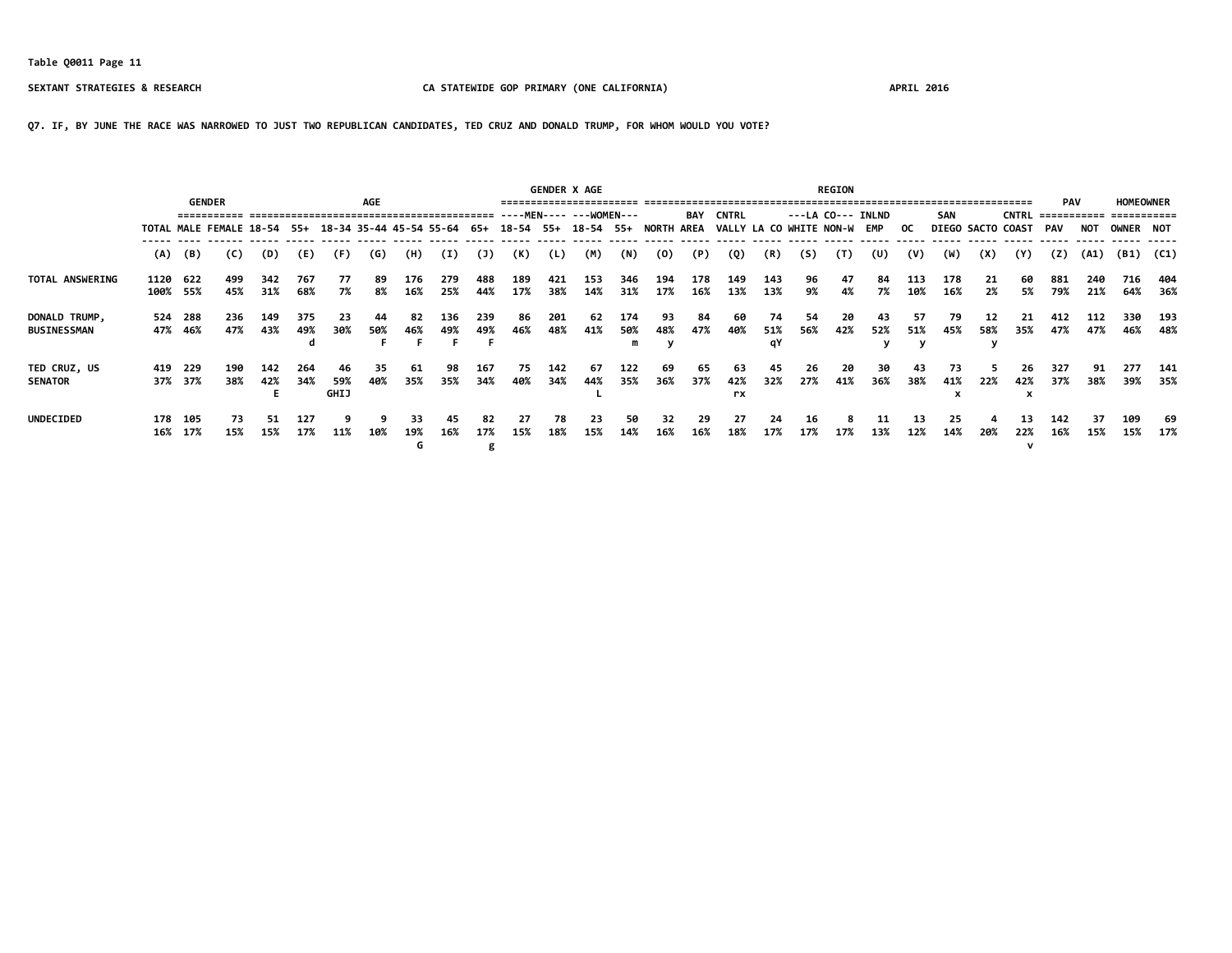**Q7. IF, BY JUNE THE RACE WAS NARROWED TO JUST TWO REPUBLICAN CANDIDATES, TED CRUZ AND DONALD TRUMP, FOR WHOM WOULD YOU VOTE?**

|                                     |      |                    | <b>GENDER</b>                                                                          |            |            |                   | AGE       |                |            |                |            |            | <b>GENDER X AGE</b> |                 |            |            |                             |                 |             | <b>REGION</b> |                   |            |            |           |                   | <b>PAV</b> |            | <b>HOMEOWNER</b>          |            |
|-------------------------------------|------|--------------------|----------------------------------------------------------------------------------------|------------|------------|-------------------|-----------|----------------|------------|----------------|------------|------------|---------------------|-----------------|------------|------------|-----------------------------|-----------------|-------------|---------------|-------------------|------------|------------|-----------|-------------------|------------|------------|---------------------------|------------|
|                                     |      |                    |                                                                                        |            |            |                   |           |                |            |                |            |            |                     |                 |            | BAY        | <b>CNTRL</b>                |                 |             |               | ---LA CO--- INLND |            | <b>SAN</b> |           | <b>CNTRL</b>      |            |            | ------------- ----------- |            |
|                                     |      |                    | TOTAL MALE FEMALE 18-54 55+ 18-34 35-44 45-54 55-64 65+ 18-54 55+ 18-54 55+ NORTH AREA |            |            |                   |           |                |            |                |            |            |                     |                 |            |            | VALLY LA CO WHITE NON-W EMP |                 |             |               |                   | OC.        |            |           | DIEGO SACTO COAST | PAV        | <b>NOT</b> | OWNER NOT                 |            |
|                                     | (A)  | (B)                | (C)                                                                                    | (D)        | (E)        | (F)               | (G)       | (H)            | (I)        | (3)            | (K)        | (L)        | (M)                 | (N)             | (0)        | (P)        | (Q)                         | (R)             | (S)         | (T)           | (U)               | (V)        | (W)        | (X)       | (Y)               | (Z)        | (A1)       | (B1)                      | (C1)       |
| TOTAL ANSWERING                     | 1120 | 622<br>100% 55%    | 499<br>45%                                                                             | 342<br>31% | 767<br>68% | 77<br>7%          | 89<br>8%  | 176<br>16%     | 279<br>25% | 488<br>44%     | 189<br>17% | 421<br>38% | 153<br>14%          | 346<br>31%      | 194<br>17% | 178<br>16% | 149<br>13%                  | 143<br>13%      | 96<br>9%    | 47<br>4%      | 84<br>7%          | 113<br>10% | 178<br>16% | 21<br>2%  | 60<br>5%          | 881<br>79% | 240<br>21% | 716<br>64%                | 404<br>36% |
| DONALD TRUMP,<br><b>BUSINESSMAN</b> |      | 524 288<br>47% 46% | 236<br>47%                                                                             | 149<br>43% | 375<br>49% | 23<br>30%         | 44<br>50% | 82<br>46%      | 136<br>49% | 239<br>49%     | 86<br>46%  | 201<br>48% | 62<br>41%           | 174<br>50%<br>m | 93<br>48%  | 84<br>47%  | 60<br>40%                   | 74<br>51%<br>qY | - 54<br>56% | 20<br>42%     | 43<br>52%         | 57<br>51%  | 79<br>45%  | 12<br>58% | 21<br>35%         | 412<br>47% | 112<br>47% | 330<br>46%                | 193<br>48% |
| TED CRUZ, US<br><b>SENATOR</b>      | 419  | 229<br>37% 37%     | 190<br>38%                                                                             | 142<br>42% | 264<br>34% | 46<br>59%<br>GHIJ | 35<br>40% | 61<br>35%      | 98<br>35%  | 167<br>34%     | 75<br>40%  | 142<br>34% | 67<br>44%           | 122<br>35%      | 69<br>36%  | 65<br>37%  | 63<br>42%<br>rx             | 45<br>32%       | 26<br>27%   | 20<br>41%     | 30<br>36%         | 43<br>38%  | 73<br>41%  | 22%       | 26<br>42%         | 327<br>37% | 91<br>38%  | 277<br>39%                | 141<br>35% |
| <b>UNDECIDED</b>                    | 16%  | 178 105<br>17%     | 73<br>15%                                                                              | 51<br>15%  | 127<br>17% | 11%               | 10%       | 33<br>19%<br>G | 45.<br>16% | 82<br>17%<br>g | 27<br>15%  | 78<br>18%  | 23<br>15%           | 50<br>14%       | 32<br>16%  | -29<br>16% | -27<br>18%                  | 24<br>17%       | 16<br>17%   | я<br>17%      | 11<br>13%         | 13<br>12%  | 25<br>14%  | 20%       | 13<br>22%         | 142<br>16% | 37<br>15%  | 109<br>15%                | -69<br>17% |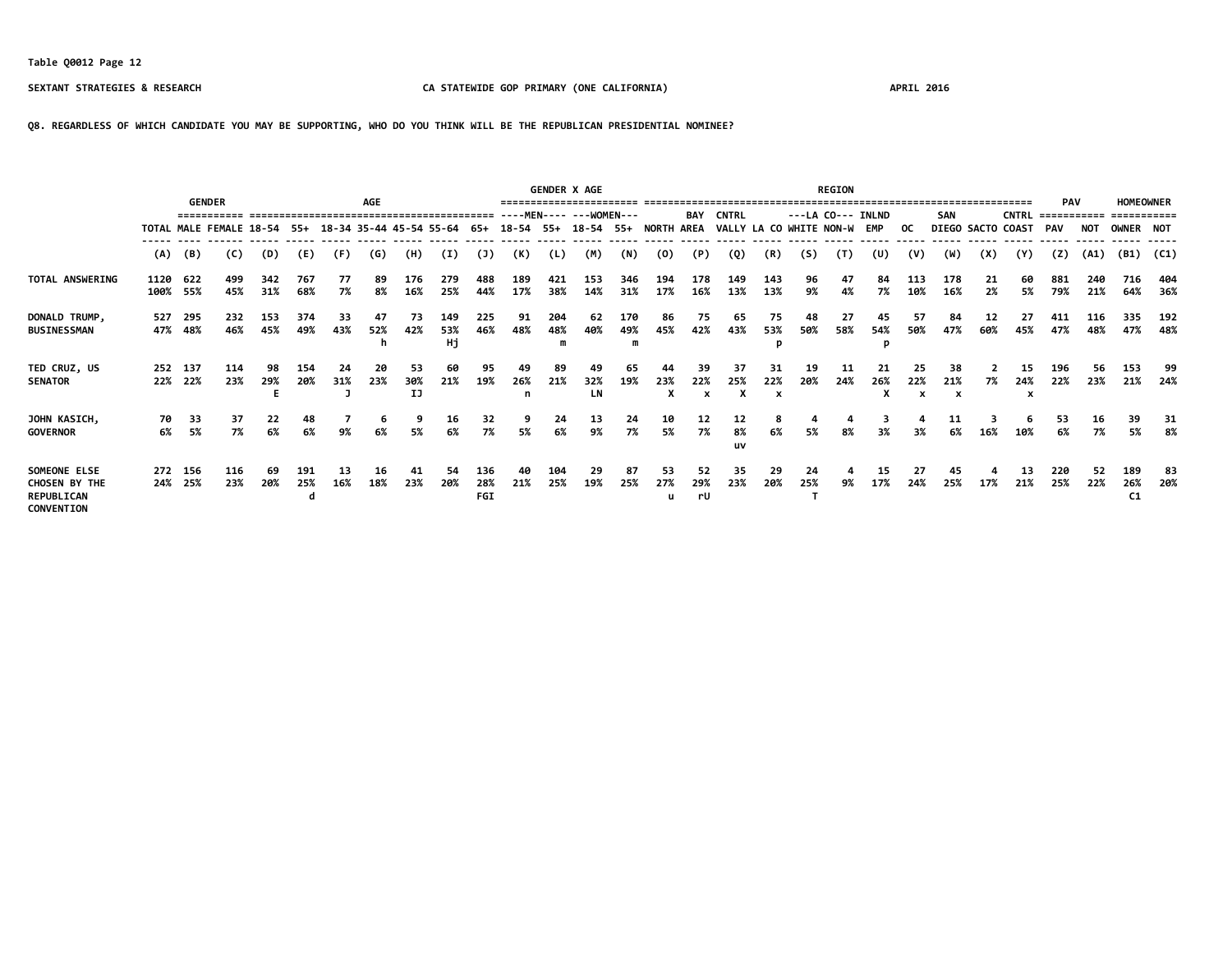**Q8. REGARDLESS OF WHICH CANDIDATE YOU MAY BE SUPPORTING, WHO DO YOU THINK WILL BE THE REPUBLICAN PRESIDENTIAL NOMINEE?**

|                                                                  |              |                    | <b>GENDER</b>                                                                          |            |            |           | <b>AGE</b>     |                 |                  |                   |                | <b>GENDER X AGE</b> |                 |                 |            |                                        |                             |                                        |           | <b>REGION</b> |                    |                                        |                |           |                   | <b>PAV</b>  |            | <b>HOMEOWNER</b>             |            |
|------------------------------------------------------------------|--------------|--------------------|----------------------------------------------------------------------------------------|------------|------------|-----------|----------------|-----------------|------------------|-------------------|----------------|---------------------|-----------------|-----------------|------------|----------------------------------------|-----------------------------|----------------------------------------|-----------|---------------|--------------------|----------------------------------------|----------------|-----------|-------------------|-------------|------------|------------------------------|------------|
|                                                                  |              |                    |                                                                                        |            |            |           |                |                 |                  |                   |                |                     |                 |                 |            | <b>BAY</b>                             | <b>CNTRL</b>                |                                        |           |               | $---LA CO---INLND$ |                                        | SAN            |           | <b>CNTRL</b>      | =========== |            | ===========                  |            |
|                                                                  |              |                    | TOTAL MALE FEMALE 18-54 55+ 18-34 35-44 45-54 55-64 65+ 18-54 55+ 18-54 55+ NORTH AREA |            |            |           |                |                 |                  |                   |                |                     |                 |                 |            |                                        | VALLY LA CO WHITE NON-W EMP |                                        |           |               |                    | OC.                                    |                |           | DIEGO SACTO COAST | PAV         | <b>NOT</b> | <b>OWNER NOT</b>             |            |
|                                                                  | (A)          | (B)                | (C)                                                                                    | (D)        | (E)        | (F)       | (G)            | (H)             | (I)              | (1)               | (K)            | (L)                 | (M)             | (N)             | (0)        | (P)                                    | (Q)                         | (R)                                    | (S)       | (T)           | (U)                | (V)                                    | (W)            | (X)       | (Y)               | (7)         | (A1)       | (B1)                         | (C1)       |
| TOTAL ANSWERING                                                  | 1120<br>100% | 622<br>55%         | 499<br>45%                                                                             | 342<br>31% | 767<br>68% | 77<br>7%  | 89<br>8%       | 176<br>16%      | 279<br>25%       | 488<br>44%        | 189<br>17%     | 421<br>38%          | 153<br>14%      | 346<br>31%      | 194<br>17% | 178<br>16%                             | 149<br>13%                  | 143<br>13%                             | 96<br>9%  | 47<br>4%      | 84<br>7%           | 113<br>10%                             | 178<br>16%     | 21<br>2%  | 60<br>5%          | 881<br>79%  | 240<br>21% | 716<br>64%                   | 404<br>36% |
| DONALD TRUMP,<br><b>BUSINESSMAN</b>                              | 527          | 295<br>47% 48%     | 232<br>46%                                                                             | 153<br>45% | 374<br>49% | 33<br>43% | 47<br>52%<br>h | 73<br>42%       | 149<br>53%<br>Hj | 225<br>46%        | 91<br>48%      | 204<br>48%          | 62<br>40%       | 170<br>49%<br>m | 86<br>45%  | 75<br>42%                              | 65<br>43%                   | 75<br>53%                              | 48<br>50% | 27<br>58%     | 45<br>54%          | 57<br>50%                              | 84<br>47%      | 12<br>60% | 27<br>45%         | 411<br>47%  | 116<br>48% | 335<br>47%                   | 192<br>48% |
| TED CRUZ, US<br><b>SENATOR</b>                                   |              | 252 137<br>22% 22% | 114<br>23%                                                                             | 98<br>29%  | 154<br>20% | 24<br>31% | 20<br>23%      | 53<br>30%<br>IJ | 60<br>21%        | 95<br>19%         | 49<br>26%<br>n | 89<br>21%           | 49<br>32%<br>LN | 65<br>19%       | 23%<br>X   | 39<br>22%<br>$\boldsymbol{\mathsf{x}}$ | -37<br>25%                  | 31<br>22%<br>$\boldsymbol{\mathsf{x}}$ | 19<br>20% | 11<br>24%     | 26%                | 25<br>22%<br>$\boldsymbol{\mathsf{x}}$ | 38<br>21%<br>x | 7%        | 15<br>24%<br>x    | 196<br>22%  | 56<br>23%  | 153<br>21%                   | 99<br>24%  |
| JOHN KASICH,<br><b>GOVERNOR</b>                                  | 70<br>6%     | 33<br>5%           | 37<br>7%                                                                               | 22<br>6%   | 48<br>6%   | 9%        | 6<br>6%        | 9<br>5%         | 16<br>6%         | 32<br>7%          | 9<br>5%        | 24<br>6%            | 13<br>9%        | 24<br>7%        | 10<br>5%   | 12<br>7%                               | 12<br>8%<br>uv              | 6%                                     | 5%        | 8%            | 3%                 | 3%                                     | 11<br>6%       | 16%       | ь<br>10%          | 53<br>6%    | 16<br>7%   | 39<br>5%                     | 31<br>8%   |
| SOMEONE ELSE<br>CHOSEN BY THE<br>REPUBLICAN<br><b>CONVENTION</b> |              | 272 156<br>24% 25% | 116<br>23%                                                                             | 69<br>20%  | 191<br>25% | 13<br>16% | 16<br>18%      | 41<br>23%       | 54<br>20%        | 136<br>28%<br>FGI | 40<br>21%      | 104<br>25%          | 29<br>19%       | 87<br>25%       | 53<br>27%  | 52<br>29%<br>rU                        | -35<br>23%                  | 29<br>20%                              | 24<br>25% | 9%            | 15<br>17%          | 27<br>24%                              | 45<br>25%      | 17%       | 13<br>21%         | 220<br>25%  | 52<br>22%  | 189<br>26%<br>C <sub>1</sub> | 83<br>20%  |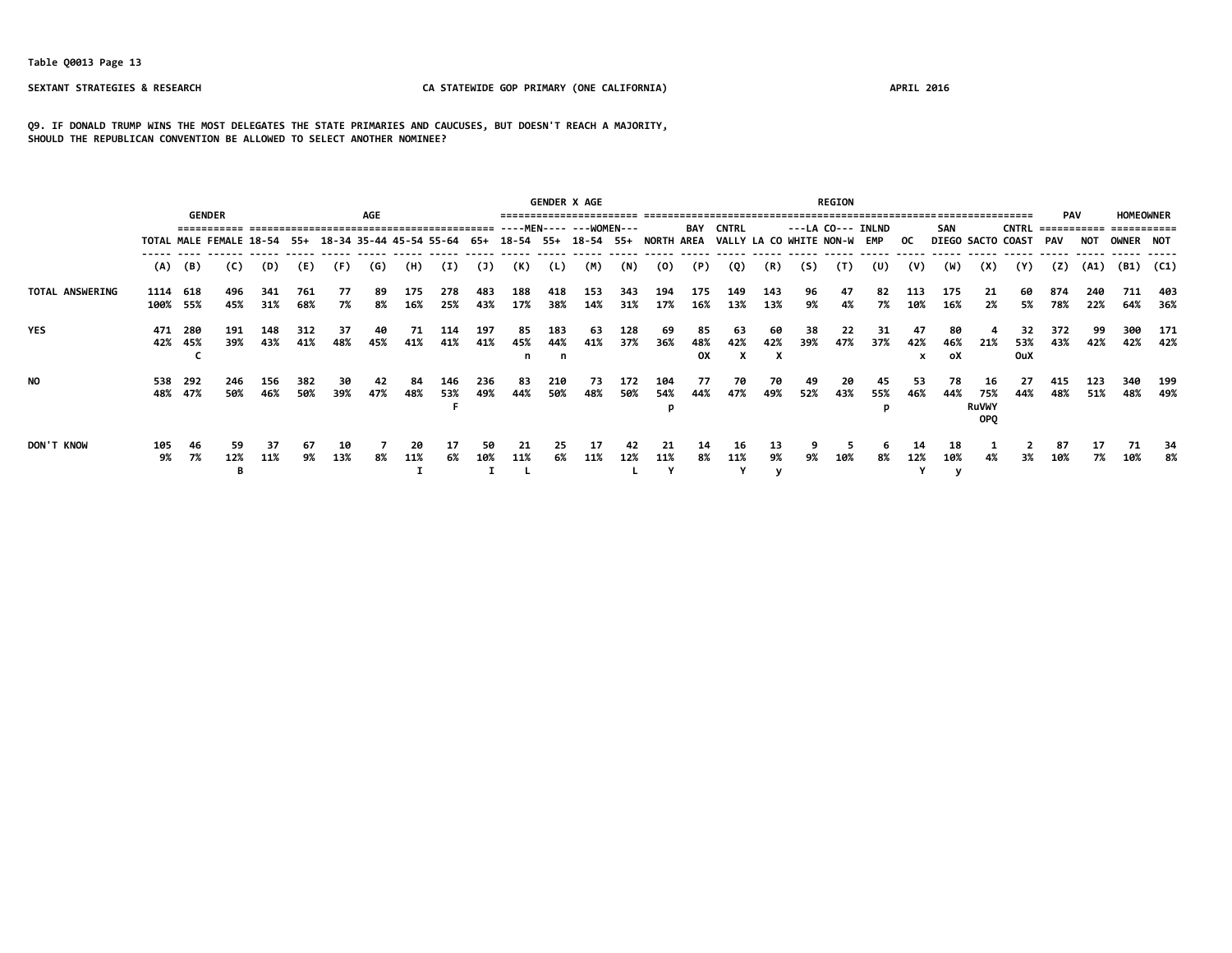**Q9. IF DONALD TRUMP WINS THE MOST DELEGATES THE STATE PRIMARIES AND CAUCUSES, BUT DOESN'T REACH A MAJORITY, SHOULD THE REPUBLICAN CONVENTION BE ALLOWED TO SELECT ANOTHER NOMINEE?**

|                 |                  |                  |                             |            |            |           |           |            | <b>GENDER X AGE</b>         |            |            |            |                                |              |            | <b>REGION</b>   |                             |                   |           |            |           |                |                           |                                         |                                 |            |            |                  |            |
|-----------------|------------------|------------------|-----------------------------|------------|------------|-----------|-----------|------------|-----------------------------|------------|------------|------------|--------------------------------|--------------|------------|-----------------|-----------------------------|-------------------|-----------|------------|-----------|----------------|---------------------------|-----------------------------------------|---------------------------------|------------|------------|------------------|------------|
|                 |                  |                  |                             | <b>AGE</b> |            |           |           |            |                             |            |            |            | <b>BAY</b>                     | <b>CNTRL</b> |            |                 |                             | ---LA CO--- INLND |           | <b>SAN</b> |           | <b>CNTRL</b>   | <b>PAV</b><br>=========== |                                         | <b>HOMEOWNER</b><br>=========== |            |            |                  |            |
|                 |                  |                  | TOTAL MALE FEMALE 18-54 55+ |            |            |           |           |            | 18-34 35-44 45-54 55-64 65+ |            |            |            | 18-54 55+ 18-54 55+ NORTH AREA |              |            |                 | VALLY LA CO WHITE NON-W EMP |                   |           |            |           | OC.            |                           |                                         | <b>DIEGO SACTO COAST</b>        | PAV        | NOT        | <b>OWNER NOT</b> |            |
|                 | (A)              | (B)              | (C)                         | (D)        | (E)        | (F)       | (G)       | (H)        | (I)                         | (1)        | (K)        | (L)        | (M)                            | (N)          | (0)        | (P)             | (Q)                         | (R)               | (S)       | (T)        | (U)       | (V)            | (W)                       | (X)                                     | (Y)                             | (2)        | (A1)       | (B1)             | (C1)       |
| TOTAL ANSWERING | 1114<br>100% 55% | 618              | 496<br>45%                  | 341<br>31% | 761<br>68% | 77<br>7%  | 89.<br>8% | 175<br>16% | 278<br>25%                  | 483<br>43% | 188<br>17% | 418<br>38% | 153<br>14%                     | 343<br>31%   | 194<br>17% | 175<br>16%      | 149<br>13%                  | 143<br>13%        | 96<br>9%  | 47<br>4%   | 82<br>7%  | 113<br>10%     | 175<br>16%                | 21<br>2%                                | 60<br>5%                        | 874<br>78% | 240<br>22% | 711<br>64%       | 403<br>36% |
| <b>YES</b>      | 471              | -280<br>42% 45%  | 191<br>39%                  | 148<br>43% | 312<br>41% | 37<br>48% | 40<br>45% | 71<br>41%  | 114<br>41%                  | 197<br>41% | 85<br>45%  | 183<br>44% | 63<br>41%                      | 128<br>37%   | -69<br>36% | 85<br>48%<br>0X | 63<br>42%                   | 60<br>42%         | 38<br>39% | 22<br>47%  | 31<br>37% | 47<br>42%<br>x | 80<br>46%<br>oX           | 21%                                     | 32<br>53%<br><b>OuX</b>         | 372<br>43% | 99<br>42%  | 300<br>42%       | 171<br>42% |
| NO.             | 538              | - 292<br>48% 47% | 246<br>50%                  | 156<br>46% | 382<br>50% | 30<br>39% | 42<br>47% | 84<br>48%  | 146<br>53%                  | 236<br>49% | 83<br>44%  | 210<br>50% | 73<br>48%                      | 172<br>50%   | 104<br>54% | 77<br>44%       | 70<br>47%                   | 70<br>49%         | 49<br>52% | 20<br>43%  | 45<br>55% | 53<br>46%      | 78<br>44%                 | 16<br>75%<br><b>RuVWY</b><br><b>OPO</b> | 27<br>44%                       | 415<br>48% | 123<br>51% | 340<br>48%       | 199<br>49% |
| DON'T KNOW      | 105<br>9%        | 46<br>7%         | 59<br>12%                   | 37<br>11%  | 67<br>9%   | 10<br>13% | 8%        | 20<br>11%  | 17<br>6%                    | 50.<br>10% | -21<br>11% | 25<br>6%   | 17<br>11%                      | 42<br>12%    | 21<br>11%  | 14<br>8%        | 16<br>11%                   | 13<br>9%          | 9%        | 10%        | 8%        | 12%            | 18<br>10%                 |                                         | 3%                              | 87<br>10%  | 7%         | 71<br>10%        | -34<br>8%  |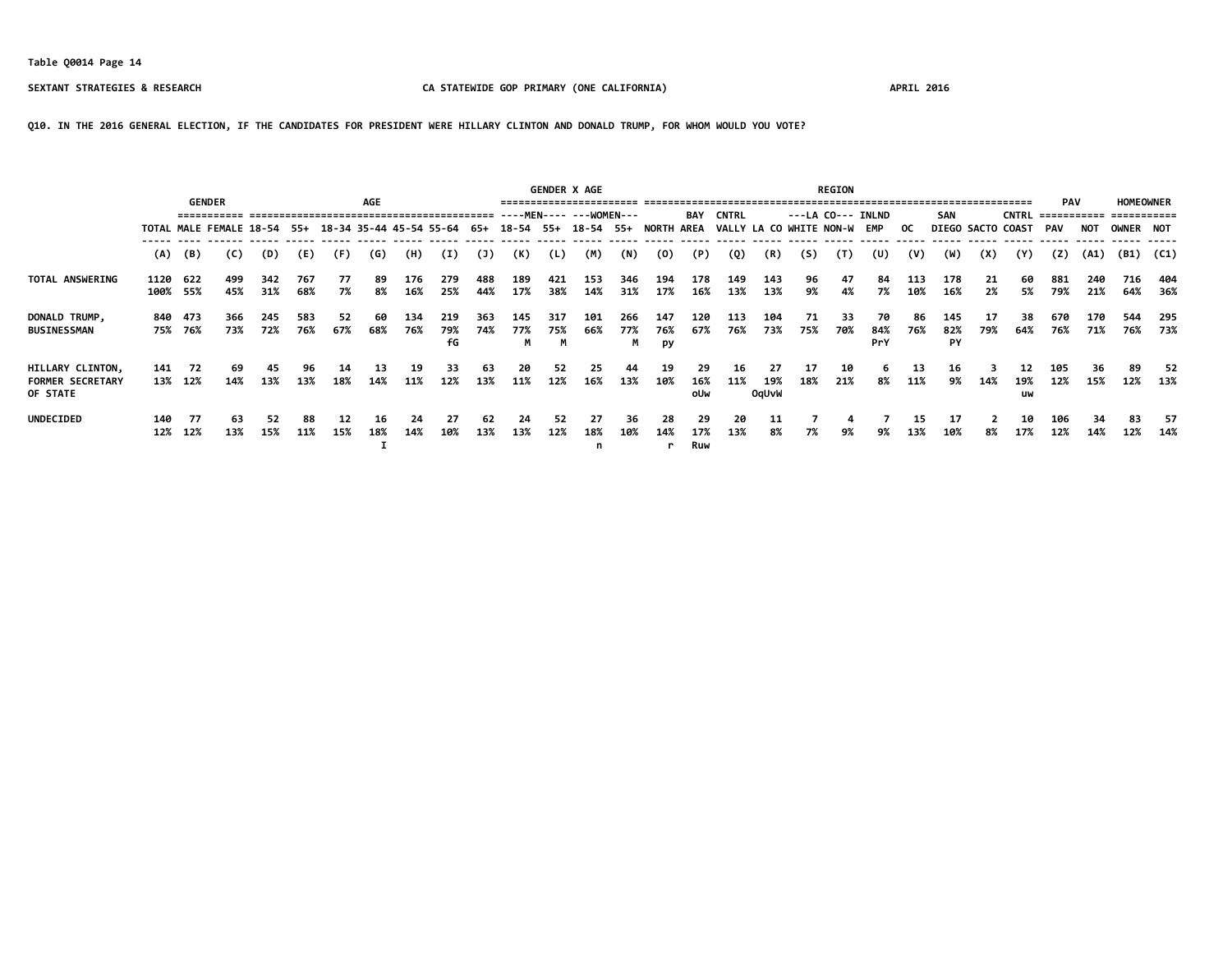**Q10. IN THE 2016 GENERAL ELECTION, IF THE CANDIDATES FOR PRESIDENT WERE HILLARY CLINTON AND DONALD TRUMP, FOR WHOM WOULD YOU VOTE?**

|                                                         |            |                                                                                                             | <b>GENDER</b> |            |            |           | <b>AGE</b> |            |                  |            |                 |            | <b>GENDER X AGE</b>       |                 |                  |                   |                             |                    |           | <b>REGION</b> |                   |            |                  |           |                   | <b>PAV</b> |            | <b>HOMEOWNER</b>          |            |
|---------------------------------------------------------|------------|-------------------------------------------------------------------------------------------------------------|---------------|------------|------------|-----------|------------|------------|------------------|------------|-----------------|------------|---------------------------|-----------------|------------------|-------------------|-----------------------------|--------------------|-----------|---------------|-------------------|------------|------------------|-----------|-------------------|------------|------------|---------------------------|------------|
|                                                         |            |                                                                                                             |               |            |            |           |            |            |                  |            |                 |            | ----MEN----    --WOMEN--- |                 |                  | BAY               | <b>CNTRL</b>                |                    |           |               | ---LA CO--- INLND |            | <b>SAN</b>       |           | <b>CNTRL</b>      |            |            | ------------- ----------- |            |
|                                                         |            | TOTAL MALE FEMALE 18-54 55+ 18-34 35-44 45-54 55-64 65+ 18-54 55+ 18-54 55+ NORTH AREA<br>(B)<br>(C)<br>(D) |               |            |            |           |            |            |                  |            |                 |            |                           |                 |                  |                   | VALLY LA CO WHITE NON-W EMP |                    |           |               |                   | OC.        |                  |           | DIEGO SACTO COAST | <b>PAV</b> | <b>NOT</b> | OWNER NOT                 |            |
|                                                         | (A)        |                                                                                                             |               |            | (E)        | (F)       | (G)        | (H)        | (I)              | (J)        | (K)             | (L)        | (M)                       | (N)             | (0)              | (P)               | (Q)                         | (R)                | (S)       | (T)           | (U)               | (V)        | (W)              | (X)       | (Y)               | (Z)        | (A1)       | (B1)                      | (C1)       |
| TOTAL ANSWERING                                         | 1120       | 622<br>100% 55%                                                                                             | 499<br>45%    | 342<br>31% | 767<br>68% | 77<br>7%  | 89<br>8%   | 176<br>16% | 279<br>25%       | 488<br>44% | 189<br>17%      | 421<br>38% | 153<br>14%                | 346<br>31%      | 194<br>17%       | 178<br>16%        | 149<br>13%                  | 143<br>13%         | 96<br>9%  | 47<br>4%      | 84<br>7%          | 113<br>10% | 178<br>16%       | 21<br>2%  | 60<br>5%          | 881<br>79% | 240<br>21% | 716<br>64%                | 404<br>36% |
| DONALD TRUMP,<br><b>BUSINESSMAN</b>                     |            | 840 473<br>75% 76%                                                                                          | 366<br>73%    | 245<br>72% | 583<br>76% | 52<br>67% | 60<br>68%  | 134<br>76% | 219<br>79%<br>fG | 363<br>74% | 145<br>77%<br>M | 317<br>75% | 101<br>66%                | 266<br>77%<br>M | 147<br>76%<br>py | 120<br>67%        | 113<br>76%                  | 104<br>73%         | 71<br>75% | 33<br>70%     | 70<br>84%<br>PrY  | 86<br>76%  | 145<br>82%<br>PY | 17<br>79% | 38<br>64%         | 670<br>76% | 170<br>71% | 544<br>76%                | 295<br>73% |
| HILLARY CLINTON,<br><b>FORMER SECRETARY</b><br>OF STATE | 141        | - 72<br>13% 12%                                                                                             | 69<br>14%     | 45<br>13%  | 96<br>13%  | 14<br>18% | 13<br>14%  | 19<br>11%  | 33<br>12%        | 63<br>13%  | 20<br>11%       | 52<br>12%  | 25<br>16%                 | 44<br>13%       | 19<br>10%        | 29<br>16%<br>oUw  | 16<br>11%                   | 27<br>19%<br>OqUvW | 17<br>18% | 10<br>21%     | 8%                | 13<br>11%  | 16<br>9%         | 14%       | 12<br>19%<br>uw   | 105<br>12% | 36<br>15%  | 89<br>12%                 | -52<br>13% |
| <b>UNDECIDED</b>                                        | 140<br>12% | -77<br>12%                                                                                                  | 63<br>13%     | 52<br>15%  | 88<br>11%  | 12<br>15% | 16<br>18%  | 24<br>14%  | 27<br>10%        | 62<br>13%  | 24<br>13%       | 52<br>12%  | 27<br>18%                 | 36<br>10%       | 28<br>14%        | -29<br>17%<br>Ruw | 20<br>13%                   | 11<br>8%           | 7%        | 4<br>9%       | 9%                | 15<br>13%  | -17<br>10%       | 8%        | 10<br>17%         | 106<br>12% | 34<br>14%  | 83<br>12%                 | -57<br>14% |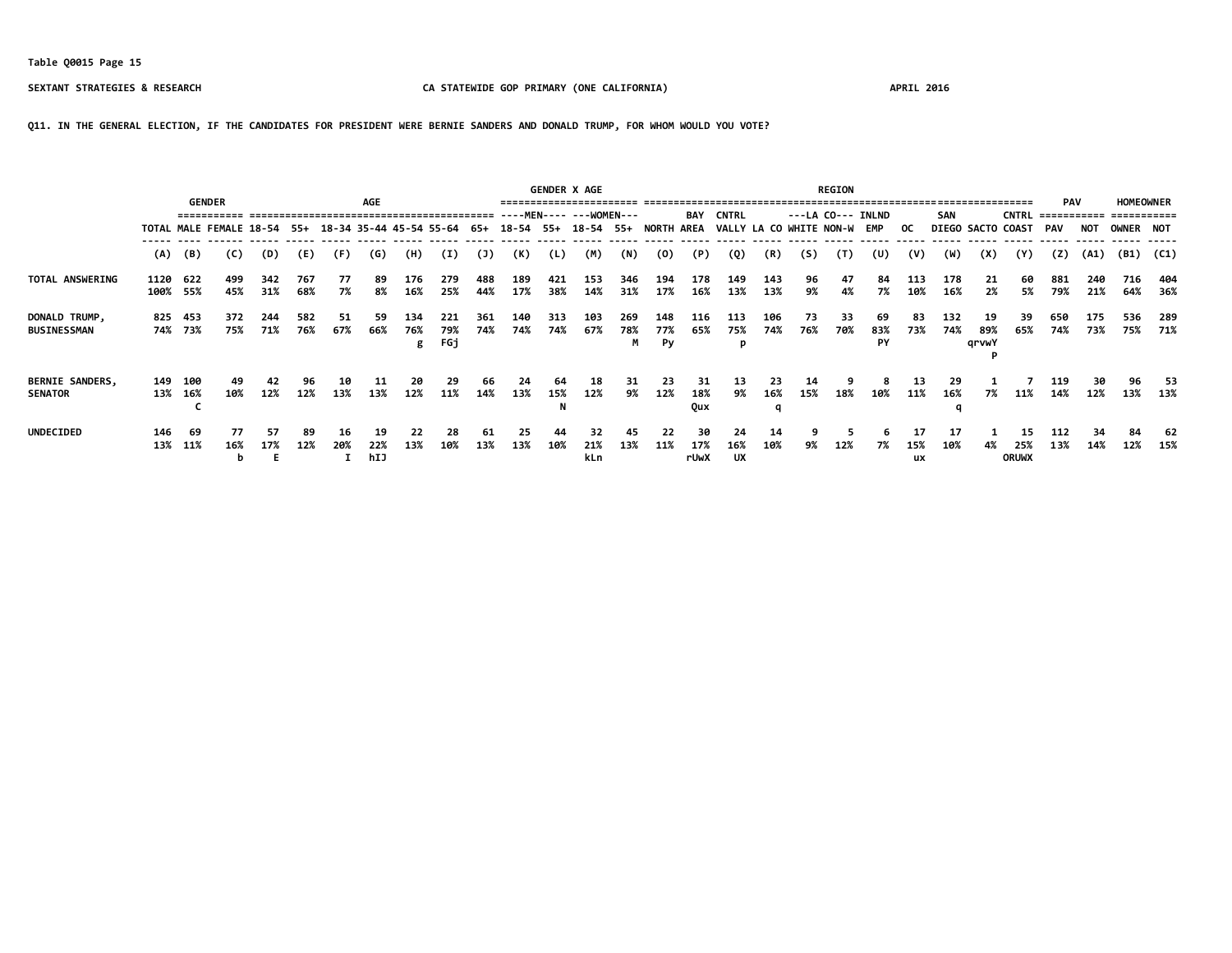**Q11. IN THE GENERAL ELECTION, IF THE CANDIDATES FOR PRESIDENT WERE BERNIE SANDERS AND DONALD TRUMP, FOR WHOM WOULD YOU VOTE?**

|                                          |      | <b>GENDER</b>                                                                          |            |            |            |           | AGE              |                 |                   |            |            |            | <b>GENDER X AGE</b>     |                 |                  |                         |                             |            |            | <b>REGION</b> |                   |                 |                |                    |                           | <b>PAV</b>  |            | <b>HOMEOWNER</b> |            |
|------------------------------------------|------|----------------------------------------------------------------------------------------|------------|------------|------------|-----------|------------------|-----------------|-------------------|------------|------------|------------|-------------------------|-----------------|------------------|-------------------------|-----------------------------|------------|------------|---------------|-------------------|-----------------|----------------|--------------------|---------------------------|-------------|------------|------------------|------------|
|                                          |      |                                                                                        |            |            |            |           |                  |                 |                   |            |            |            | ----MEN---- ---WOMEN--- |                 |                  | BAY                     | <b>CNTRL</b>                |            |            |               | ---LA CO--- INLND |                 | SAN            |                    | <b>CNTRL</b>              | =========== |            |                  |            |
|                                          |      | TOTAL MALE FEMALE 18-54 55+ 18-34 35-44 45-54 55-64 65+ 18-54 55+ 18-54 55+ NORTH AREA |            |            |            |           |                  |                 |                   |            |            |            |                         |                 |                  |                         | VALLY LA CO WHITE NON-W EMP |            |            |               |                   | OC.             |                | DIEGO SACTO COAST  |                           | PAV         | NOT        | <b>OWNER NOT</b> |            |
|                                          | (A)  | (B)                                                                                    | (C)        | (D)        | (E)        | (F)       | (G)              | (H)             | (I)               | (1)        | (K)        | (L)        | (M)                     | (N)             | (0)              | (P)                     | (Q)                         | (R)        | (S)        | (T)           | (U)               | (V)             | (W)            | (X)                | (Y)                       | (2)         | (A1)       | (B1)             | (C1)       |
| TOTAL ANSWERING                          | 1120 | 622<br>100% 55%                                                                        | 499<br>45% | 342<br>31% | 767<br>68% | 77<br>7%  | 89<br>8%         | 176<br>16%      | 279<br>25%        | 488<br>44% | 189<br>17% | 421<br>38% | 153<br>14%              | 346<br>31%      | 194<br>17%       | 178<br>16%              | 149<br>13%                  | 143<br>13% | 96<br>9%   | 47<br>4%      | 84<br>7%          | 113<br>10%      | 178<br>16%     | 21<br>2%           | 60<br>5%                  | 881<br>79%  | 240<br>21% | 716<br>64%       | 404<br>36% |
| DONALD TRUMP,<br><b>BUSINESSMAN</b>      | 825  | 453<br>74% 73%                                                                         | 372<br>75% | 244<br>71% | 582<br>76% | 51<br>67% | 59<br>66%        | 134<br>76%<br>g | 221<br>79%<br>FGj | 361<br>74% | 140<br>74% | 313<br>74% | 103<br>67%              | 269<br>78%<br>М | 148<br>77%<br>Py | 116<br>65%              | -113<br>75%<br>p            | 106<br>74% | -73<br>76% | 33<br>70%     | 69<br>83%<br>PY   | 83<br>73%       | 132<br>74%     | 19<br>89%<br>grvwY | 39<br>65%                 | 650<br>74%  | 175<br>73% | 536<br>75%       | 289<br>71% |
| <b>BERNIE SANDERS,</b><br><b>SENATOR</b> |      | 149 100<br>13% 16%                                                                     | 10%        | 42<br>12%  | 96<br>12%  | 13%       | 11<br>13%        | 20<br>12%       | 11%               | 66<br>14%  | 24<br>13%  | 15%        | 18<br>12%               | 31<br>9%        | 23<br>12%        | 31<br>18%<br><b>Qux</b> | 13<br>9%                    | 16%        | 14<br>15%  | 18%           | 10%               | 13<br>11%       | 29<br>16%<br>q | 7%                 | 11%                       | 119<br>14%  | 12%        | 96<br>13%        | 53<br>13%  |
| <b>UNDECIDED</b>                         | 146  | -69<br>13% 11%                                                                         | 77<br>16%  | 57<br>17%  | 89<br>12%  | 16<br>20% | 19<br>22%<br>hIJ | 22<br>13%       | 28<br>10%         | 61<br>13%  | 25<br>13%  | 44<br>10%  | 32<br>21%<br>kLn        | 45<br>13%       | 22<br>11%        | 30<br>17%<br>rUwX       | 24<br>16%<br>UX             | 14<br>10%  | 9%         | 12%           | 7%                | 17<br>15%<br>ux | 17<br>10%      | 4%                 | 15<br>25%<br><b>ORUWX</b> | 112<br>13%  | 34<br>14%  | 84<br>12%        | 62<br>15%  |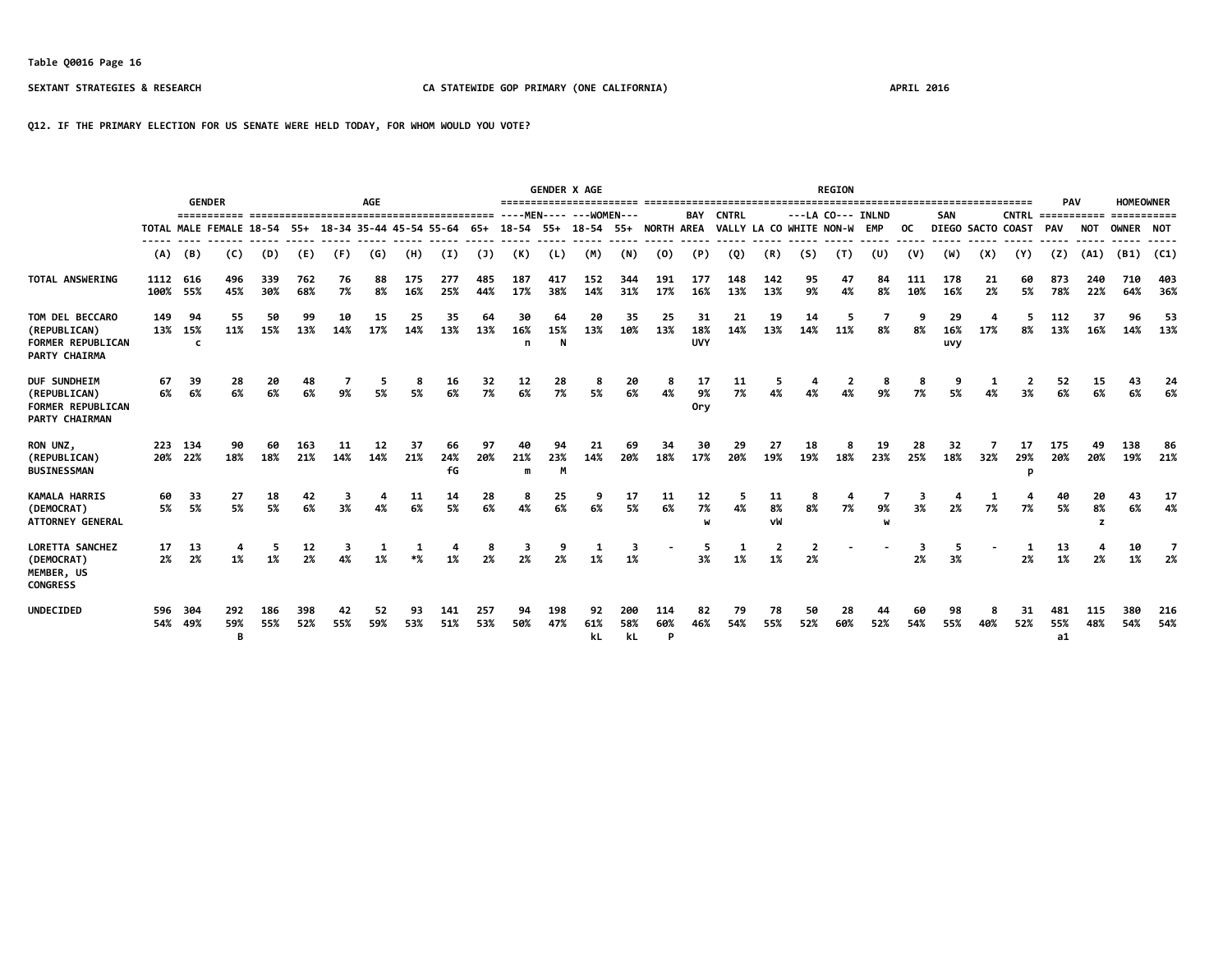**Q12. IF THE PRIMARY ELECTION FOR US SENATE WERE HELD TODAY, FOR WHOM WOULD YOU VOTE?**

|                                                                                   |                  | <b>GENDER</b>  |                 |            |            |                                                     | <b>AGE</b> |            |                 |            |                |                | <b>GENDER X AGE</b><br>======================== |                  |                 |                         |                         |                |           | <b>REGION</b>     |           |            |                  |                   |                                      | PAV              |               | <b>HOMEOWNER</b> |            |
|-----------------------------------------------------------------------------------|------------------|----------------|-----------------|------------|------------|-----------------------------------------------------|------------|------------|-----------------|------------|----------------|----------------|-------------------------------------------------|------------------|-----------------|-------------------------|-------------------------|----------------|-----------|-------------------|-----------|------------|------------------|-------------------|--------------------------------------|------------------|---------------|------------------|------------|
|                                                                                   |                  |                |                 |            |            |                                                     |            |            |                 |            |                |                |                                                 |                  |                 | BAY                     | <b>CNTRL</b>            |                |           | ---LA CO--- INLND |           |            | <b>SAN</b>       |                   | <b>CNTRL =========== ===========</b> |                  |               |                  |            |
|                                                                                   |                  |                |                 |            |            | TOTAL MALE FEMALE 18-54 55+ 18-34 35-44 45-54 55-64 |            |            |                 | 65+        | $18 - 54$ 55+  |                | 18-54                                           |                  | 55+ NORTH AREA  |                         | VALLY LA CO WHITE NON-W |                |           |                   | EMP       | oc.        |                  | DIEGO SACTO COAST |                                      | <b>PAV</b>       | NOT           | OWNER NOT        |            |
|                                                                                   | (A)              | (B)            | (C)             | (D)        | (E)        | (F)                                                 | (G)        | (H)        | (I)             | (1)        | (K)            | (L)            | (M)                                             | (N)              | (0)             | (P)                     | (Q)                     | (R)            | (S)       | (T)               | (U)       | (V)        | (W)              | (X)               | (Y)                                  | (7)              | (A1)          | $(B1)$ $(C1)$    |            |
| TOTAL ANSWERING                                                                   | 1112 616<br>100% | 55%            | 496<br>45%      | 339<br>30% | 762<br>68% | 76<br>7%                                            | 88<br>8%   | 175<br>16% | 277<br>25%      | 485<br>44% | 187<br>17%     | 417<br>38%     | 152<br>14%                                      | 344<br>31%       | 191<br>17%      | 177<br>16%              | 148<br>13%              | 142<br>13%     | 95<br>9%  | 47<br>4%          | 84<br>8%  | 111<br>10% | 178<br>16%       | 21<br>2%          | 60<br>5%                             | 873<br>78%       | 240<br>22%    | 710<br>64%       | 403<br>36% |
| TOM DEL BECCARO<br>(REPUBLICAN)<br><b>FORMER REPUBLICAN</b><br>PARTY CHAIRMA      | 149<br>13%       | 94<br>15%<br>c | 55<br>11%       | 50<br>15%  | 99<br>13%  | 10<br>14%                                           | 15<br>17%  | 25<br>14%  | 35<br>13%       | 64<br>13%  | 30<br>16%<br>n | 64<br>15%<br>N | 20<br>13%                                       | 35<br>10%        | 25<br>13%       | 31<br>18%<br><b>UVY</b> | 21<br>14%               | 19<br>13%      | 14<br>14% | 11%               | 8%        | 8%         | 29<br>16%<br>uvy | 17%               | 8%                                   | 112<br>13%       | 37<br>16%     | 96<br>14%        | 53<br>13%  |
| DUF SUNDHEIM<br>(REPUBLICAN)<br><b>FORMER REPUBLICAN</b><br><b>PARTY CHAIRMAN</b> | 67<br>6%         | 39<br>6%       | 28<br>6%        | 20<br>6%   | 48<br>6%   | 9%                                                  | 5%         | 5%         | 16<br>6%        | 32<br>7%   | 12<br>6%       | 28<br>7%       | 8<br>5%                                         | 20<br>6%         | 8<br>4%         | 17<br>9%<br><b>Orv</b>  | 11<br>7%                | 5              | 4%        | 2<br>4%           | 9%        | 7%         | 5%               | 4%                | 3%                                   | 52<br>6%         | 15<br>6%      | 43<br>6%         | 24<br>6%   |
| RON UNZ,<br>(REPUBLICAN)<br><b>BUSINESSMAN</b>                                    | 223              | 134<br>20% 22% | 90<br>18%       | 60<br>18%  | 163<br>21% | 11<br>14%                                           | 12<br>14%  | 37<br>21%  | 66<br>24%<br>fG | 97<br>20%  | 40<br>21%<br>m | 94<br>23%<br>M | 21<br>14%                                       | 69<br>20%        | 34<br>18%       | 30<br>17%               | 29<br>20%               | 27<br>19%      | 18<br>19% | 18%               | 19<br>23% | 28<br>25%  | 32<br>18%        | 32%               | 17<br>29%<br>D                       | 175<br>20%       | 49<br>20%     | 138<br>19%       | 86<br>21%  |
| <b>KAMALA HARRIS</b><br>(DEMOCRAT)<br><b>ATTORNEY GENERAL</b>                     | 60<br>5%         | 33<br>5%       | 27<br>5%        | 18<br>5%   | 42<br>6%   | 3%                                                  | 4%         | 11<br>6%   | 14<br>5%        | 28<br>6%   | 8<br>4%        | 25<br>6%       | 9<br>6%                                         | 17<br>5%         | 11<br>6%        | 12<br>7%<br>W           | 4%                      | 11<br>8%<br>vW | 8%        | 7%                | 9%        | 3%         | 2%               | 7%                | 7%                                   | 40<br>5%         | 20<br>8%<br>z | 6%               | 17<br>4%   |
| <b>LORETTA SANCHEZ</b><br>(DEMOCRAT)<br>MEMBER, US<br><b>CONGRESS</b>             | 17<br>2%         | 13<br>2%       | 1%              | 5<br>1%    | 12<br>2%   | 3                                                   |            |            |                 | 8<br>2%    | 3<br>2%        |                | 1%                                              | 3<br>1%          |                 | 5<br>3%                 | 1<br>1%                 | 1%             | 2%        |                   |           | з<br>2%    | -5<br>3%         |                   | 1<br>2%                              | 13<br>1%         | 2%            | 10<br>1%         | 2%         |
| <b>UNDECIDED</b>                                                                  | 596<br>54%       | 304<br>49%     | 292<br>59%<br>B | 186<br>55% | 398<br>52% | 42<br>55%                                           | 52<br>59%  | 93<br>53%  | 141<br>51%      | 257<br>53% | 94<br>50%      | 198<br>47%     | 92<br>61%<br>kL                                 | 200<br>58%<br>kL | 114<br>60%<br>P | 82<br>46%               | 79<br>54%               | 78<br>55%      | 50<br>52% | 28<br>60%         | 44<br>52% | 60<br>54%  | 98<br>55%        | 40%               | 31<br>52%                            | 481<br>55%<br>a1 | 115<br>48%    | 380<br>54%       | 216<br>54% |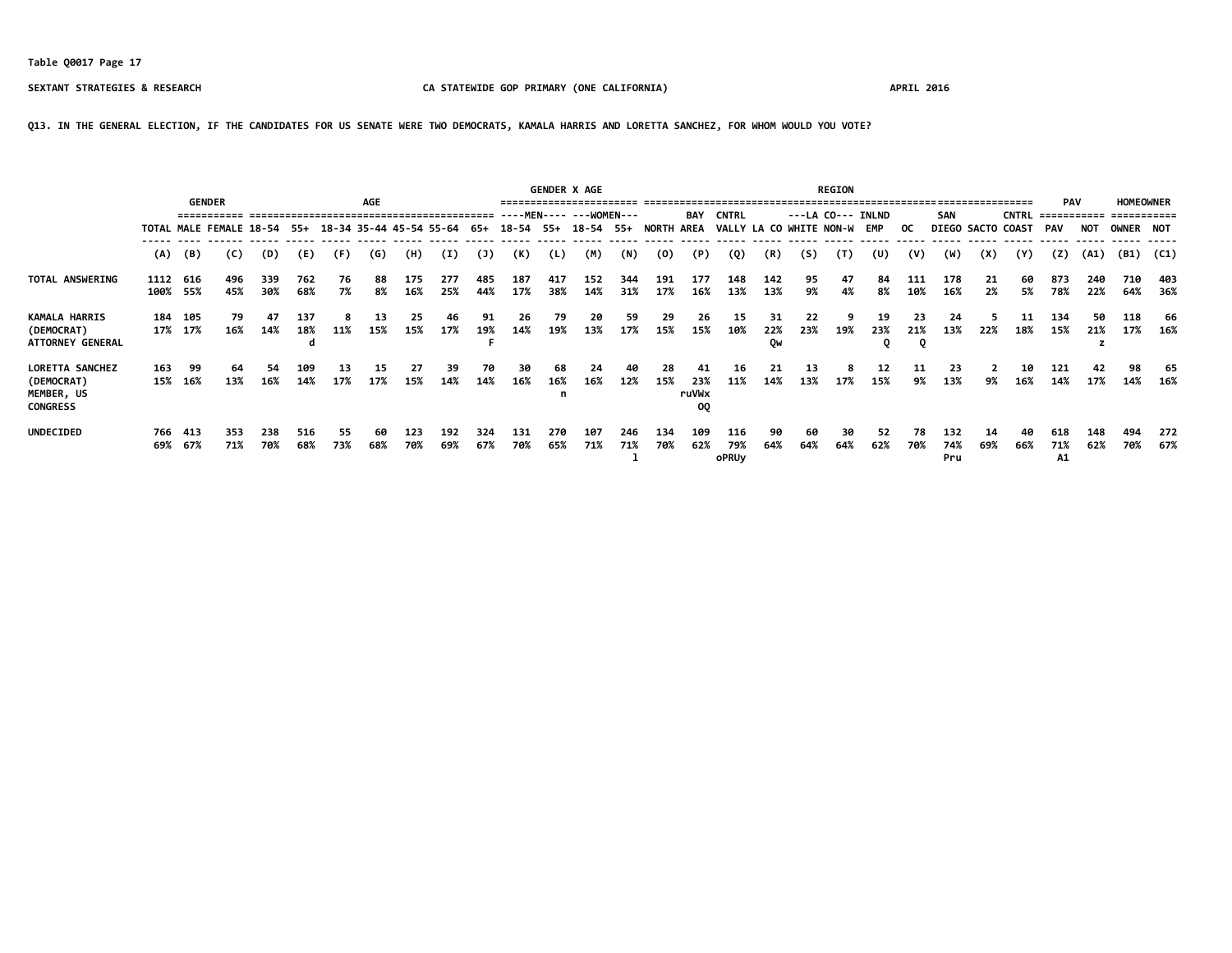**Q13. IN THE GENERAL ELECTION, IF THE CANDIDATES FOR US SENATE WERE TWO DEMOCRATS, KAMALA HARRIS AND LORETTA SANCHEZ, FOR WHOM WOULD YOU VOTE?**

|                                                                       |            | <b>GENDER</b>        |                                                     |            |            |           | <b>AGE</b> |            |            |            |            |            | <b>GENDER X AGE</b>            |            |            |                          |                             |                 |           | <b>REGION</b>     |           |                |                   |             |              | <b>PAV</b>       |            | <b>HOMEOWNER</b> |            |
|-----------------------------------------------------------------------|------------|----------------------|-----------------------------------------------------|------------|------------|-----------|------------|------------|------------|------------|------------|------------|--------------------------------|------------|------------|--------------------------|-----------------------------|-----------------|-----------|-------------------|-----------|----------------|-------------------|-------------|--------------|------------------|------------|------------------|------------|
|                                                                       |            |                      |                                                     |            |            |           |            |            |            |            |            |            | $---MENT = - -$                |            |            | <b>BAY</b>               | <b>CNTRL</b>                |                 |           | ---LA CO--- INLND |           |                | <b>SAN</b>        |             | <b>CNTRL</b> | ===========      |            | ===========      |            |
|                                                                       |            |                      | TOTAL MALE FEMALE 18-54 55+ 18-34 35-44 45-54 55-64 |            |            |           |            |            |            | 65+        |            |            | 18-54 55+ 18-54 55+ NORTH AREA |            |            |                          | VALLY LA CO WHITE NON-W EMP |                 |           |                   |           | OC.            | DIEGO SACTO COAST |             |              | PAV              | NOT        | OWNER NOT        |            |
|                                                                       | (A)        | (B)                  | (C)                                                 | (D)        | (E)        | (F)       | (G)        | (H)        | (I)        | (1)        | (K)        | (L)        | (M)                            | (N)        | (0)        | (P)                      | (Q)                         | (R)             | (S)       | (T)               | (U)       | (V)            | (W)               | (X)         | (Y)          | (Z)              | (A1)       | (B1)             | (C1)       |
| TOTAL ANSWERING                                                       |            | 1112 616<br>100% 55% | 496<br>45%                                          | 339<br>30% | 762<br>68% | 76<br>7%  | 88<br>8%   | 175<br>16% | 277<br>25% | 485<br>44% | 187<br>17% | 417<br>38% | 152<br>14%                     | 344<br>31% | 191<br>17% | 177<br>16%               | 148<br>13%                  | 142<br>13%      | 95<br>9%  | 47<br>4%          | 84<br>8%  | 111<br>10%     | 178<br>16%        | 21<br>$2\%$ | 60<br>5%     | 873<br>78%       | 240<br>22% | 710<br>64%       | 403<br>36% |
| <b>KAMALA HARRIS</b><br>(DEMOCRAT)<br><b>ATTORNEY GENERAL</b>         |            | 184 105<br>17% 17%   | 79<br>16%                                           | 47<br>14%  | 137<br>18% | 11%       | 13<br>15%  | 25<br>15%  | 46<br>17%  | 91<br>19%  | 26<br>14%  | 79<br>19%  | 20<br>13%                      | 59<br>17%  | 29<br>15%  | 26<br>15%                | 15<br>10%                   | 31<br>22%<br>Ow | 22<br>23% | 19%               | 19<br>23% | 23<br>21%<br>0 | 24<br>13%         | 22%         | 11<br>18%    | 134<br>15%       | 50<br>21%  | 118<br>17%       | 66<br>16%  |
| <b>LORETTA SANCHEZ</b><br>(DEMOCRAT)<br>MEMBER, US<br><b>CONGRESS</b> | 163<br>15% | 99<br>16%            | 64<br>13%                                           | 54<br>16%  | 109<br>14% | 13<br>17% | 15<br>17%  | 27<br>15%  | 39<br>14%  | 70<br>14%  | 30<br>16%  | 68<br>16%  | 24<br>16%                      | 40<br>12%  | 28<br>15%  | 41<br>23%<br>ruVWx<br>0Q | 16<br>11%                   | 21<br>14%       | 13<br>13% | 8<br>17%          | 12<br>15% | 11<br>9%       | 23<br>13%         | 9%          | 10<br>16%    | 121<br>14%       | 42<br>17%  | 98<br>14%        | 65<br>16%  |
| <b>UNDECIDED</b>                                                      | 69%        | 766 413<br>67%       | 353<br>71%                                          | 238<br>70% | 516<br>68% | 55<br>73% | 60<br>68%  | 123<br>70% | 192<br>69% | 324<br>67% | 131<br>70% | 270<br>65% | 107<br>71%                     | 246<br>71% | 134<br>70% | 109<br>62%               | 116<br>79%<br><b>oPRUy</b>  | 90<br>64%       | 60<br>64% | 30<br>64%         | 52<br>62% | 78<br>70%      | 132<br>74%<br>Pru | 14<br>69%   | 40<br>66%    | 618<br>71%<br>А1 | 148<br>62% | 494<br>70%       | 272<br>67% |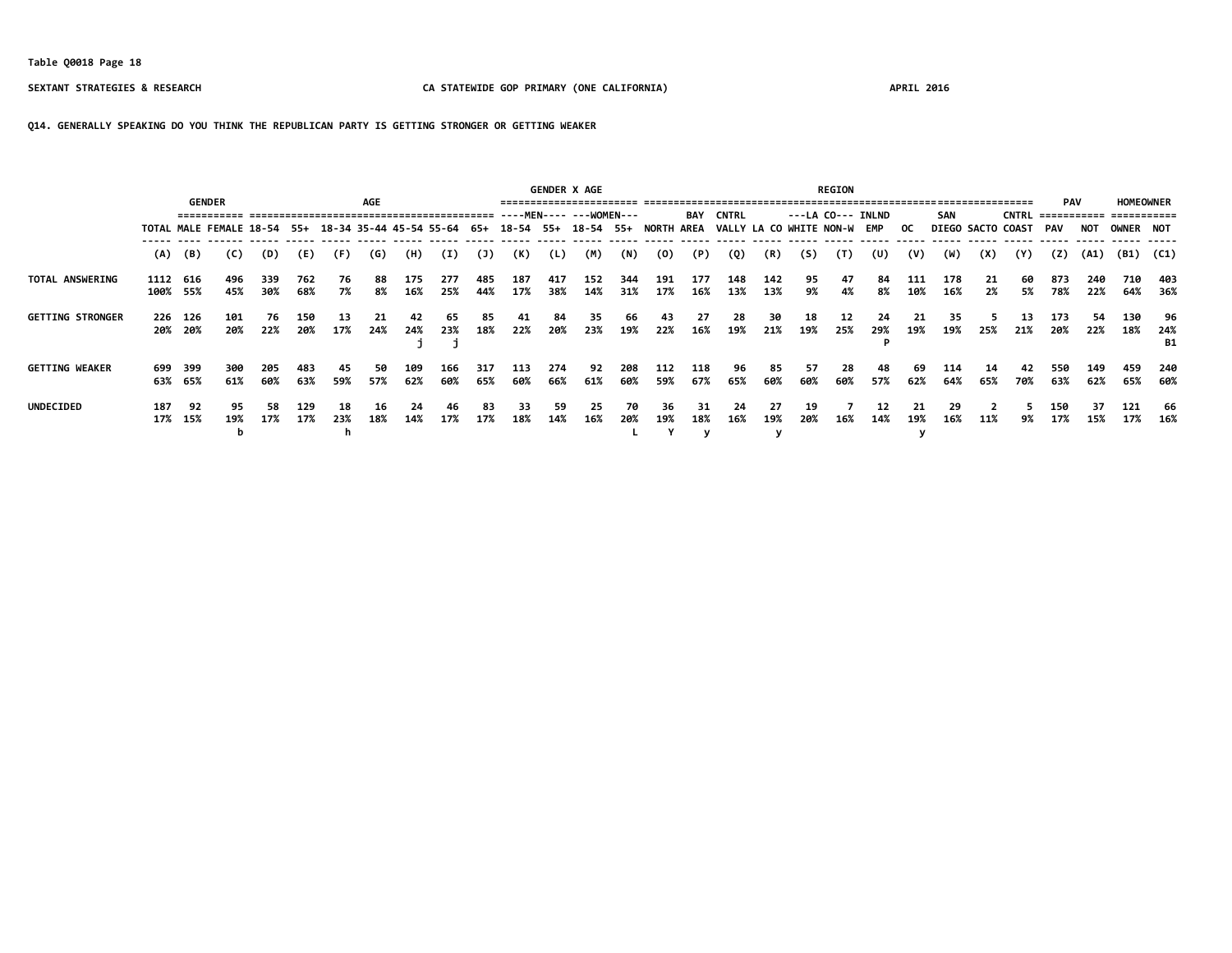### **Q14. GENERALLY SPEAKING DO YOU THINK THE REPUBLICAN PARTY IS GETTING STRONGER OR GETTING WEAKER**

|                         |      |                         |            |            |            |           |           |                         |            |            |                     | <b>GENDER X AGE</b> |                         |            |                   |            |                         |            |           | <b>REGION</b>     |           |            |            |                          |              |                           |            |                                 |                        |
|-------------------------|------|-------------------------|------------|------------|------------|-----------|-----------|-------------------------|------------|------------|---------------------|---------------------|-------------------------|------------|-------------------|------------|-------------------------|------------|-----------|-------------------|-----------|------------|------------|--------------------------|--------------|---------------------------|------------|---------------------------------|------------------------|
|                         |      | <b>GENDER</b>           |            |            |            |           | AGE       |                         |            |            |                     |                     | ----MEN---- ---WOMEN--- |            |                   | <b>BAY</b> | <b>CNTRL</b>            |            |           | ---LA CO--- INLND |           |            | SAN        |                          | <b>CNTRL</b> | <b>PAV</b><br>=========== |            | <b>HOMEOWNER</b><br>=========== |                        |
|                         |      | TOTAL MALE FEMALE 18-54 |            |            | - 55+      |           |           | 18-34 35-44 45-54 55-64 |            | 65+        | 18-54 55+ 18-54 55+ |                     |                         |            | <b>NORTH AREA</b> |            | VALLY LA CO WHITE NON-W |            |           |                   | EMP       | OC.        |            | <b>DIEGO SACTO COAST</b> |              | PAV                       | NOT        | OWNER NOT                       |                        |
|                         | (A)  | (B)                     | (C)        | (D)        | (E)        | (F)       | (G)       | (H)                     | (I)        | (1)        | (K)                 | (L)                 | (M)                     | (N)        | (0)               | (P)        | (Q)                     | (R)        | (S)       | (T)               | (U)       | (V)        | (W)        | (X)                      | (Y)          | (Z)                       | (A1)       | (B1)                            | (C1)                   |
| <b>TOTAL ANSWERING</b>  | 1112 | 616<br>100% 55%         | 496<br>45% | 339<br>30% | 762<br>68% | 76<br>7%  | 88<br>8%  | 175<br>16%              | 277<br>25% | 485<br>44% | 187<br>17%          | 417<br>38%          | 152<br>14%              | 344<br>31% | 191<br>17%        | 177<br>16% | 148<br>13%              | 142<br>13% | 95<br>9%  | 47<br>4%          | 84<br>8%  | 111<br>10% | 178<br>16% | -21<br>2%                | 60<br>5%     | 873<br>78%                | 240<br>22% | 710<br>64%                      | 403<br>- 36%           |
| <b>GETTING STRONGER</b> |      | 226 126<br>20% 20%      | 101<br>20% | 76<br>22%  | 150<br>20% | 13<br>17% | 24%       | 42<br>24%               | 65<br>23%  | 85<br>18%  | 41<br>22%           | 84<br>20%           | 35<br>23%               | 66<br>19%  | 43<br>22%         | 27<br>16%  | 28<br>19%               | 30<br>21%  | 18<br>19% | 12<br>25%         | 24<br>29% | 19%        | 35<br>19%  | 25%                      | 13<br>21%    | 173<br>20%                | 54<br>22%  | 130<br>18%                      | 96<br>24%<br><b>B1</b> |
| <b>GETTING WEAKER</b>   |      | 699 399<br>63% 65%      | 300<br>61% | 205<br>60% | 483<br>63% | 45<br>59% | 50<br>57% | 109<br>62%              | 166<br>60% | 317<br>65% | 113<br>60%          | 274<br>66%          | 92<br>61%               | 208<br>60% | 112<br>59%        | 118<br>67% | 96<br>65%               | 85<br>60%  | 57<br>60% | 28<br>60%         | 48<br>57% | 69<br>62%  | 114<br>64% | -14<br>65%               | 42<br>70%    | 550<br>63%                | 149<br>62% | 459<br>65%                      | 240<br>60%             |
| <b>UNDECIDED</b>        | 187  | 92<br>17% 15%           | 95<br>19%  | 58<br>17%  | 129<br>17% | 18<br>23% | 16<br>18% | 24<br>14%               | 46<br>17%  | 83<br>17%  | 33<br>18%           | 59<br>14%           | 25<br>16%               | 70<br>20%  | 36<br>19%         | 31<br>18%  | 24<br>16%               | 27<br>19%  | 19<br>20% | 16%               | 14%       | 19%        | 29<br>16%  | 11%                      | 9%           | 150<br>17%                | 37<br>15%  | 121<br>17%                      | 66<br>16%              |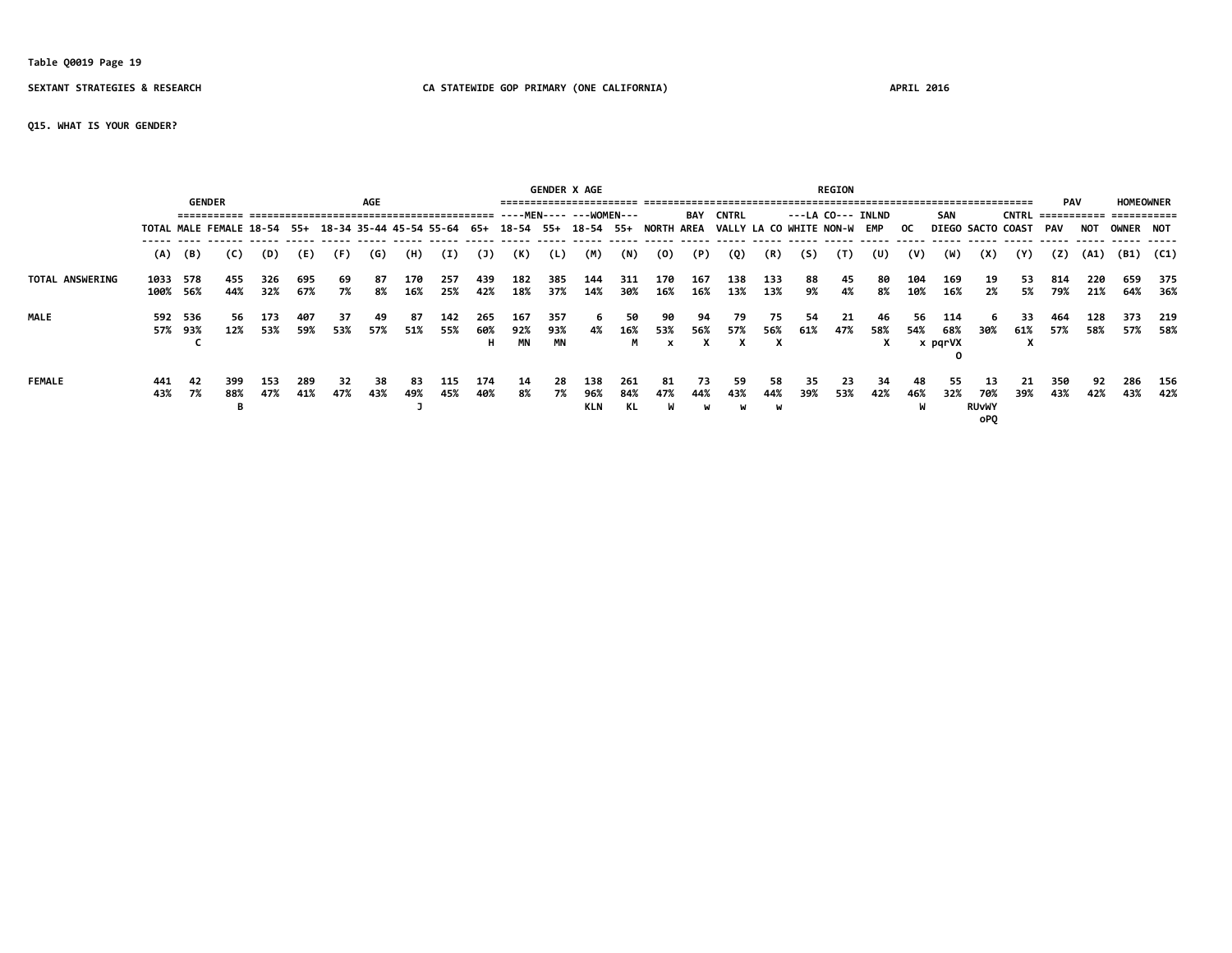# **Table Q0019 Page 19**

### **SEXTANT STRATEGIES & RESEARCH CA STATEWIDE GOP PRIMARY (ONE CALIFORNIA) APRIL 2016**

**Q15. WHAT IS YOUR GENDER?**

|                        |                  |                |                                                                                                                    |             |            |            |           |            |            |                  |                  |                  | <b>GENDER X AGE</b> |                  |                           |                |                |                            |           | <b>REGION</b> |                   |            |                       |                                   |                       |            |            |                                                   |            |
|------------------------|------------------|----------------|--------------------------------------------------------------------------------------------------------------------|-------------|------------|------------|-----------|------------|------------|------------------|------------------|------------------|---------------------|------------------|---------------------------|----------------|----------------|----------------------------|-----------|---------------|-------------------|------------|-----------------------|-----------------------------------|-----------------------|------------|------------|---------------------------------------------------|------------|
|                        |                  |                | <b>GENDER</b>                                                                                                      |             |            |            | AGE       |            |            |                  |                  |                  |                     |                  |                           | BAY            | <b>CNTRL</b>   |                            |           |               | ---LA CO--- INLND |            | <b>SAN</b>            |                                   |                       | <b>PAV</b> |            | <b>HOMEOWNER</b><br>CNTRL =========== =========== |            |
|                        |                  |                | TOTAL MALE FEMALE 18-54 55+ 18-34 35-44 45-54 55-64 65+ 18-54 55+ 18-54 55+ NORTH AREA VALLY LA CO WHITE NON-W EMP |             |            |            |           |            |            |                  |                  |                  |                     |                  |                           |                |                |                            |           |               |                   | OC.        |                       |                                   | DIEGO SACTO COAST PAV |            | NOT        | <b>OWNER NOT</b>                                  |            |
|                        |                  | $(A)$ $(B)$    | (C)                                                                                                                | (D)         | (E)        | (F)        | (G)       | (H)        | (I)        | (J)              | (K)              | (L)              | (M)                 | (N)              | (0)                       | (P)            | (Q)            | (R)                        | (S)       | (T)           | (U)               | (V)        | (W)                   | (X)                               | (Y)                   | (Z)        | (A1)       | (B1)                                              | (C1)       |
| <b>TOTAL ANSWERING</b> | 1033<br>100% 56% | 578            | 455<br>44%                                                                                                         | 326<br>32%  | 695<br>67% | 69<br>7%   | 87<br>8%  | 170<br>16% | 257<br>25% | 439<br>42%       | 182<br>18%       | 385<br>37%       | 144<br>14%          | 311<br>30%       | 170<br>16%                | 167<br>16%     | 138<br>13%     | 133<br>13%                 | 88<br>9%  | 45<br>4%      | 80<br>8%          | 104<br>10% | 169<br>16%            | 19<br>2%                          | 53<br>5%              | 814<br>79% | 220<br>21% | 659<br>64%                                        | 375<br>36% |
| <b>MALE</b>            | 592              | 536<br>57% 93% | -56<br>12%                                                                                                         | 173<br>53%  | 407<br>59% | 37<br>53%  | 49<br>57% | 87<br>51%  | 142<br>55% | 265<br>60%<br>н. | 167<br>92%<br>ΜN | 357<br>93%<br>MN | 6.<br>4%            | 50<br>16%<br>M   | 90<br>53%<br>$\mathbf{x}$ | 94<br>56%<br>x | -79<br>57%     | 75.<br>56%<br>$\mathbf{x}$ | 54<br>61% | 21<br>47%     | 46<br>58%<br>x    | 56.<br>54% | 114<br>68%<br>x pqrVX | 30%                               | 33.<br>61%<br>л       | 464<br>57% | 128<br>58% | 373<br>57%                                        | 219<br>58% |
| <b>FEMALE</b>          | 441<br>43%       | -42<br>7%      | 399<br>88%                                                                                                         | -153<br>47% | 289<br>41% | -32<br>47% | 38<br>43% | 83<br>49%  | 115<br>45% | 174<br>40%       | -14<br>8%        | 28<br>7%         | 138<br>96%<br>KLN   | 261<br>84%<br>KL | 81<br>47%                 | 73<br>44%<br>W | 59<br>43%<br>W | 58<br>44%<br>W             | 35<br>39% | 23<br>53%     | 34<br>42%         | 48<br>46%  | 55<br>32%             | -13<br>70%<br><b>RUVWY</b><br>oP0 | 21<br>39%             | 350<br>43% | 92<br>42%  | 286<br>43%                                        | 156<br>42% |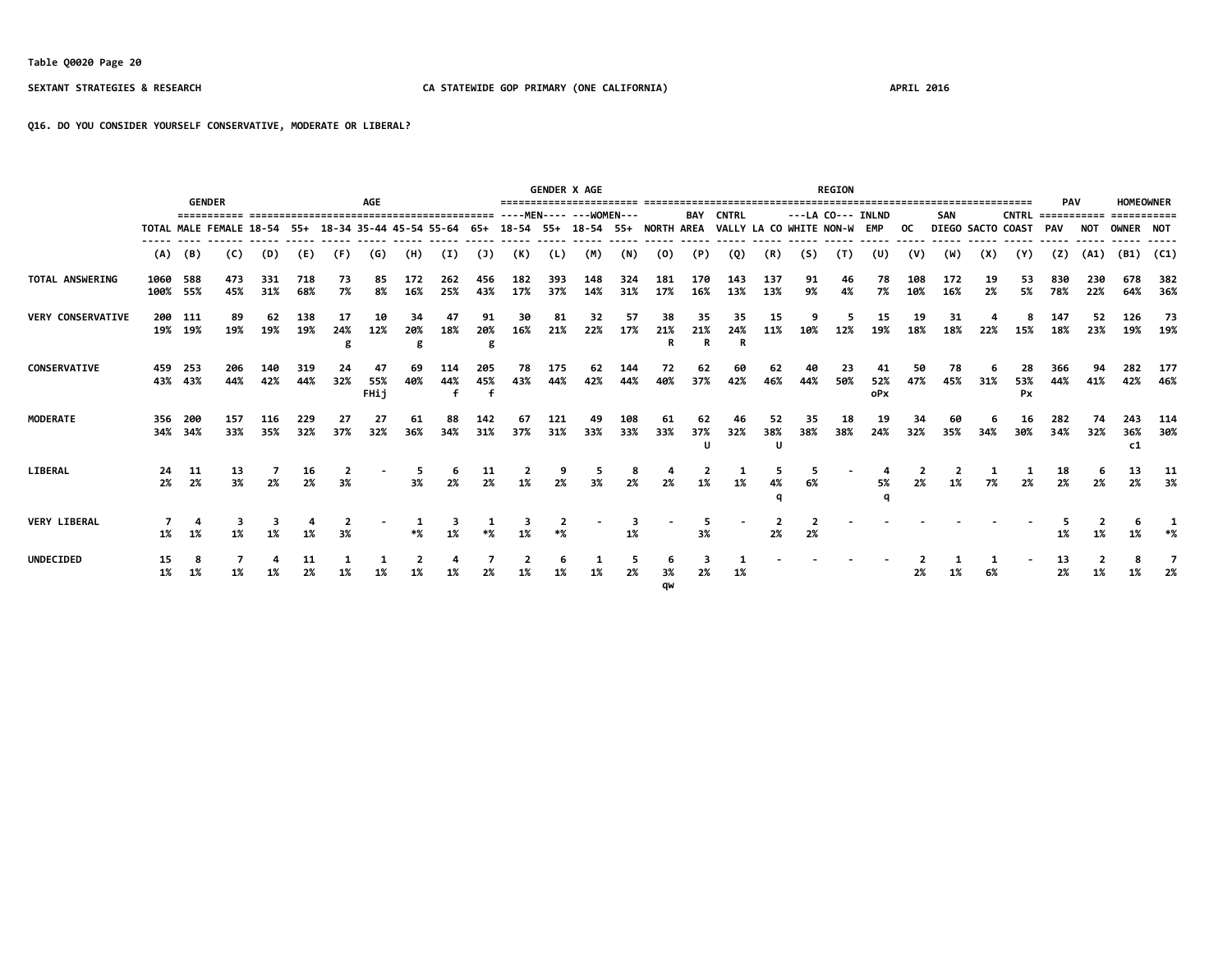**Q16. DO YOU CONSIDER YOURSELF CONSERVATIVE, MODERATE OR LIBERAL?**

|                          |                             |                    | <b>GENDER</b> |            |            |                         | <b>AGE</b>        |                |            |                |            |            | <b>GENDER X AGE</b><br>======================== |            |            |                |                             |            |           | <b>REGION</b>     |                  |           |                   |          |                      | <b>PAV</b> |            | <b>HOMEOWNER</b> |            |
|--------------------------|-----------------------------|--------------------|---------------|------------|------------|-------------------------|-------------------|----------------|------------|----------------|------------|------------|-------------------------------------------------|------------|------------|----------------|-----------------------------|------------|-----------|-------------------|------------------|-----------|-------------------|----------|----------------------|------------|------------|------------------|------------|
|                          | TOTAL MALE FEMALE 18-54 55+ |                    |               |            |            |                         |                   |                |            |                |            |            |                                                 |            |            | BAY            | <b>CNTRL</b>                |            |           | ---LA CO--- INLND |                  |           | <b>SAN</b>        |          | $CNTRL$ ============ |            |            | ===========      |            |
|                          |                             |                    |               |            |            | 18-34 35-44 45-54 55-64 |                   |                |            | - 65+          |            |            | 18-54 55+ 18-54 55+ NORTH AREA                  |            |            |                | VALLY LA CO WHITE NON-W EMP |            |           |                   |                  | OC.       | DIEGO SACTO COAST |          |                      | PAV        | NO 1       | OWNER NOT        |            |
|                          | (A)                         | (B)                | (C)           | (D)        | (E)        | (F)                     | (G)               | (H)            | (I)        | (1)            | (K)        | (L)        | (M)                                             | (N)        | (0)        | (P)            | (Q)                         | (R)        | (S)       | (T)               | (U)              | (V)       | (W)               | (X)      | (Y)                  | (Z)        | (A1)       | (B1)             | (C1)       |
| TOTAL ANSWERING          | 1060 588<br>100% 55%        |                    | 473<br>45%    | 331<br>31% | 718<br>68% | 73<br>7%                | 85<br>8%          | 172<br>16%     | 262<br>25% | 456<br>43%     | 182<br>17% | 393<br>37% | 148<br>14%                                      | 324<br>31% | 181<br>17% | 170<br>16%     | 143<br>13%                  | 137<br>13% | 91<br>9%  | 46<br>4%          | 78<br>7%         | 10%       | 172<br>16%        | 19<br>2% | 53<br>5%             | 830<br>78% | 230<br>22% | 678<br>64%       | 382<br>36% |
| <b>VERY CONSERVATIVE</b> |                             | 200 111<br>19% 19% | 89<br>19%     | 62<br>19%  | 138<br>19% | 17<br>24%               | 10<br>12%         | 34<br>20%<br>g | 47<br>18%  | 91<br>20%<br>g | 30<br>16%  | 81<br>21%  | 32<br>22%                                       | 57<br>17%  | 38<br>21%  | 35<br>21%<br>R | 35<br>24%                   | 15<br>11%  |           | 12%               | 15<br>19%        | 19<br>18% | 31<br>18%         | 22%      | 8<br>15%             | 147<br>18% | 52<br>23%  | 126              | 73<br>19%  |
| <b>CONSERVATIVE</b>      |                             | 459 253<br>43% 43% | 206<br>44%    | 140<br>42% | 319<br>44% | 32%                     | 47<br>55%<br>FHij | 69<br>40%      | 114<br>44% | 205<br>45%     | 78<br>43%  | 175<br>44% | 62<br>42%                                       | 144<br>44% | 40%        | 37%            | 42%                         | 62<br>46%  | 44%       | 23<br>50%         | 41<br>52%<br>oPx | 47%       | 78<br>45%         | 31%      | 53%<br>Px            | 366<br>44% | 41%        | 42%              | 177<br>46% |
| <b>MODERATE</b>          | 356                         | - 200<br>34% 34%   | 157<br>33%    | 116<br>35% | 229<br>32% | 27<br>37%               | 27<br>32%         | 61<br>36%      | 34%        | 142<br>31%     | 67<br>37%  | 121<br>31% | 33%                                             | 108<br>33% | 61<br>33%  | 37%<br>U       | 32%                         | 52<br>38%  | 35<br>38% | 18<br>38%         | 19<br>24%        | 34<br>32% | 60<br>35%         | 34%      | 16<br>30%            | 282<br>34% | 32%        | 243<br>36%<br>c1 | 114<br>30% |
| LIBERAL                  | 24<br>2%                    | 11<br>2%           | 13<br>3%      | 2%         | 16<br>2%   | 3%                      |                   | 3%             | 2%         | 2%             |            |            | 3%                                              |            |            | 1%             | 1%                          |            | 6%        |                   | 5%               | 2%        | 1%                | 7%       | 2%                   | 18<br>2%   | 2%         | 13<br>2%         | 11<br>3%   |
| <b>VERY LIBERAL</b>      | 1%                          | 1%                 |               |            |            |                         |                   |                |            |                |            |            |                                                 |            |            | 3%             |                             | 2%         | 2%        |                   |                  |           |                   |          |                      | 1%         |            |                  |            |
| <b>UNDECIDED</b>         | 15<br>1%                    | 8<br>1%            |               |            | 11<br>2%   |                         |                   |                |            |                |            |            | 1%                                              | 2%         | 3%<br>qw   | 2%             | 1%                          |            |           |                   |                  | 2%        | 1%                | 6%       |                      | 13<br>2%   |            |                  | 2%         |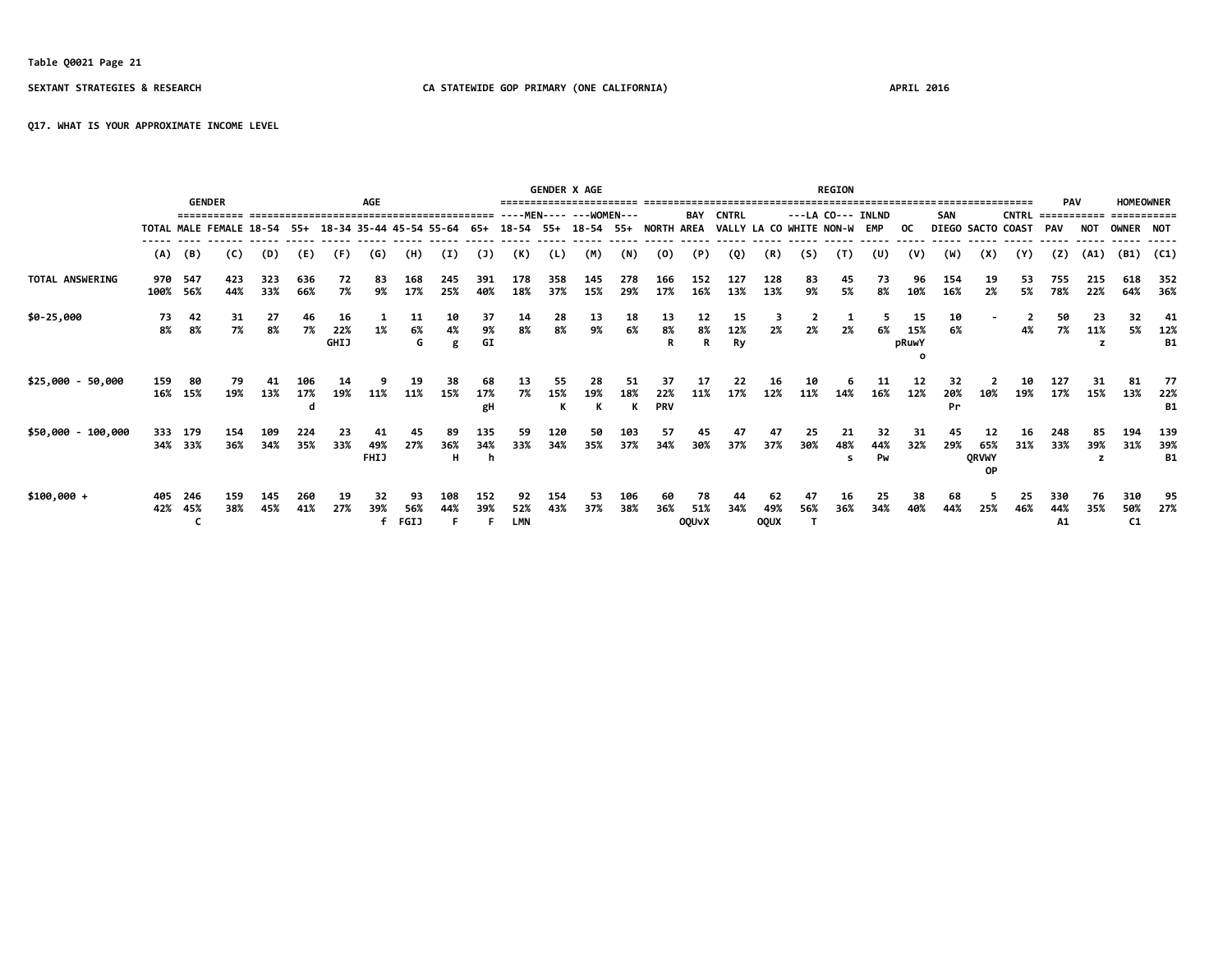# **Table Q0021 Page 21**

### **SEXTANT STRATEGIES & RESEARCH CA STATEWIDE GOP PRIMARY (ONE CALIFORNIA) APRIL 2016**

**Q17. WHAT IS YOUR APPROXIMATE INCOME LEVEL**

|                    | <b>AGE</b><br><b>GENDER</b> |                     |                             |            |            |                   |                          |                         |                |                 |                         | <b>GENDER X AGE</b> |                                |            |                   |                           |                             |                          |           | <b>REGION</b>  |                    |                    |            |                                 |              |                           |            |                                 |                         |
|--------------------|-----------------------------|---------------------|-----------------------------|------------|------------|-------------------|--------------------------|-------------------------|----------------|-----------------|-------------------------|---------------------|--------------------------------|------------|-------------------|---------------------------|-----------------------------|--------------------------|-----------|----------------|--------------------|--------------------|------------|---------------------------------|--------------|---------------------------|------------|---------------------------------|-------------------------|
|                    |                             |                     |                             |            |            |                   |                          |                         |                |                 |                         |                     | ----MEN---- --- WOMEN---       |            |                   | BAY                       | <b>CNTRL</b>                |                          |           |                | $---LA CO---INLND$ |                    | SAN        |                                 | <b>CNTRL</b> | <b>PAV</b><br>=========== |            | <b>HOMEOWNER</b><br>=========== |                         |
|                    |                             |                     | TOTAL MALE FEMALE 18-54 55+ |            |            |                   |                          | 18-34 35-44 45-54 55-64 |                | 65+             |                         |                     | 18-54 55+ 18-54 55+ NORTH AREA |            |                   |                           | VALLY LA CO WHITE NON-W EMP |                          |           |                |                    | OC.                |            | DIEGO SACTO COAST               |              | PAV                       | <b>NOT</b> | OWNER NOT                       |                         |
|                    | (A)                         | (B)                 | (C)                         | (D)        | (E)        | (F)               | (G)                      | (H)                     | $\mathbf{I}$   | (1)             | (K)                     | (L)                 | (M)                            | (N)        | (0)               | (P)                       | (Q)                         | (R)                      | (5)       | (T)            | (U)                | (V)                | (W)        | (X)                             | (Y)          | (2)                       | (A1)       | (B1)                            | (C1)                    |
| TOTAL ANSWERING    |                             | 970 547<br>100% 56% | 423<br>44%                  | 323<br>33% | 636<br>66% | 72<br>7%          | 83<br>9%                 | 168<br>17%              | 245<br>25%     | 391<br>40%      | 178<br>18%              | 358<br>37%          | 145<br>15%                     | 278<br>29% | 166<br>17%        | 152<br>16%                | 127<br>13%                  | 128<br>13%               | 83<br>9%  | 45<br>5%       | 73<br>8%           | 96<br>10%          | 154<br>16% | 19<br>2%                        | 53<br>5%     | 755<br>78%                | 215<br>22% | 618<br>64%                      | 352<br>36%              |
| \$0-25,000         | 73<br>8%                    | 42<br>8%            | 31<br>7%                    | 27<br>8%   | 46<br>7%   | 16<br>22%<br>GHIJ | 1%                       | 11<br>6%<br>G           | 10<br>4%<br>g  | 37<br>9%<br>GI  | 14<br>8%                | 28<br>8%            | 13<br>9%                       | 18<br>6%   | 13<br>8%          | 12<br>8%<br>R             | 15<br>12%<br>Ry             | 2%                       | 2%        | 2%             | 6%                 | 15<br>15%<br>pRuwY | 10<br>6%   |                                 | 4%           | 50<br>7%                  | 23<br>11%  | 32<br>5%                        | 41<br>12%<br><b>B1</b>  |
| $$25,000 - 50,000$ | 159                         | 80                  | 79                          | 41         | 106        |                   |                          |                         |                |                 | 13                      |                     |                                | 51         | 37                |                           | 22                          | 16                       |           |                |                    | 12                 | 32         |                                 | 10           | 127                       |            | 81                              | 77                      |
|                    |                             | 16% 15%             | 19%                         | 13%        | 17%<br>d   | 19%               | 11%                      | 11%                     | 15%            | 17%<br>gH       | 7%                      | 15%<br>ĸ            | 19%<br>к                       | 18%<br>к   | 22%<br><b>PRV</b> | 11%                       | 17%                         | 12%                      | 11%       | 14%            | 16%                | 12%                | 20%<br>Pr  | 10%                             | 19%          | 17%                       | 15%        | 13%                             | 22%<br><b>B1</b>        |
| \$50,000 - 100,000 |                             | 333 179<br>34% 33%  | 154<br>36%                  | 109<br>34% | 224<br>35% | 23<br>33%         | 41<br>49%<br><b>FHIJ</b> | 45<br>27%               | 89<br>36%<br>н | 135<br>34%<br>n | 59<br>33%               | 120<br>34%          | 50<br>35%                      | 103<br>37% | 57<br>34%         | 45<br>30%                 | 47<br>37%                   | 47<br>37%                | 25<br>30% | 21<br>48%<br>s | 32<br>44%<br>Pw    | 31<br>32%          | 45<br>29%  | 12<br>65%<br><b>QRVWY</b><br>0P | 16<br>31%    | 248<br>33%                | 85<br>39%  | 194<br>31%                      | 139<br>39%<br><b>B1</b> |
| $$100,000 +$       | 405<br>42%                  | 246<br>45%          | 159<br>38%                  | 145<br>45% | 260<br>41% | 19<br>27%         | 32<br>39%<br>f           | 93<br>56%<br>FGIJ       | 108<br>44%     | 152<br>39%      | 92<br>52%<br><b>LMN</b> | 154<br>43%          | 53<br>37%                      | 106<br>38% | 60<br>36%         | 78<br>51%<br><b>OQUVX</b> | 44<br>34%                   | 62<br>49%<br><b>OQUX</b> | 47<br>56% | 16<br>36%      | 25<br>34%          | 38<br>40%          | 68<br>44%  | 25%                             | 25<br>46%    | 330<br>44%<br>A1          | 76<br>35%  | 310<br>50%<br>C1                | 95<br>27%               |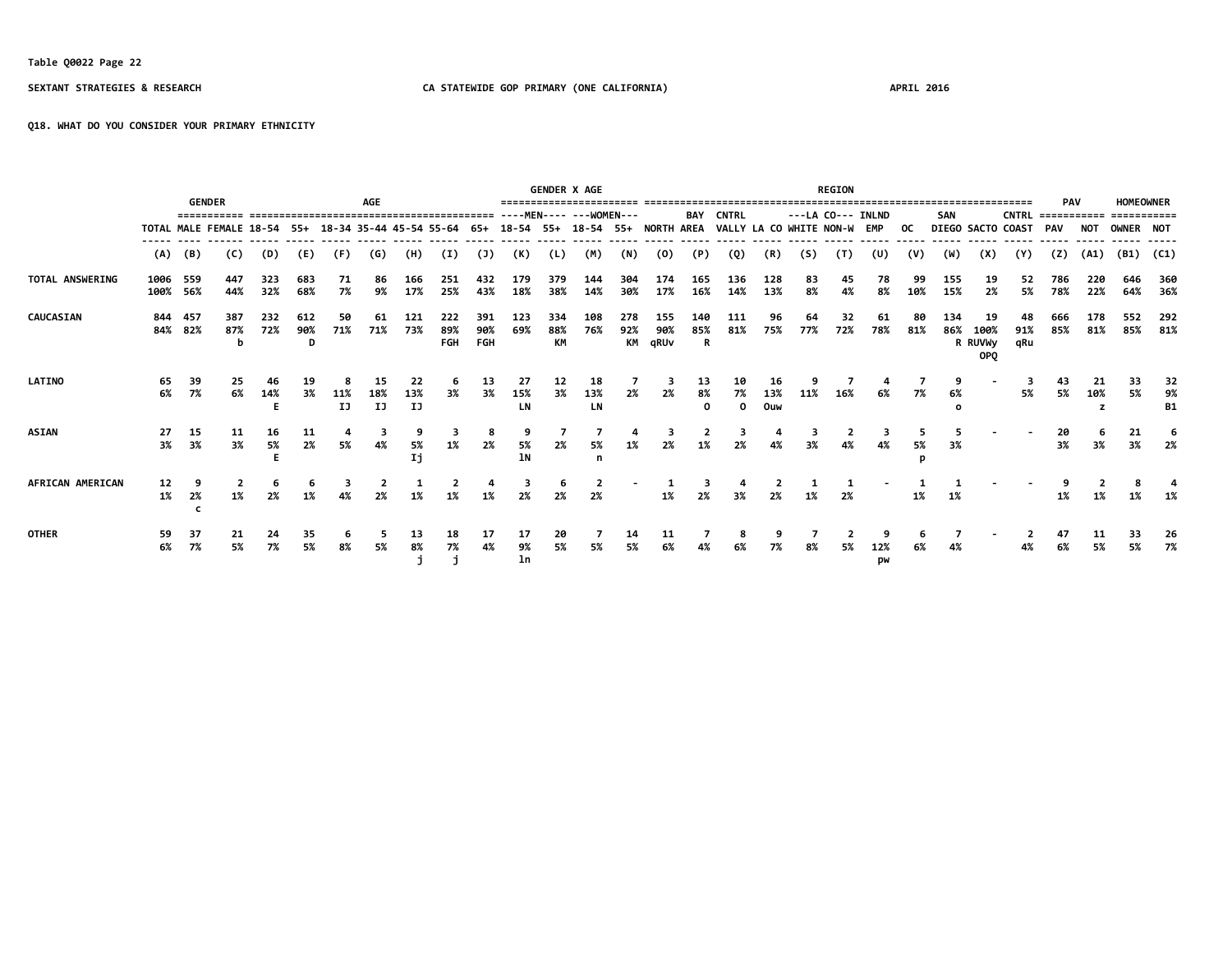**Q18. WHAT DO YOU CONSIDER YOUR PRIMARY ETHNICITY**

|                  |                  |                    | <b>GENDER</b>                                                                                                      |            |                 |           | <b>AGE</b>      |                 |                                    |                          |                         |                  | <b>GENDER X AGE</b>     |                  |                    |                          |                          |            |           | <b>REGION</b>     |           |           |            |                              |                          | <b>PAV</b>  |            | <b>HOMEOWNER</b> |                       |
|------------------|------------------|--------------------|--------------------------------------------------------------------------------------------------------------------|------------|-----------------|-----------|-----------------|-----------------|------------------------------------|--------------------------|-------------------------|------------------|-------------------------|------------------|--------------------|--------------------------|--------------------------|------------|-----------|-------------------|-----------|-----------|------------|------------------------------|--------------------------|-------------|------------|------------------|-----------------------|
|                  |                  |                    | ===========                                                                                                        |            |                 |           |                 |                 | ---------------------------------- |                          |                         |                  | ----MEN---- ---WOMEN--- |                  |                    | BAY                      | <b>CNTRL</b>             |            |           | ---LA CO--- INLND |           |           | <b>SAN</b> |                              | <b>CNTRL</b>             | =========== |            | ===========      |                       |
|                  |                  |                    | TOTAL MALE FEMALE 18-54 55+ 18-34 35-44 45-54 55-64 65+ 18-54 55+ 18-54 55+ NORTH AREA VALLY LA CO WHITE NON-W EMP |            |                 |           |                 |                 |                                    |                          |                         |                  |                         |                  |                    |                          |                          |            |           |                   |           | OC .      |            |                              | <b>DIEGO SACTO COAST</b> | PAV         | <b>NOT</b> | OWNER NOT        |                       |
|                  | (A)              | (B)                | (C)                                                                                                                | (D)        | (E)             | (F)       | (G)             | (H)             | (I)                                | $(\mathsf{J})$           | (K)                     | (L)              | (M)                     | (N)              | (0)                | (P)                      | (Q)                      | (R)        | (S)       | (T)               | (U)       | (V)       | (W)        | (X)                          | (Y)                      | (Z)         | (A1)       |                  | $(B1)$ (C1)           |
| TOTAL ANSWERING  | 1006<br>100% 56% | 559                | 447<br>44%                                                                                                         | 323<br>32% | 683<br>68%      | 71<br>7%  | 86<br>9%        | 166<br>17%      | 251<br>25%                         | 432<br>43%               | 179<br>18%              | 379<br>38%       | 144<br>14%              | 304<br>30%       | 174<br>17%         | 165<br>16%               | 136<br>14%               | 128<br>13% | 83<br>8%  | 45<br>4%          | 78<br>8%  | 99<br>10% | 155<br>15% | 19<br>2%                     | 52<br>5%                 | 786<br>78%  | 220<br>22% | 646<br>64%       | 360<br>36%            |
| <b>CAUCASIAN</b> |                  | 844 457<br>84% 82% | 387<br>87%<br>b                                                                                                    | 232<br>72% | 612<br>90%<br>D | 50<br>71% | 61<br>71%       | 121<br>73%      | 222<br>89%<br>FGH                  | 391<br>90%<br><b>FGH</b> | 123<br>69%              | 334<br>88%<br>КM | 108<br>76%              | 278<br>92%<br>КM | 155<br>90%<br>qRUv | 140<br>85%<br>R          | 111<br>81%               | 96<br>75%  | 64<br>77% | 32<br>72%         | 61<br>78% | 80<br>81% | 134<br>86% | 19<br>100%<br>R RUVWy<br>OPQ | 48<br>91%<br>qRu         | 666<br>85%  | 178<br>81% | 552<br>85%       | 292<br>81%            |
| <b>LATINO</b>    | 65<br>6%         | 39<br>7%           | 25<br>6%                                                                                                           | 14%<br>F   | 3%              | 11%<br>IJ | 15<br>18%<br>IJ | 22<br>13%<br>IJ | 3%                                 | 13<br>3%                 | $\frac{27}{15\%}$<br>LN | 12<br>3%         | 18<br>13%<br><b>LN</b>  | 2%               | 2%                 | 13<br>8%<br>$\mathbf{o}$ | 10<br>7%<br>$\mathbf{o}$ | 13%<br>Ouw | 11%       | 16%               | 6%        | 7%        | 6%         |                              | 5%                       | 5%          | 10%        | 33<br>5%         | 32<br>9%<br><b>B1</b> |
| <b>ASIAN</b>     | -27<br>3%        | 15<br>3%           | 11<br>3%                                                                                                           | 16<br>5%   | 11<br>2%        | 5%        | 4%              | 5%<br>IJ        | 1%                                 | 2%                       | 5%<br>1N                | 2%               | 5%<br>n                 | 1%               | 2%                 | 1%                       | 2%                       |            | 3%        | 4%                | 4%        | 5%        | 3%         |                              |                          | 20<br>3%    | 3%         | 21<br>3%         | 2%                    |
| AFRICAN AMERICAN | 12<br>1%         | 2%                 | 1%                                                                                                                 | 2%         |                 |           |                 |                 |                                    |                          |                         |                  | 2%                      |                  |                    | 2%                       | 3%                       |            |           | 2%                |           |           | 1%         |                              |                          |             |            |                  |                       |
| <b>OTHER</b>     | 59<br>6%         | 37<br>7%           | 21<br>5%                                                                                                           | 24<br>7%   | 35<br>5%        | 8%        | 5%              | 13<br>8%        | 18<br>7%                           | 4%                       | 17<br>9%<br>ln          | 20<br>5%         | 5%                      | 14<br>5%         | 6%                 |                          | 6%                       | 7%         | 8%        | 5%                | 12%<br>pw |           | 4%         |                              |                          | 47<br>6%    | 5%         | 33<br>5%         | 26<br>7%              |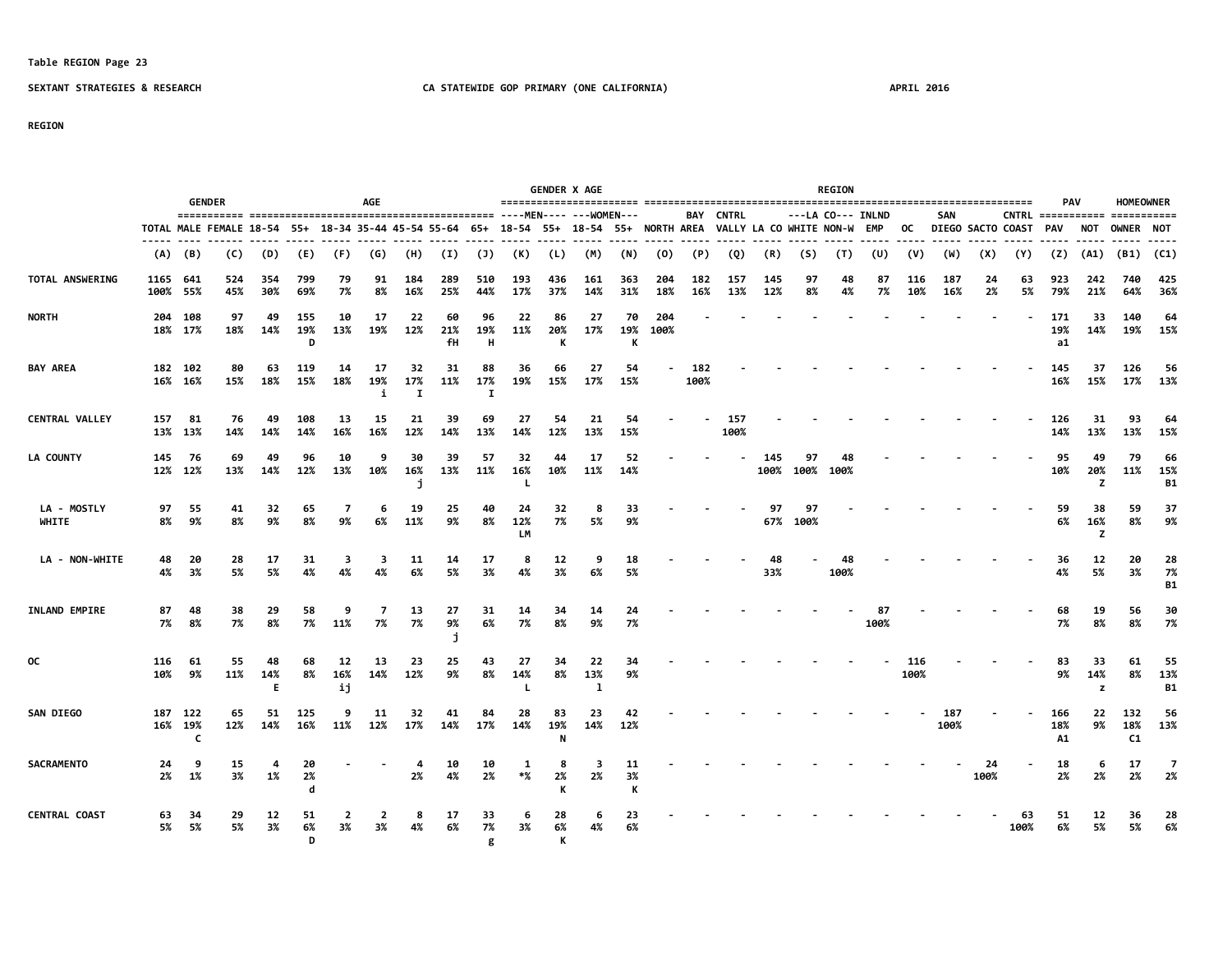### **Table REGION Page 23**

**D** g K

### **SEXTANT STRATEGIES & RESEARCH CA STATEWIDE GOP PRIMARY (ONE CALIFORNIA) APRIL 2016**

**REGION**

| <b>GENDER</b>               |                      |                         |                                                                                                                    |                 |                 |                 | AGE            |                           |                 |                |                 |                | <b>GENDER X AGE</b> |                |             |             |                  |             |                | <b>REGION</b>     |            |             |             |            |                       | <b>PAV</b>       |                | <b>HOMEOWNER</b> |                        |
|-----------------------------|----------------------|-------------------------|--------------------------------------------------------------------------------------------------------------------|-----------------|-----------------|-----------------|----------------|---------------------------|-----------------|----------------|-----------------|----------------|---------------------|----------------|-------------|-------------|------------------|-------------|----------------|-------------------|------------|-------------|-------------|------------|-----------------------|------------------|----------------|------------------|------------------------|
|                             |                      |                         |                                                                                                                    |                 |                 |                 |                |                           |                 |                |                 |                |                     |                |             |             | <b>BAY CNTRL</b> |             |                | ---LA CO--- INLND |            |             | SAN         |            |                       |                  |                |                  |                        |
|                             |                      |                         | TOTAL MALE FEMALE 18-54 55+ 18-34 35-44 45-54 55-64 65+ 18-54 55+ 18-54 55+ NORTH AREA VALLY LA CO WHITE NON-W EMP |                 |                 |                 |                |                           |                 |                |                 |                |                     |                |             |             |                  |             |                |                   |            | OC          |             |            | DIEGO SACTO COAST PAV |                  | NOT            | OWNER NOT        |                        |
|                             | (A)                  | (B)                     | (C)                                                                                                                | (D)             | (E)             | (F)             | (G)            | (H)                       | (I)             | (3)            | (K)             | (L)            | (M)                 | (N)            | (0)         | (P)         | (Q)              | (R)         | (S)            | (T)               | (U)        | (V)         | (W)         | (X)        | (Y)                   | (Z)              | (A1)           |                  | $(B1)$ $(C1)$          |
| <b>TOTAL ANSWERING</b>      | 1165 641<br>100% 55% |                         | 524<br>45%                                                                                                         | -354<br>30%     | 799<br>69%      | 79<br>7%        | 91<br>8%       | 184<br>16%                | 289<br>25%      | 510<br>44%     | 193<br>17%      | 436<br>37%     | 161<br>14%          | 363<br>31%     | 204<br>18%  | 182<br>16%  | 157<br>13%       | 145<br>12%  | 97<br>8%       | 48<br>4%          | 87<br>7%   | 116<br>10%  | 187<br>16%  | 24<br>2%   | 63<br>5%              | 923<br>79%       | 242<br>21%     | 740<br>64%       | 425<br>36%             |
| <b>NORTH</b>                |                      | 204 108<br>18% 17%      | 97<br>18%                                                                                                          | 49<br>14%       | 155<br>19%<br>D | 10<br>13%       | 17<br>19%      | 22<br>12%                 | 60<br>21%<br>fН | 96<br>19%<br>н | 22<br>11%       | 86<br>20%      | 27<br>17%           | 70<br>19%<br>К | 204<br>100% |             |                  |             |                |                   |            |             |             |            |                       | 171<br>19%<br>a1 | 33<br>14%      | 140<br>19%       | 64<br>15%              |
| <b>BAY AREA</b>             |                      | 182 102<br>16% 16%      | 80<br>15%                                                                                                          | 63<br>18%       | 119<br>15%      | 14<br>18%       | 17<br>19%<br>i | 32<br>17%<br>$\mathbf{r}$ | 31<br>11%       | 88<br>17%<br>I | 36<br>19%       | 66<br>15%      | 27<br>17%           | 54<br>15%      |             | 182<br>100% |                  |             |                |                   |            |             |             |            |                       | 145<br>16%       | 37<br>15%      | 126<br>17%       | -56<br>13%             |
| <b>CENTRAL VALLEY</b>       |                      | 157 81<br>13% 13%       | 76<br>14%                                                                                                          | 49<br>14%       | 108<br>14%      | 13<br>16%       | 15<br>16%      | 21<br>12%                 | 39<br>14%       | 69<br>13%      | 27<br>14%       | 54<br>12%      | 21<br>13%           | 54<br>15%      |             |             | 157<br>100%      |             |                |                   |            |             |             |            |                       | 126<br>14%       | 31<br>13%      | 93<br>13%        | 64<br>15%              |
| <b>LA COUNTY</b>            | 145                  | - 76<br>12% 12%         | 69<br>13%                                                                                                          | 49<br>14%       | 96<br>12%       | 10<br>13%       | 9<br>10%       | 30<br>16%                 | 39<br>13%       | 57<br>11%      | 32<br>16%       | 44<br>10%      | 17<br>11%           | 52<br>14%      |             |             |                  | 145<br>100% | 97<br>100%     | 48<br>100%        |            |             |             |            |                       | 95<br>10%        | 49<br>20%<br>z | 79<br>11%        | 66<br>15%<br><b>B1</b> |
| LA - MOSTLY<br><b>WHITE</b> | 97<br>8%             | -55<br>9%               | 41<br>8%                                                                                                           | 32<br>9%        | 65<br>8%        | 7<br>9%         | 6<br>6%        | 19<br>11%                 | 25<br>9%        | 40<br>8%       | 24<br>12%<br>LМ | 32<br>7%       | 8<br>5%             | 33<br>9%       |             |             |                  | 97          | 97<br>67% 100% |                   |            |             |             |            |                       | 59<br>6%         | 38<br>16%<br>z | 59<br>8%         | -37<br>9%              |
| LA - NON-WHITE              | 48<br>4%             | 20<br>3%                | 28<br>5%                                                                                                           | 17<br>5%        | 31<br>4%        | 3<br>4%         | з<br>4%        | 11<br>6%                  | 14<br>5%        | 17<br>3%       | 8<br>4%         | 12<br>3%       | 9<br>6%             | 18<br>5%       |             |             |                  | 48<br>33%   |                | 48<br>100%        |            |             |             |            |                       | 36<br>4%         | 12<br>5%       | 20<br>3%         | 28<br>7%<br><b>B1</b>  |
| INLAND EMPIRE               | 87<br>7%             | 48<br>8%                | 38<br>7%                                                                                                           | 29<br>8%        | 58<br>7%        | -9<br>11%       | 7<br>7%        | 13<br>7%                  | 27<br>9%        | 31<br>6%       | 14<br>7%        | 34<br>8%       | 14<br>9%            | 24<br>7%       |             |             |                  |             |                |                   | 87<br>100% |             |             |            |                       | 68<br>7%         | 19<br>8%       | 56<br>8%         | 30<br>7%               |
| 0C                          | 116<br>10%           | 61<br>9%                | 55<br>11%                                                                                                          | 48<br>14%<br>Е. | 68<br>8%        | 12<br>16%<br>ij | 13<br>14%      | 23<br>12%                 | 25<br>9%        | 43<br>8%       | 27<br>14%       | 34<br>8%       | 22<br>13%<br>1      | 34<br>9%       |             |             |                  |             |                |                   |            | 116<br>100% |             |            |                       | 83<br>9%         | 33<br>14%<br>z | 61<br>8%         | 55<br>13%<br><b>B1</b> |
| <b>SAN DIEGO</b>            |                      | 187 122<br>16% 19%<br>C | 65<br>12%                                                                                                          | 51<br>14%       | 125<br>16%      | ٩<br>11%        | 11<br>12%      | 32<br>17%                 | 41<br>14%       | 84<br>17%      | 28<br>14%       | 83<br>19%<br>N | 23<br>14%           | 42<br>12%      |             |             |                  |             |                |                   |            |             | 187<br>100% |            |                       | 166<br>18%<br>A1 | 22<br>9%       | 132<br>18%<br>C1 | -56<br>13%             |
| <b>SACRAMENTO</b>           | 24<br>2%             | -9<br>1%                | 15<br>3%                                                                                                           | 4<br>1%         | 20<br>2%<br>d   |                 |                | 2%                        | 10<br>4%        | 10<br>2%       | 1<br>*%         | 2%             | з<br>2%             | 11<br>3%<br>К  |             |             |                  |             |                |                   |            |             |             | 24<br>100% |                       | 18<br>2%         | -6<br>2%       | 17<br>2%         | 7<br>-2%               |
| <b>CENTRAL COAST</b>        | 63<br>5%             | 34<br>- 5%              | 29<br>5%                                                                                                           | 12<br>3%        | 51<br>6%        | 2<br>3%         | 2<br>3%        | 8                         | 17<br>6%        | 33<br>7%       | 6<br>3%         | 28<br>6%       | 6<br>4%             | 23<br>6%       |             |             |                  |             |                |                   |            |             |             |            | 63<br>100%            | 51<br>6%         | 12<br>5%       | 36<br>5%         | 28<br>6%               |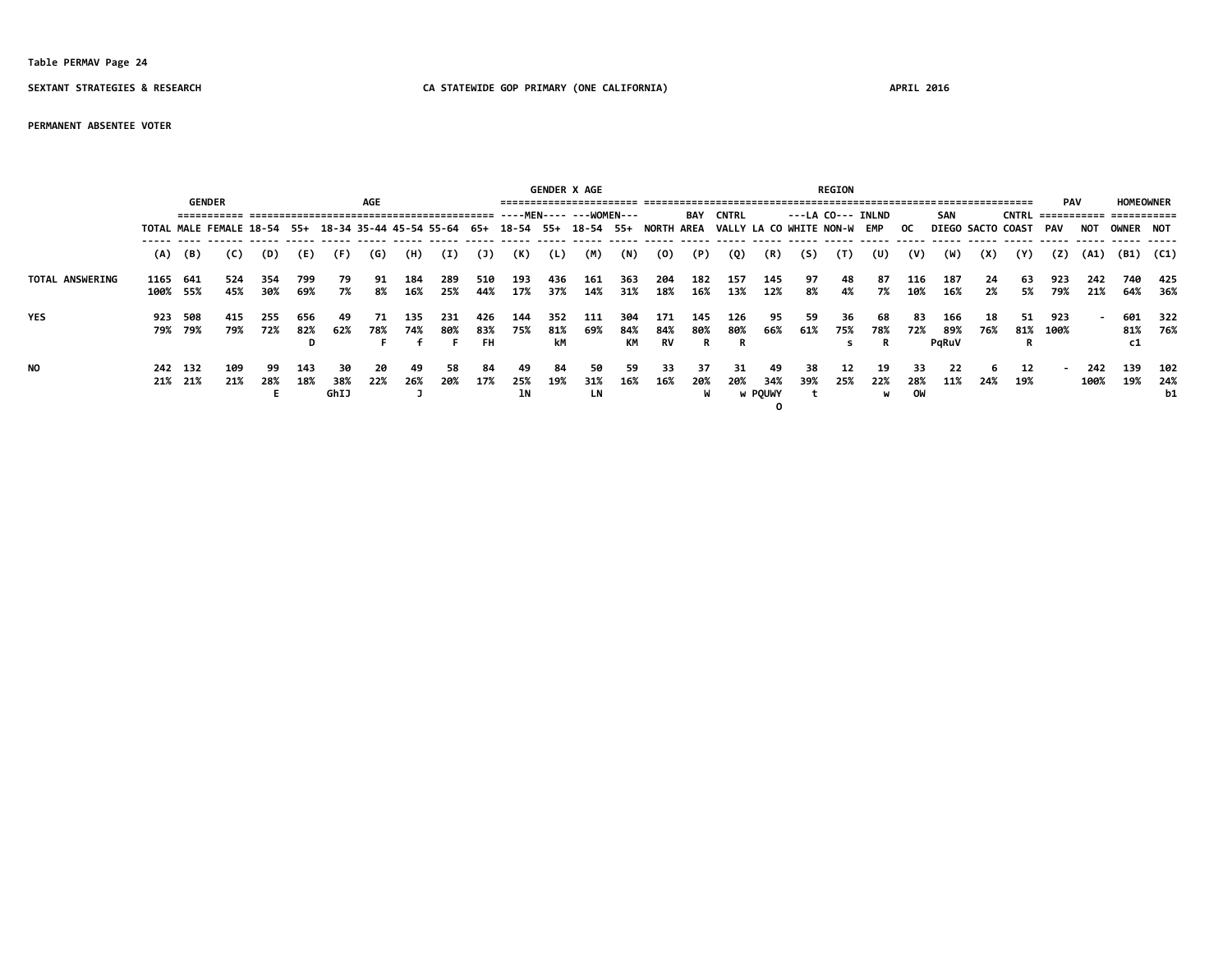### **Table PERMAV Page 24**

### **SEXTANT STRATEGIES & RESEARCH CA STATEWIDE GOP PRIMARY (ONE CALIFORNIA) APRIL 2016**

### **PERMANENT ABSENTEE VOTER**

|                        |                  |                    |                                                                                                                       |            |            |                   |            |            |             |            |                 |            | <b>GENDER X AGE</b> |            | <b>REGION</b> |                   |            |                             |           |           |                |                 |            |           |                       |                  |             |               |                    |
|------------------------|------------------|--------------------|-----------------------------------------------------------------------------------------------------------------------|------------|------------|-------------------|------------|------------|-------------|------------|-----------------|------------|---------------------|------------|---------------|-------------------|------------|-----------------------------|-----------|-----------|----------------|-----------------|------------|-----------|-----------------------|------------------|-------------|---------------|--------------------|
|                        |                  | <b>GENDER</b>      | AGE                                                                                                                   |            |            |                   |            |            |             |            |                 |            |                     | BAY        | <b>CNTRL</b>  | ---LA CO--- INLND |            |                             |           |           | <b>SAN</b>     |                 |            | PAV       |                       | <b>HOMEOWNER</b> |             |               |                    |
|                        |                  |                    | TOTAL MALE FEMALE 18-54 55+ 18-34 35-44 45-54 55-64 65+ 18-54 55+ 18-54 55+ NORTH AREA VALLY LA CO WHITE NON-W EMP OC |            |            |                   |            |            |             |            |                 |            |                     |            |               |                   |            |                             |           |           |                |                 |            |           | DIEGO SACTO COAST PAV |                  | NOT         | OWNER NOT     |                    |
|                        | (A)              | (B)                | (C)                                                                                                                   | (D)        | (E)        | (F)               | (G)        | (H)        | (I)         | (1)        | (K)             | (L)        | (M)                 | (N)        | (0)           | (P)               | (Q)        | (R)                         | (S)       | (T)       | (U)            | (V)             | (W)        | (X)       | (Y)                   | (Z)              | (A1)        | $(B1)$ $(C1)$ |                    |
| <b>TOTAL ANSWERING</b> | 1165<br>100% 55% | 641                | 524<br>45%                                                                                                            | 354<br>30% | 799<br>69% | 79<br>7%          | 91<br>8%   | 184<br>16% | 289<br>25%  | 510<br>44% | 193<br>17%      | 436<br>37% | 161<br>14%          | 363<br>31% | 204<br>18%    | 182<br>16%        | 157<br>13% | 145<br>12%                  | 97<br>8%  | 48<br>4%  | 87<br>7%       | 116<br>10%      | 187<br>16% | 24<br>2%  | -63<br>5%             | 923<br>79%       | 242<br>21%  | 740<br>64%    | 425<br>- 36%       |
| <b>YES</b>             | 923              | 508<br>79% 79%     | 415<br>79%                                                                                                            | 255<br>72% | 656<br>82% | 49<br>62%         | -71<br>78% | 135<br>74% | -231<br>80% | 426<br>83% | 144<br>75%      | 352<br>81% | 111<br>69%          | 304<br>84% | 171<br>84%    | 145<br>80%        | 126<br>80% | 95<br>66%                   | 59<br>61% | 36<br>75% | 68<br>78%      | 83<br>72%       | 166<br>89% | 18<br>76% | 51.                   | 923<br>81% 100%  |             |               | 601 322<br>81% 76% |
|                        |                  |                    |                                                                                                                       |            | D          |                   |            |            |             | FH.        |                 | kМ         |                     | КM         | <b>RV</b>     | R                 | R          |                             |           | s.        |                |                 | PaRuV      |           |                       |                  |             |               |                    |
| NO                     |                  | 242 132<br>21% 21% | 109<br>21%                                                                                                            | 99<br>28%  | 143<br>18% | 30<br>38%<br>GhIJ | 20<br>22%  | 49<br>26%  | 58<br>20%   | 84<br>17%  | 49<br>25%<br>1N | 84<br>19%  | 50<br>31%<br>LN     | 59<br>16%  | 33<br>16%     | -37<br>20%        | 31<br>20%  | 49<br>34%<br><b>W POUWY</b> | 38<br>39% | 12<br>25% | 19<br>22%<br>w | 33<br>28%<br>OW | 22<br>11%  | 24%       | 12<br>19%             |                  | 242<br>100% | 139<br>19%    | 102<br>24%<br>b1   |